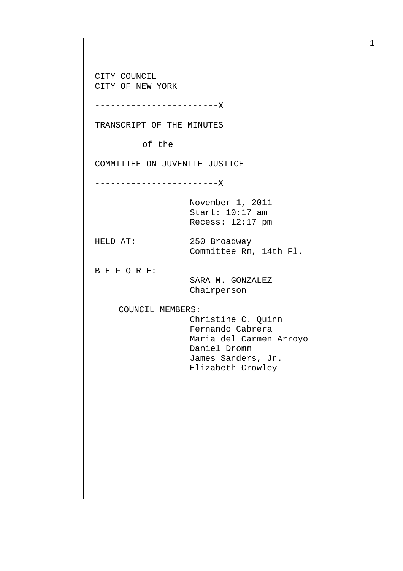CITY COUNCIL CITY OF NEW YORK

------------------------X

TRANSCRIPT OF THE MINUTES

of the

COMMITTEE ON JUVENILE JUSTICE

------------------------X

November 1, 2011 Start: 10:17 am Recess: 12:17 pm

HELD AT: 250 Broadway Committee Rm, 14th Fl.

B E F O R E:

 SARA M. GONZALEZ Chairperson

COUNCIL MEMBERS:

 Christine C. Quinn Fernando Cabrera Maria del Carmen Arroyo Daniel Dromm James Sanders, Jr. Elizabeth Crowley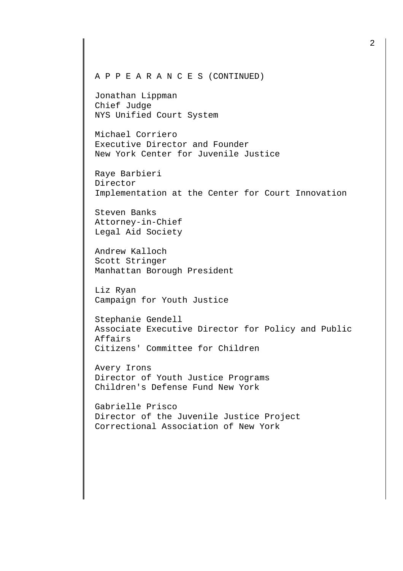## A P P E A R A N C E S (CONTINUED)

Jonathan Lippman Chief Judge NYS Unified Court System

Michael Corriero Executive Director and Founder New York Center for Juvenile Justice

Raye Barbieri Director Implementation at the Center for Court Innovation

Steven Banks Attorney-in-Chief Legal Aid Society

Andrew Kalloch Scott Stringer Manhattan Borough President

Liz Ryan Campaign for Youth Justice

Stephanie Gendell Associate Executive Director for Policy and Public Affairs Citizens' Committee for Children

Avery Irons Director of Youth Justice Programs Children's Defense Fund New York

Gabrielle Prisco Director of the Juvenile Justice Project Correctional Association of New York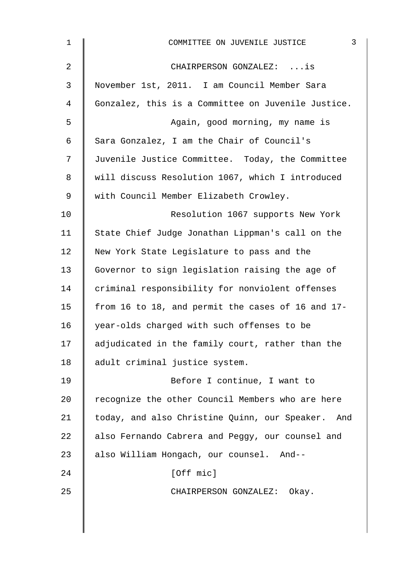| $\mathbf{1}$   | $\mathsf{3}$<br>COMMITTEE ON JUVENILE JUSTICE        |
|----------------|------------------------------------------------------|
| $\overline{2}$ | CHAIRPERSON GONZALEZ: is                             |
| 3              | November 1st, 2011. I am Council Member Sara         |
| 4              | Gonzalez, this is a Committee on Juvenile Justice.   |
| 5              | Again, good morning, my name is                      |
| 6              | Sara Gonzalez, I am the Chair of Council's           |
| 7              | Juvenile Justice Committee. Today, the Committee     |
| 8              | will discuss Resolution 1067, which I introduced     |
| $\mathsf 9$    | with Council Member Elizabeth Crowley.               |
| 10             | Resolution 1067 supports New York                    |
| 11             | State Chief Judge Jonathan Lippman's call on the     |
| 12             | New York State Legislature to pass and the           |
| 13             | Governor to sign legislation raising the age of      |
| 14             | criminal responsibility for nonviolent offenses      |
| 15             | from 16 to 18, and permit the cases of 16 and 17-    |
| 16             | year-olds charged with such offenses to be           |
| 17             | adjudicated in the family court, rather than the     |
| 18             | adult criminal justice system.                       |
| 19             | Before I continue, I want to                         |
| 20             | recognize the other Council Members who are here     |
| 21             | today, and also Christine Quinn, our Speaker.<br>And |
| 22             | also Fernando Cabrera and Peggy, our counsel and     |
| 23             | also William Hongach, our counsel. And--             |
| 24             | [Off mic]                                            |
| 25             | CHAIRPERSON GONZALEZ: Okay.                          |
|                |                                                      |
|                |                                                      |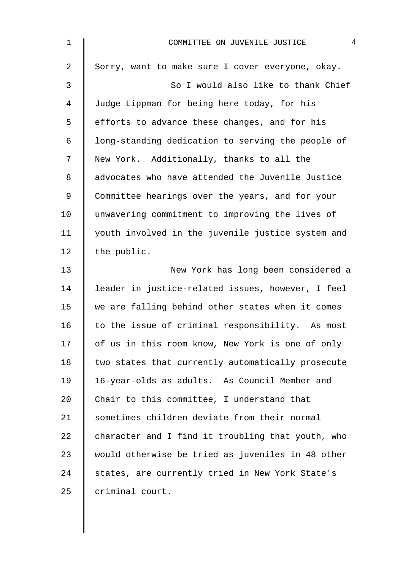| $\mathbf 1$     | 4<br>COMMITTEE ON JUVENILE JUSTICE                |
|-----------------|---------------------------------------------------|
| $\overline{a}$  | Sorry, want to make sure I cover everyone, okay.  |
| 3               | So I would also like to thank Chief               |
| 4               | Judge Lippman for being here today, for his       |
| 5               | efforts to advance these changes, and for his     |
| 6               | long-standing dedication to serving the people of |
| 7               | New York. Additionally, thanks to all the         |
| 8               | advocates who have attended the Juvenile Justice  |
| 9               | Committee hearings over the years, and for your   |
| 10 <sub>1</sub> | unwavering commitment to improving the lives of   |
| 11              | youth involved in the juvenile justice system and |
| 12              | the public.                                       |
| 13              | New York has long been considered a               |
| 14              | leader in justice-related issues, however, I feel |
| 15              | we are falling behind other states when it comes  |
| 16              | to the issue of criminal responsibility. As most  |
| 17              | of us in this room know, New York is one of only  |
| 18              | two states that currently automatically prosecute |
| 19              | 16-year-olds as adults. As Council Member and     |
| 20              | Chair to this committee, I understand that        |
| 21              | sometimes children deviate from their normal      |
| 22              | character and I find it troubling that youth, who |
| 23              | would otherwise be tried as juveniles in 48 other |
| 24              | states, are currently tried in New York State's   |
| 25              | criminal court.                                   |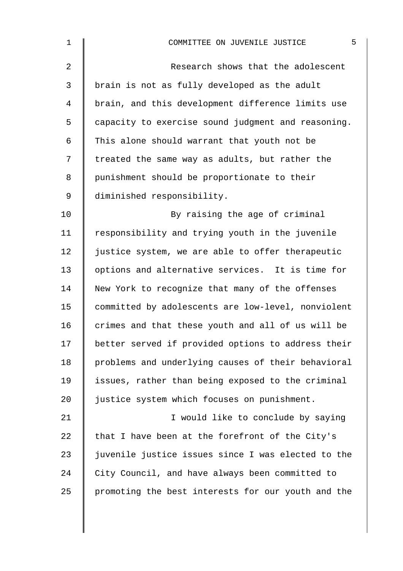| $\mathbf 1$    | 5<br>COMMITTEE ON JUVENILE JUSTICE                 |
|----------------|----------------------------------------------------|
| $\overline{2}$ | Research shows that the adolescent                 |
| 3              | brain is not as fully developed as the adult       |
| $\overline{4}$ | brain, and this development difference limits use  |
| 5              | capacity to exercise sound judgment and reasoning. |
| 6              | This alone should warrant that youth not be        |
| 7              | treated the same way as adults, but rather the     |
| 8              | punishment should be proportionate to their        |
| $\mathsf 9$    | diminished responsibility.                         |
| 10             | By raising the age of criminal                     |
| 11             | responsibility and trying youth in the juvenile    |
| 12             | justice system, we are able to offer therapeutic   |
| 13             | options and alternative services. It is time for   |
| 14             | New York to recognize that many of the offenses    |
| 15             | committed by adolescents are low-level, nonviolent |
| 16             | crimes and that these youth and all of us will be  |
| 17             | better served if provided options to address their |
| 18             | problems and underlying causes of their behavioral |
| 19             | issues, rather than being exposed to the criminal  |
| 20             | justice system which focuses on punishment.        |
| 21             | I would like to conclude by saying                 |
| 22             | that I have been at the forefront of the City's    |
| 23             | juvenile justice issues since I was elected to the |
| 24             | City Council, and have always been committed to    |
| 25             | promoting the best interests for our youth and the |
|                |                                                    |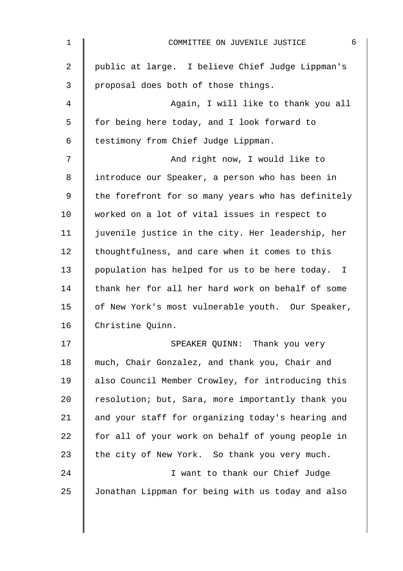| $\mathbf 1$    | 6<br>COMMITTEE ON JUVENILE JUSTICE                 |
|----------------|----------------------------------------------------|
| $\overline{2}$ | public at large. I believe Chief Judge Lippman's   |
| 3              | proposal does both of those things.                |
| 4              | Again, I will like to thank you all                |
| 5              | for being here today, and I look forward to        |
| 6              | testimony from Chief Judge Lippman.                |
| 7              | And right now, I would like to                     |
| 8              | introduce our Speaker, a person who has been in    |
| 9              | the forefront for so many years who has definitely |
| 10             | worked on a lot of vital issues in respect to      |
| 11             | juvenile justice in the city. Her leadership, her  |
| 12             | thoughtfulness, and care when it comes to this     |
| 13             | population has helped for us to be here today. I   |
| 14             | thank her for all her hard work on behalf of some  |
| 15             | of New York's most vulnerable youth. Our Speaker,  |
| 16             | Christine Quinn.                                   |
| 17             | SPEAKER QUINN: Thank you very                      |
| 18             | much, Chair Gonzalez, and thank you, Chair and     |
| 19             | also Council Member Crowley, for introducing this  |
| 20             | resolution; but, Sara, more importantly thank you  |
| 21             | and your staff for organizing today's hearing and  |
| 22             | for all of your work on behalf of young people in  |
| 23             | the city of New York. So thank you very much.      |
| 24             | I want to thank our Chief Judge                    |
| 25             | Jonathan Lippman for being with us today and also  |
|                |                                                    |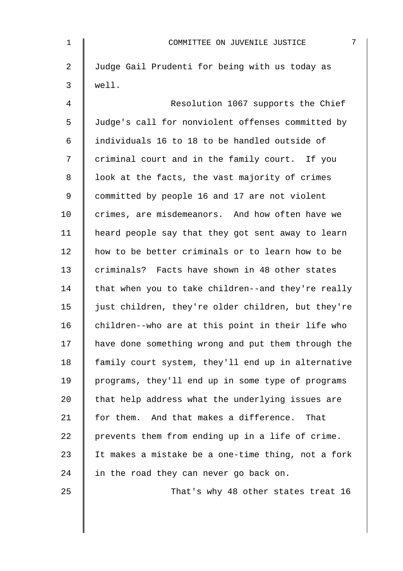| $\mathbf 1$ | 7<br>COMMITTEE ON JUVENILE JUSTICE                 |
|-------------|----------------------------------------------------|
| 2           | Judge Gail Prudenti for being with us today as     |
| 3           | well.                                              |
| 4           | Resolution 1067 supports the Chief                 |
| 5           | Judge's call for nonviolent offenses committed by  |
| 6           | individuals 16 to 18 to be handled outside of      |
| 7           | criminal court and in the family court. If you     |
| 8           | look at the facts, the vast majority of crimes     |
| 9           | committed by people 16 and 17 are not violent      |
| 10          | crimes, are misdemeanors. And how often have we    |
| 11          | heard people say that they got sent away to learn  |
| 12          | how to be better criminals or to learn how to be   |
| 13          | criminals? Facts have shown in 48 other states     |
| 14          | that when you to take children--and they're really |
| 15          | just children, they're older children, but they're |
| 16          | children--who are at this point in their life who  |
| 17          | have done something wrong and put them through the |
| 18          | family court system, they'll end up in alternative |
| 19          | programs, they'll end up in some type of programs  |
| 20          | that help address what the underlying issues are   |
| 21          | for them. And that makes a difference. That        |
| 22          | prevents them from ending up in a life of crime.   |
| 23          | It makes a mistake be a one-time thing, not a fork |
| 24          | in the road they can never go back on.             |
| 25          | That's why 48 other states treat 16                |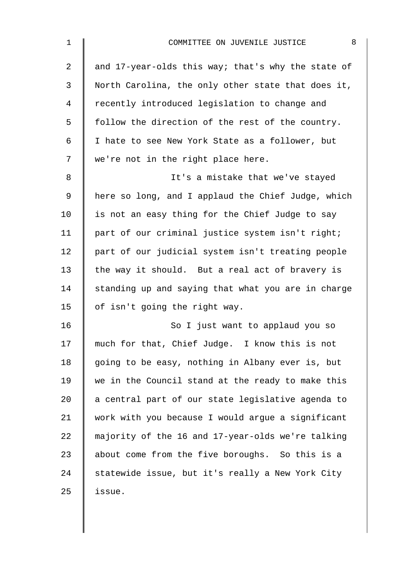| 1  | 8<br>COMMITTEE ON JUVENILE JUSTICE                 |
|----|----------------------------------------------------|
| 2  | and 17-year-olds this way; that's why the state of |
| 3  | North Carolina, the only other state that does it, |
| 4  | recently introduced legislation to change and      |
| 5  | follow the direction of the rest of the country.   |
| 6  | I hate to see New York State as a follower, but    |
| 7  | we're not in the right place here.                 |
| 8  | It's a mistake that we've stayed                   |
| 9  | here so long, and I applaud the Chief Judge, which |
| 10 | is not an easy thing for the Chief Judge to say    |
| 11 | part of our criminal justice system isn't right;   |
| 12 | part of our judicial system isn't treating people  |
| 13 | the way it should. But a real act of bravery is    |
| 14 | standing up and saying that what you are in charge |
| 15 | of isn't going the right way.                      |
| 16 | So I just want to applaud you so                   |
| 17 | much for that, Chief Judge. I know this is not     |
| 18 | going to be easy, nothing in Albany ever is, but   |
| 19 | we in the Council stand at the ready to make this  |
| 20 | a central part of our state legislative agenda to  |
| 21 | work with you because I would argue a significant  |
| 22 | majority of the 16 and 17-year-olds we're talking  |
| 23 | about come from the five boroughs. So this is a    |
| 24 | statewide issue, but it's really a New York City   |
| 25 | issue.                                             |
|    |                                                    |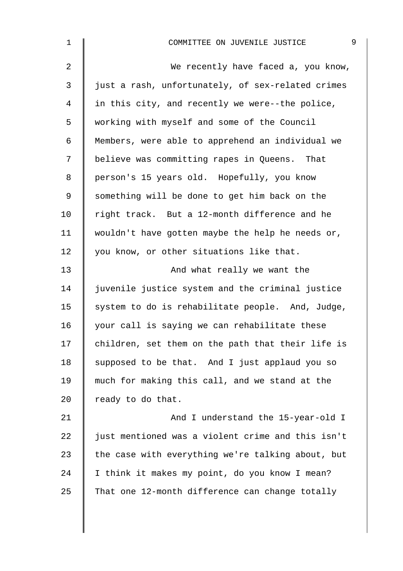| $\mathbf 1$    | 9<br>COMMITTEE ON JUVENILE JUSTICE                |
|----------------|---------------------------------------------------|
| $\overline{a}$ | We recently have faced a, you know,               |
| $\mathsf{3}$   | just a rash, unfortunately, of sex-related crimes |
| 4              | in this city, and recently we were--the police,   |
| 5              | working with myself and some of the Council       |
| 6              | Members, were able to apprehend an individual we  |
| 7              | believe was committing rapes in Queens. That      |
| 8              | person's 15 years old. Hopefully, you know        |
| 9              | something will be done to get him back on the     |
| 10             | right track. But a 12-month difference and he     |
| 11             | wouldn't have gotten maybe the help he needs or,  |
| 12             | you know, or other situations like that.          |
| 13             | And what really we want the                       |
| 14             | juvenile justice system and the criminal justice  |
| 15             | system to do is rehabilitate people. And, Judge,  |
| 16             | your call is saying we can rehabilitate these     |
| 17             | children, set them on the path that their life is |
| 18             | supposed to be that. And I just applaud you so    |
| 19             | much for making this call, and we stand at the    |
| 20             | ready to do that.                                 |
| 21             | And I understand the 15-year-old I                |
| 22             | just mentioned was a violent crime and this isn't |
| 23             | the case with everything we're talking about, but |
| 24             | I think it makes my point, do you know I mean?    |
| 25             | That one 12-month difference can change totally   |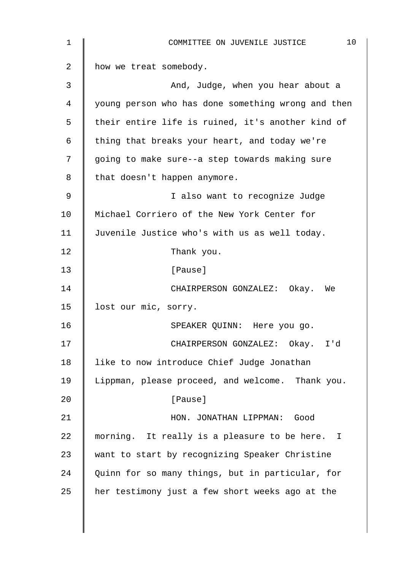| $\mathbf 1$ | 10<br>COMMITTEE ON JUVENILE JUSTICE                |
|-------------|----------------------------------------------------|
| 2           | how we treat somebody.                             |
| 3           | And, Judge, when you hear about a                  |
| 4           | young person who has done something wrong and then |
| 5           | their entire life is ruined, it's another kind of  |
| 6           | thing that breaks your heart, and today we're      |
| 7           | going to make sure--a step towards making sure     |
| 8           | that doesn't happen anymore.                       |
| 9           | I also want to recognize Judge                     |
| 10          | Michael Corriero of the New York Center for        |
| 11          | Juvenile Justice who's with us as well today.      |
| 12          | Thank you.                                         |
| 13          | [Pause]                                            |
| 14          | CHAIRPERSON GONZALEZ: Okay. We                     |
| 15          | lost our mic, sorry.                               |
| 16          | SPEAKER QUINN: Here you go.                        |
| 17          | CHAIRPERSON GONZALEZ: Okay.<br>I'd                 |
| 18          | like to now introduce Chief Judge Jonathan         |
| 19          | Lippman, please proceed, and welcome. Thank you.   |
| 20          | [Pause]                                            |
| 21          | HON. JONATHAN LIPPMAN: Good                        |
| 22          | morning. It really is a pleasure to be here. I     |
| 23          | want to start by recognizing Speaker Christine     |
| 24          | Quinn for so many things, but in particular, for   |
| 25          | her testimony just a few short weeks ago at the    |
|             |                                                    |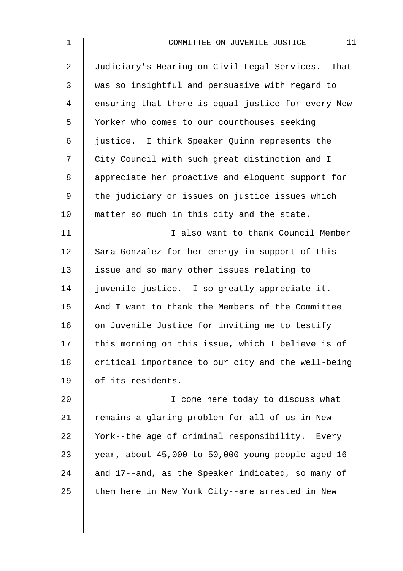| $\mathbf 1$    | 11<br>COMMITTEE ON JUVENILE JUSTICE                |
|----------------|----------------------------------------------------|
| $\overline{a}$ | Judiciary's Hearing on Civil Legal Services. That  |
| 3              | was so insightful and persuasive with regard to    |
| 4              | ensuring that there is equal justice for every New |
| 5              | Yorker who comes to our courthouses seeking        |
| 6              | justice. I think Speaker Quinn represents the      |
| 7              | City Council with such great distinction and I     |
| 8              | appreciate her proactive and eloquent support for  |
| 9              | the judiciary on issues on justice issues which    |
| 10             | matter so much in this city and the state.         |
| 11             | I also want to thank Council Member                |
| 12             | Sara Gonzalez for her energy in support of this    |
| 13             | issue and so many other issues relating to         |
| 14             | juvenile justice. I so greatly appreciate it.      |
| 15             | And I want to thank the Members of the Committee   |
| 16             | on Juvenile Justice for inviting me to testify     |
| 17             | this morning on this issue, which I believe is of  |
| 18             | critical importance to our city and the well-being |
| 19             | of its residents.                                  |
| 20             | I come here today to discuss what                  |
| 21             | remains a glaring problem for all of us in New     |
| 22             | York--the age of criminal responsibility. Every    |
| 23             | year, about 45,000 to 50,000 young people aged 16  |
| 24             | and 17--and, as the Speaker indicated, so many of  |
| 25             | them here in New York City--are arrested in New    |
|                |                                                    |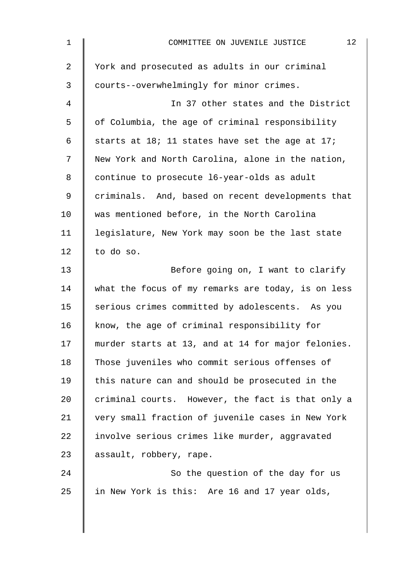| 1  | 12<br>COMMITTEE ON JUVENILE JUSTICE                |
|----|----------------------------------------------------|
| 2  | York and prosecuted as adults in our criminal      |
| 3  | courts--overwhelmingly for minor crimes.           |
| 4  | In 37 other states and the District                |
| 5  | of Columbia, the age of criminal responsibility    |
| 6  | starts at 18; 11 states have set the age at 17;    |
| 7  | New York and North Carolina, alone in the nation,  |
| 8  | continue to prosecute 16-year-olds as adult        |
| 9  | criminals. And, based on recent developments that  |
| 10 | was mentioned before, in the North Carolina        |
| 11 | legislature, New York may soon be the last state   |
| 12 | to do so.                                          |
| 13 | Before going on, I want to clarify                 |
| 14 | what the focus of my remarks are today, is on less |
| 15 | serious crimes committed by adolescents. As you    |
| 16 | know, the age of criminal responsibility for       |
| 17 | murder starts at 13, and at 14 for major felonies. |
| 18 | Those juveniles who commit serious offenses of     |
| 19 | this nature can and should be prosecuted in the    |
| 20 | criminal courts. However, the fact is that only a  |
| 21 | very small fraction of juvenile cases in New York  |
| 22 | involve serious crimes like murder, aggravated     |
| 23 | assault, robbery, rape.                            |
| 24 | So the question of the day for us                  |
| 25 | in New York is this: Are 16 and 17 year olds,      |
|    |                                                    |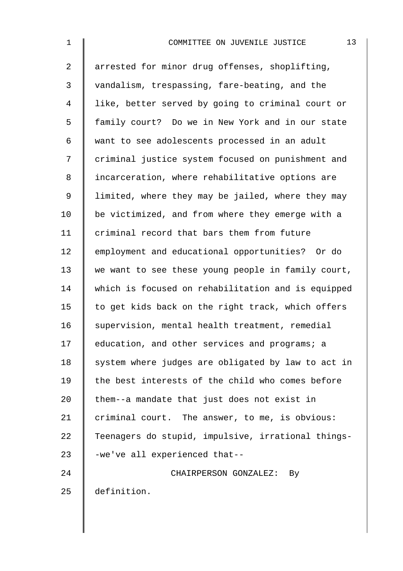| $\mathbf 1$    | 13<br>COMMITTEE ON JUVENILE JUSTICE                |
|----------------|----------------------------------------------------|
| $\overline{2}$ | arrested for minor drug offenses, shoplifting,     |
| 3              | vandalism, trespassing, fare-beating, and the      |
| 4              | like, better served by going to criminal court or  |
| 5              | family court? Do we in New York and in our state   |
| 6              | want to see adolescents processed in an adult      |
| 7              | criminal justice system focused on punishment and  |
| 8              | incarceration, where rehabilitative options are    |
| 9              | limited, where they may be jailed, where they may  |
| 10             | be victimized, and from where they emerge with a   |
| 11             | criminal record that bars them from future         |
| 12             | employment and educational opportunities? Or do    |
| 13             | we want to see these young people in family court, |
| 14             | which is focused on rehabilitation and is equipped |
| 15             | to get kids back on the right track, which offers  |
| 16             | supervision, mental health treatment, remedial     |
| 17             | education, and other services and programs; a      |
| 18             | system where judges are obligated by law to act in |
| 19             | the best interests of the child who comes before   |
| 20             | them--a mandate that just does not exist in        |
| 21             | criminal court. The answer, to me, is obvious:     |
| 22             | Teenagers do stupid, impulsive, irrational things- |
| 23             | -we've all experienced that--                      |
| 24             | CHAIRPERSON GONZALEZ:<br>By.                       |
| 25             | definition.                                        |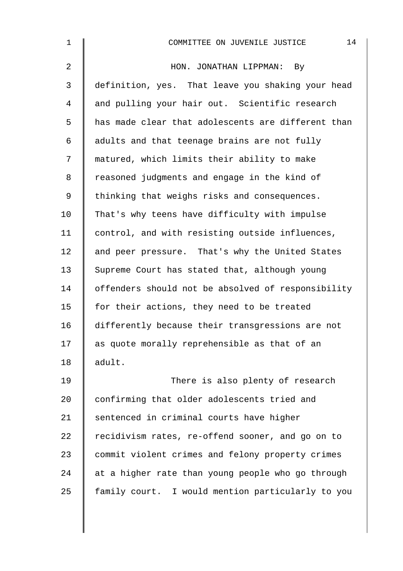| 1              | 14<br>COMMITTEE ON JUVENILE JUSTICE                |
|----------------|----------------------------------------------------|
| $\overline{2}$ | HON. JONATHAN LIPPMAN: By                          |
| $\mathfrak{Z}$ | definition, yes. That leave you shaking your head  |
| 4              | and pulling your hair out. Scientific research     |
| 5              | has made clear that adolescents are different than |
| 6              | adults and that teenage brains are not fully       |
| 7              | matured, which limits their ability to make        |
| 8              | reasoned judgments and engage in the kind of       |
| 9              | thinking that weighs risks and consequences.       |
| 10             | That's why teens have difficulty with impulse      |
| 11             | control, and with resisting outside influences,    |
| 12             | and peer pressure. That's why the United States    |
| 13             | Supreme Court has stated that, although young      |
| 14             | offenders should not be absolved of responsibility |
| 15             | for their actions, they need to be treated         |
| 16             | differently because their transgressions are not   |
| 17             | as quote morally reprehensible as that of an       |
| 18             | adult.                                             |
| 19             | There is also plenty of research                   |
| 20             | confirming that older adolescents tried and        |
| 21             | sentenced in criminal courts have higher           |
| 22             | recidivism rates, re-offend sooner, and go on to   |
| 23             | commit violent crimes and felony property crimes   |
| 24             | at a higher rate than young people who go through  |
| 25             | family court. I would mention particularly to you  |
|                |                                                    |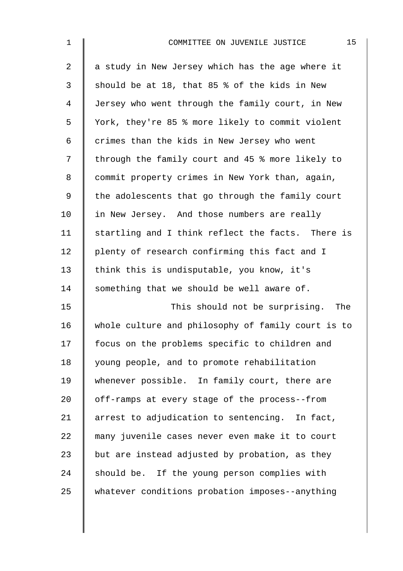| $\mathbf 1$    | 15<br>COMMITTEE ON JUVENILE JUSTICE                |
|----------------|----------------------------------------------------|
| $\overline{2}$ | a study in New Jersey which has the age where it   |
| 3              | should be at 18, that 85 % of the kids in New      |
| $\overline{4}$ | Jersey who went through the family court, in New   |
| 5              | York, they're 85 % more likely to commit violent   |
| 6              | crimes than the kids in New Jersey who went        |
| 7              | through the family court and 45 % more likely to   |
| 8              | commit property crimes in New York than, again,    |
| $\mathsf 9$    | the adolescents that go through the family court   |
| 10             | in New Jersey. And those numbers are really        |
| 11             | startling and I think reflect the facts. There is  |
| 12             | plenty of research confirming this fact and I      |
| 13             | think this is undisputable, you know, it's         |
| 14             | something that we should be well aware of.         |
| 15             | This should not be surprising. The                 |
| 16             | whole culture and philosophy of family court is to |
| 17             | focus on the problems specific to children and     |
| 18             | young people, and to promote rehabilitation        |
| 19             | whenever possible. In family court, there are      |
| 20             | off-ramps at every stage of the process--from      |
| 21             | arrest to adjudication to sentencing. In fact,     |
| 22             | many juvenile cases never even make it to court    |
| 23             | but are instead adjusted by probation, as they     |
| 24             | should be. If the young person complies with       |
| 25             | whatever conditions probation imposes--anything    |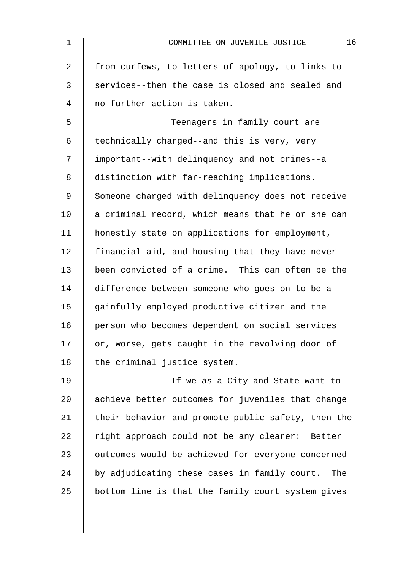| $\mathbf 1$    | 16<br>COMMITTEE ON JUVENILE JUSTICE                |
|----------------|----------------------------------------------------|
| $\overline{a}$ | from curfews, to letters of apology, to links to   |
| 3              | services--then the case is closed and sealed and   |
| 4              | no further action is taken.                        |
| 5              | Teenagers in family court are                      |
| 6              | technically charged--and this is very, very        |
| 7              | important--with delinquency and not crimes--a      |
| 8              | distinction with far-reaching implications.        |
| 9              | Someone charged with delinquency does not receive  |
| 10             | a criminal record, which means that he or she can  |
| 11             | honestly state on applications for employment,     |
| 12             | financial aid, and housing that they have never    |
| 13             | been convicted of a crime. This can often be the   |
| 14             | difference between someone who goes on to be a     |
| 15             | gainfully employed productive citizen and the      |
| 16             | person who becomes dependent on social services    |
| 17             | or, worse, gets caught in the revolving door of    |
| 18             | the criminal justice system.                       |
| 19             | If we as a City and State want to                  |
| 20             | achieve better outcomes for juveniles that change  |
| 21             | their behavior and promote public safety, then the |
| 22             | right approach could not be any clearer: Better    |
| 23             | outcomes would be achieved for everyone concerned  |
| 24             | by adjudicating these cases in family court. The   |
| 25             | bottom line is that the family court system gives  |
|                |                                                    |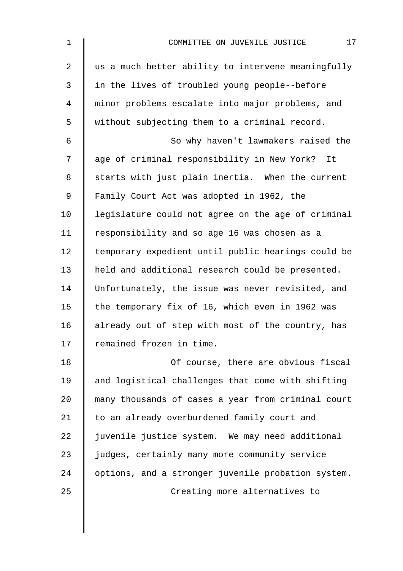| $\mathbf 1$    | 17<br>COMMITTEE ON JUVENILE JUSTICE                |
|----------------|----------------------------------------------------|
| $\overline{2}$ | us a much better ability to intervene meaningfully |
| 3              | in the lives of troubled young people--before      |
| 4              | minor problems escalate into major problems, and   |
| 5              | without subjecting them to a criminal record.      |
| 6              | So why haven't lawmakers raised the                |
| 7              | age of criminal responsibility in New York? It     |
| 8              | starts with just plain inertia. When the current   |
| 9              | Family Court Act was adopted in 1962, the          |
| 10             | legislature could not agree on the age of criminal |
| 11             | responsibility and so age 16 was chosen as a       |
| 12             | temporary expedient until public hearings could be |
| 13             | held and additional research could be presented.   |
| 14             | Unfortunately, the issue was never revisited, and  |
| 15             | the temporary fix of 16, which even in 1962 was    |
| 16             | already out of step with most of the country, has  |
| 17             | remained frozen in time.                           |
| 18             | Of course, there are obvious fiscal                |
| 19             | and logistical challenges that come with shifting  |
| 20             | many thousands of cases a year from criminal court |
| 21             | to an already overburdened family court and        |
| 22             | juvenile justice system. We may need additional    |
| 23             | judges, certainly many more community service      |
| 24             | options, and a stronger juvenile probation system. |
| 25             | Creating more alternatives to                      |
|                |                                                    |
|                |                                                    |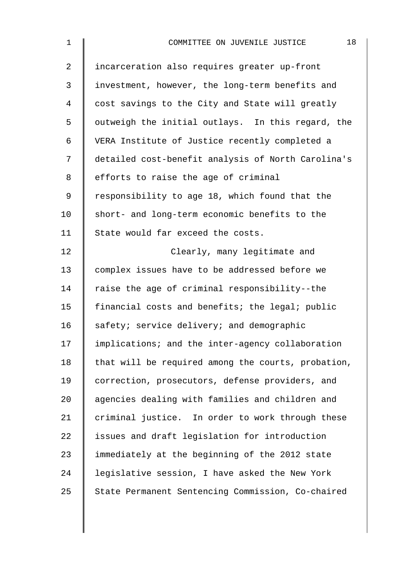| $\mathbf{1}$   | 18<br>COMMITTEE ON JUVENILE JUSTICE                |
|----------------|----------------------------------------------------|
| $\overline{a}$ | incarceration also requires greater up-front       |
| $\mathsf{3}$   | investment, however, the long-term benefits and    |
| 4              | cost savings to the City and State will greatly    |
| 5              | outweigh the initial outlays. In this regard, the  |
| 6              | VERA Institute of Justice recently completed a     |
| 7              | detailed cost-benefit analysis of North Carolina's |
| 8              | efforts to raise the age of criminal               |
| 9              | responsibility to age 18, which found that the     |
| 10             | short- and long-term economic benefits to the      |
| 11             | State would far exceed the costs.                  |
| 12             | Clearly, many legitimate and                       |
| 13             | complex issues have to be addressed before we      |
| 14             | raise the age of criminal responsibility--the      |
| 15             | financial costs and benefits; the legal; public    |
| 16             | safety; service delivery; and demographic          |
| 17             | implications; and the inter-agency collaboration   |
| 18             | that will be required among the courts, probation, |
| 19             | correction, prosecutors, defense providers, and    |
| 20             | agencies dealing with families and children and    |
| 21             | criminal justice. In order to work through these   |
| 22             | issues and draft legislation for introduction      |
| 23             | immediately at the beginning of the 2012 state     |
| 24             | legislative session, I have asked the New York     |
| 25             | State Permanent Sentencing Commission, Co-chaired  |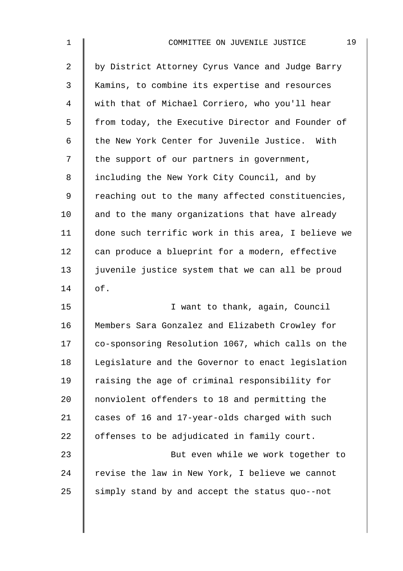| $\mathbf 1$    | 19<br>COMMITTEE ON JUVENILE JUSTICE                |
|----------------|----------------------------------------------------|
| $\overline{a}$ | by District Attorney Cyrus Vance and Judge Barry   |
| 3              | Kamins, to combine its expertise and resources     |
| 4              | with that of Michael Corriero, who you'll hear     |
| 5              | from today, the Executive Director and Founder of  |
| 6              | the New York Center for Juvenile Justice. With     |
| 7              | the support of our partners in government,         |
| 8              | including the New York City Council, and by        |
| 9              | reaching out to the many affected constituencies,  |
| 10             | and to the many organizations that have already    |
| 11             | done such terrific work in this area, I believe we |
| 12             | can produce a blueprint for a modern, effective    |
| 13             | juvenile justice system that we can all be proud   |
| 14             | of.                                                |
| 15             | I want to thank, again, Council                    |
| 16             | Members Sara Gonzalez and Elizabeth Crowley for    |
| 17             | co-sponsoring Resolution 1067, which calls on the  |
| 18             | Legislature and the Governor to enact legislation  |
| 19             | raising the age of criminal responsibility for     |
| 20             | nonviolent offenders to 18 and permitting the      |
| 21             | cases of 16 and 17-year-olds charged with such     |
| 22             | offenses to be adjudicated in family court.        |
| 23             | But even while we work together to                 |
| 24             | revise the law in New York, I believe we cannot    |
| 25             | simply stand by and accept the status quo--not     |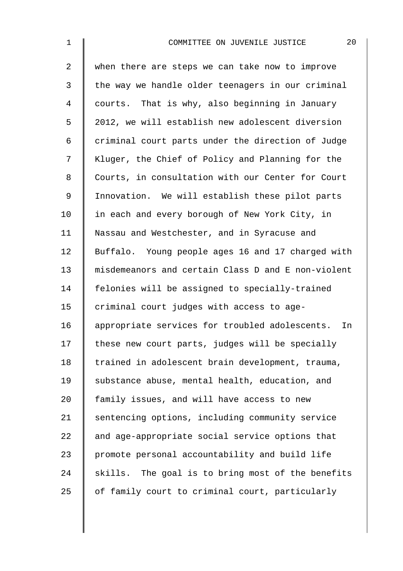| $\mathbf 1$    | 20<br>COMMITTEE ON JUVENILE JUSTICE                  |
|----------------|------------------------------------------------------|
| $\overline{2}$ | when there are steps we can take now to improve      |
| 3              | the way we handle older teenagers in our criminal    |
| 4              | courts. That is why, also beginning in January       |
| 5              | 2012, we will establish new adolescent diversion     |
| 6              | criminal court parts under the direction of Judge    |
| 7              | Kluger, the Chief of Policy and Planning for the     |
| 8              | Courts, in consultation with our Center for Court    |
| 9              | Innovation. We will establish these pilot parts      |
| 10             | in each and every borough of New York City, in       |
| 11             | Nassau and Westchester, and in Syracuse and          |
| 12             | Buffalo. Young people ages 16 and 17 charged with    |
| 13             | misdemeanors and certain Class D and E non-violent   |
| 14             | felonies will be assigned to specially-trained       |
| 15             | criminal court judges with access to age-            |
| 16             | appropriate services for troubled adolescents.<br>In |
| 17             | these new court parts, judges will be specially      |
| 18             | trained in adolescent brain development, trauma,     |
| 19             | substance abuse, mental health, education, and       |
| 20             | family issues, and will have access to new           |
| 21             | sentencing options, including community service      |
| 22             | and age-appropriate social service options that      |
| 23             | promote personal accountability and build life       |
| 24             | skills. The goal is to bring most of the benefits    |
| 25             | of family court to criminal court, particularly      |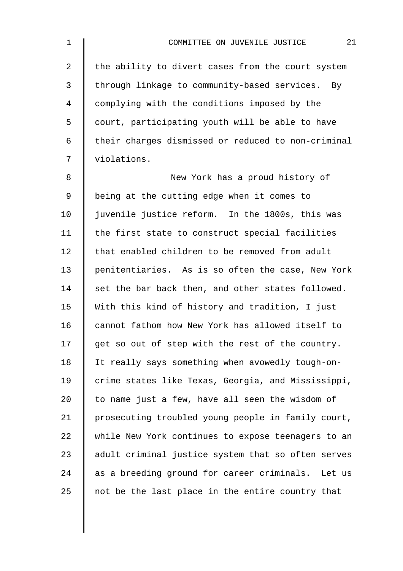| $\mathbf 1$    | 21<br>COMMITTEE ON JUVENILE JUSTICE                  |
|----------------|------------------------------------------------------|
| $\overline{a}$ | the ability to divert cases from the court system    |
| 3              | through linkage to community-based services. By      |
| 4              | complying with the conditions imposed by the         |
| 5              | court, participating youth will be able to have      |
| 6              | their charges dismissed or reduced to non-criminal   |
| 7              | violations.                                          |
| 8              | New York has a proud history of                      |
| 9              | being at the cutting edge when it comes to           |
| 10             | juvenile justice reform. In the 1800s, this was      |
| 11             | the first state to construct special facilities      |
| 12             | that enabled children to be removed from adult       |
| 13             | penitentiaries. As is so often the case, New York    |
| 14             | set the bar back then, and other states followed.    |
| 15             | With this kind of history and tradition, I just      |
| 16             | cannot fathom how New York has allowed itself to     |
| 17             | get so out of step with the rest of the country.     |
| 18             | It really says something when avowedly tough-on-     |
| 19             | crime states like Texas, Georgia, and Mississippi,   |
| 20             | to name just a few, have all seen the wisdom of      |
| 21             | prosecuting troubled young people in family court,   |
| 22             | while New York continues to expose teenagers to an   |
| 23             | adult criminal justice system that so often serves   |
| 24             | as a breeding ground for career criminals.<br>Let us |
| 25             | not be the last place in the entire country that     |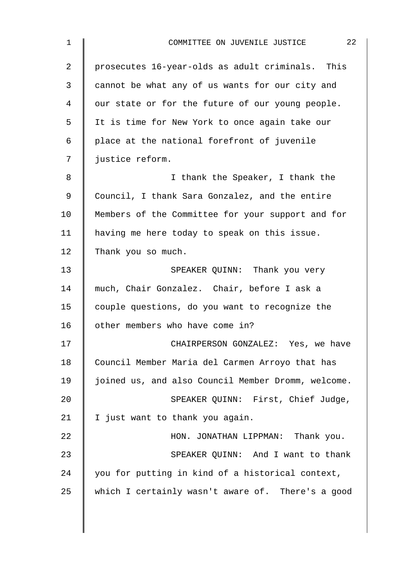| 22<br>COMMITTEE ON JUVENILE JUSTICE                |
|----------------------------------------------------|
| prosecutes 16-year-olds as adult criminals. This   |
| cannot be what any of us wants for our city and    |
| our state or for the future of our young people.   |
| It is time for New York to once again take our     |
| place at the national forefront of juvenile        |
| justice reform.                                    |
| I thank the Speaker, I thank the                   |
| Council, I thank Sara Gonzalez, and the entire     |
| Members of the Committee for your support and for  |
| having me here today to speak on this issue.       |
| Thank you so much.                                 |
| SPEAKER QUINN: Thank you very                      |
| much, Chair Gonzalez. Chair, before I ask a        |
| couple questions, do you want to recognize the     |
| other members who have come in?                    |
| CHAIRPERSON GONZALEZ: Yes, we have                 |
| Council Member Maria del Carmen Arroyo that has    |
| joined us, and also Council Member Dromm, welcome. |
| SPEAKER QUINN: First, Chief Judge,                 |
| I just want to thank you again.                    |
| HON. JONATHAN LIPPMAN: Thank you.                  |
| SPEAKER QUINN: And I want to thank                 |
| you for putting in kind of a historical context,   |
| which I certainly wasn't aware of. There's a good  |
|                                                    |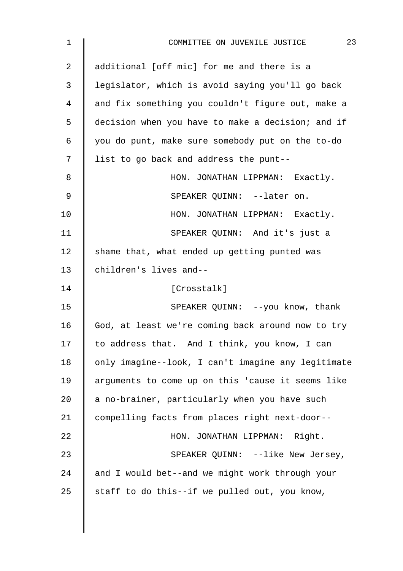| 1              | 23<br>COMMITTEE ON JUVENILE JUSTICE                |
|----------------|----------------------------------------------------|
| $\overline{2}$ | additional [off mic] for me and there is a         |
| 3              | legislator, which is avoid saying you'll go back   |
| 4              | and fix something you couldn't figure out, make a  |
| 5              | decision when you have to make a decision; and if  |
| 6              | you do punt, make sure somebody put on the to-do   |
| 7              | list to go back and address the punt--             |
| 8              | HON. JONATHAN LIPPMAN: Exactly.                    |
| 9              | SPEAKER OUINN: --later on.                         |
| 10             | HON. JONATHAN LIPPMAN: Exactly.                    |
| 11             | SPEAKER QUINN: And it's just a                     |
| 12             | shame that, what ended up getting punted was       |
| 13             | children's lives and--                             |
| 14             | [Crosstalk]                                        |
| 15             | SPEAKER QUINN: --you know, thank                   |
| 16             | God, at least we're coming back around now to try  |
| 17             | to address that. And I think, you know, I can      |
| 18             | only imagine--look, I can't imagine any legitimate |
| 19             | arguments to come up on this 'cause it seems like  |
| 20             | a no-brainer, particularly when you have such      |
| 21             | compelling facts from places right next-door--     |
| 22             | HON. JONATHAN LIPPMAN: Right.                      |
| 23             | SPEAKER QUINN: --like New Jersey,                  |
| 24             | and I would bet--and we might work through your    |
| 25             | staff to do this--if we pulled out, you know,      |
|                |                                                    |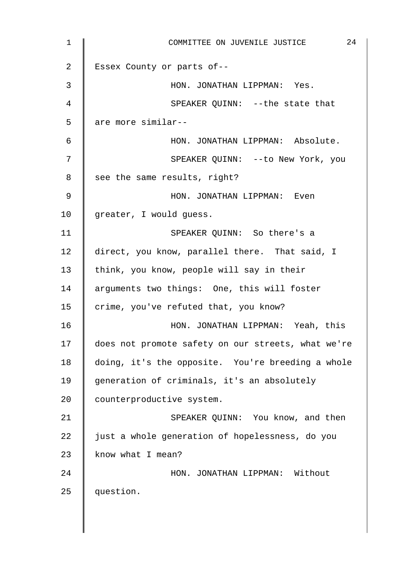| $\mathbf 1$    | 24<br>COMMITTEE ON JUVENILE JUSTICE                |
|----------------|----------------------------------------------------|
| 2              | Essex County or parts of--                         |
| 3              | HON. JONATHAN LIPPMAN: Yes.                        |
| $\overline{4}$ | SPEAKER QUINN: --the state that                    |
| 5              | are more similar--                                 |
| $\epsilon$     | HON. JONATHAN LIPPMAN: Absolute.                   |
| 7              | SPEAKER QUINN: -- to New York, you                 |
| 8              | see the same results, right?                       |
| $\mathsf 9$    | HON. JONATHAN LIPPMAN: Even                        |
| 10             | greater, I would guess.                            |
| 11             | SPEAKER QUINN: So there's a                        |
| 12             | direct, you know, parallel there. That said, I     |
| 13             | think, you know, people will say in their          |
| 14             | arguments two things: One, this will foster        |
| 15             | crime, you've refuted that, you know?              |
| 16             | HON. JONATHAN LIPPMAN: Yeah, this                  |
| 17             | does not promote safety on our streets, what we're |
| 18             | doing, it's the opposite. You're breeding a whole  |
| 19             | generation of criminals, it's an absolutely        |
| 20             | counterproductive system.                          |
| 21             | SPEAKER QUINN: You know, and then                  |
| 22             | just a whole generation of hopelessness, do you    |
| 23             | know what I mean?                                  |
| 24             | HON. JONATHAN LIPPMAN: Without                     |
| 25             | question.                                          |
|                |                                                    |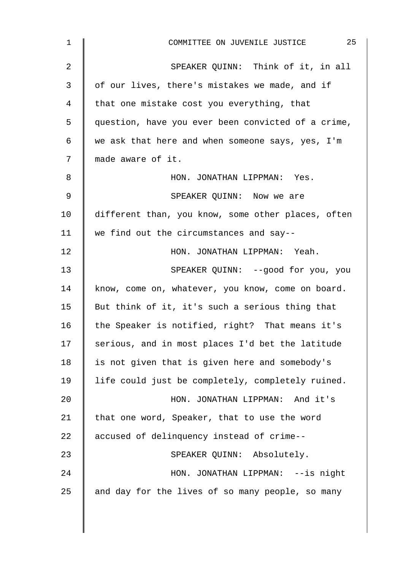| $\mathbf{1}$ | 25<br>COMMITTEE ON JUVENILE JUSTICE                |
|--------------|----------------------------------------------------|
| 2            | SPEAKER QUINN: Think of it, in all                 |
| 3            | of our lives, there's mistakes we made, and if     |
| 4            | that one mistake cost you everything, that         |
| 5            | question, have you ever been convicted of a crime, |
| 6            | we ask that here and when someone says, yes, I'm   |
| 7            | made aware of it.                                  |
| 8            | HON. JONATHAN LIPPMAN: Yes.                        |
| 9            | SPEAKER QUINN: Now we are                          |
| 10           | different than, you know, some other places, often |
| 11           | we find out the circumstances and say--            |
| 12           | HON. JONATHAN LIPPMAN: Yeah.                       |
| 13           | SPEAKER QUINN: --good for you, you                 |
| 14           | know, come on, whatever, you know, come on board.  |
| 15           | But think of it, it's such a serious thing that    |
| 16           | the Speaker is notified, right? That means it's    |
| 17           | serious, and in most places I'd bet the latitude   |
| 18           | is not given that is given here and somebody's     |
| 19           | life could just be completely, completely ruined.  |
| 20           | HON. JONATHAN LIPPMAN: And it's                    |
| 21           | that one word, Speaker, that to use the word       |
| 22           | accused of delinquency instead of crime--          |
| 23           | SPEAKER QUINN: Absolutely.                         |
| 24           | HON. JONATHAN LIPPMAN: --is night                  |
| 25           | and day for the lives of so many people, so many   |
|              |                                                    |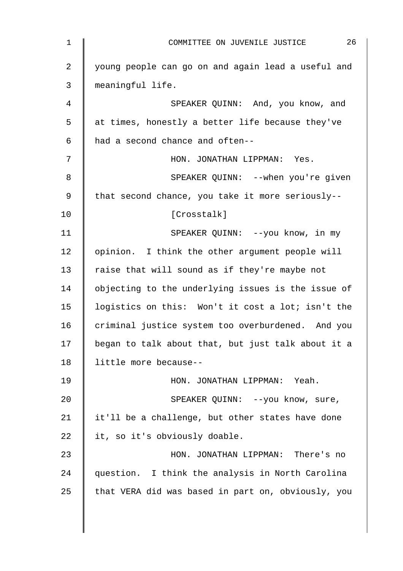| $\mathbf 1$ | 26<br>COMMITTEE ON JUVENILE JUSTICE                |
|-------------|----------------------------------------------------|
| 2           | young people can go on and again lead a useful and |
| 3           | meaningful life.                                   |
| 4           | SPEAKER QUINN: And, you know, and                  |
| 5           | at times, honestly a better life because they've   |
| 6           | had a second chance and often--                    |
| 7           | HON. JONATHAN LIPPMAN: Yes.                        |
| 8           | SPEAKER QUINN: --when you're given                 |
| $\mathsf 9$ | that second chance, you take it more seriously--   |
| 10          | [Crosstalk]                                        |
| 11          | SPEAKER QUINN: --you know, in my                   |
| 12          | opinion. I think the other argument people will    |
| 13          | raise that will sound as if they're maybe not      |
| 14          | objecting to the underlying issues is the issue of |
| 15          | logistics on this: Won't it cost a lot; isn't the  |
| 16          | criminal justice system too overburdened. And you  |
| 17          | began to talk about that, but just talk about it a |
| 18          | little more because--                              |
| 19          | HON. JONATHAN LIPPMAN: Yeah.                       |
| 20          | SPEAKER QUINN: --you know, sure,                   |
| 21          | it'll be a challenge, but other states have done   |
| 22          | it, so it's obviously doable.                      |
| 23          | HON. JONATHAN LIPPMAN: There's no                  |
| 24          | question. I think the analysis in North Carolina   |
| 25          | that VERA did was based in part on, obviously, you |
|             |                                                    |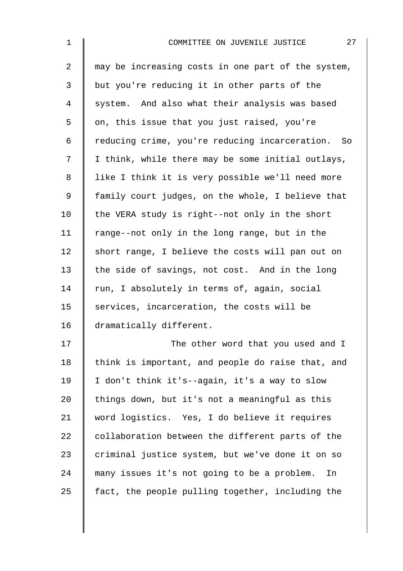| $\mathbf 1$    | 27<br>COMMITTEE ON JUVENILE JUSTICE                |
|----------------|----------------------------------------------------|
| $\overline{a}$ | may be increasing costs in one part of the system, |
| 3              | but you're reducing it in other parts of the       |
| 4              | system. And also what their analysis was based     |
| 5              | on, this issue that you just raised, you're        |
| 6              | reducing crime, you're reducing incarceration. So  |
| 7              | I think, while there may be some initial outlays,  |
| 8              | like I think it is very possible we'll need more   |
| 9              | family court judges, on the whole, I believe that  |
| 10             | the VERA study is right--not only in the short     |
| 11             | range--not only in the long range, but in the      |
| 12             | short range, I believe the costs will pan out on   |
| 13             | the side of savings, not cost. And in the long     |
| 14             | run, I absolutely in terms of, again, social       |
| 15             | services, incarceration, the costs will be         |
| 16             | dramatically different.                            |
| 17             | The other word that you used and I                 |
| 18             | think is important, and people do raise that, and  |
| 19             | I don't think it's--again, it's a way to slow      |
| 20             | things down, but it's not a meaningful as this     |
| 21             | word logistics. Yes, I do believe it requires      |
| 22             | collaboration between the different parts of the   |
| 23             | criminal justice system, but we've done it on so   |
| 24             | many issues it's not going to be a problem.<br>In  |
| 25             | fact, the people pulling together, including the   |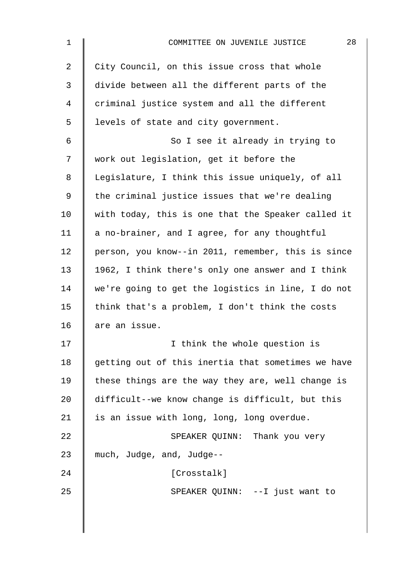| 1  | 28<br>COMMITTEE ON JUVENILE JUSTICE                |
|----|----------------------------------------------------|
| 2  | City Council, on this issue cross that whole       |
| 3  | divide between all the different parts of the      |
| 4  | criminal justice system and all the different      |
| 5  | levels of state and city government.               |
| 6  | So I see it already in trying to                   |
| 7  | work out legislation, get it before the            |
| 8  | Legislature, I think this issue uniquely, of all   |
| 9  | the criminal justice issues that we're dealing     |
| 10 | with today, this is one that the Speaker called it |
| 11 | a no-brainer, and I agree, for any thoughtful      |
| 12 | person, you know--in 2011, remember, this is since |
| 13 | 1962, I think there's only one answer and I think  |
| 14 | we're going to get the logistics in line, I do not |
| 15 | think that's a problem, I don't think the costs    |
| 16 | are an issue.                                      |
| 17 | I think the whole question is                      |
| 18 | getting out of this inertia that sometimes we have |
| 19 | these things are the way they are, well change is  |
| 20 | difficult--we know change is difficult, but this   |
| 21 | is an issue with long, long, long overdue.         |
| 22 | SPEAKER QUINN: Thank you very                      |
| 23 | much, Judge, and, Judge--                          |
| 24 | [Crosstalk]                                        |
| 25 | SPEAKER QUINN: --I just want to                    |
|    |                                                    |
|    |                                                    |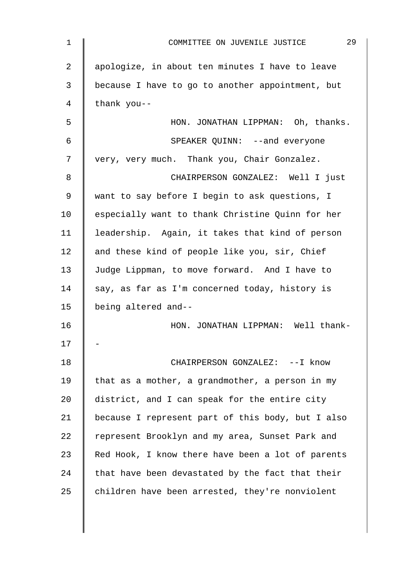| $\mathbf 1$    | 29<br>COMMITTEE ON JUVENILE JUSTICE               |
|----------------|---------------------------------------------------|
| $\overline{2}$ | apologize, in about ten minutes I have to leave   |
| 3              | because I have to go to another appointment, but  |
| 4              | thank you--                                       |
| 5              | HON. JONATHAN LIPPMAN: Oh, thanks.                |
| 6              | SPEAKER QUINN: --and everyone                     |
| 7              | very, very much. Thank you, Chair Gonzalez.       |
| 8              | CHAIRPERSON GONZALEZ: Well I just                 |
| 9              | want to say before I begin to ask questions, I    |
| 10             | especially want to thank Christine Quinn for her  |
| 11             | leadership. Again, it takes that kind of person   |
| 12             | and these kind of people like you, sir, Chief     |
| 13             | Judge Lippman, to move forward. And I have to     |
| 14             | say, as far as I'm concerned today, history is    |
| 15             | being altered and--                               |
| 16             | HON. JONATHAN LIPPMAN: Well thank-                |
| 17             |                                                   |
| 18             | CHAIRPERSON GONZALEZ: --I know                    |
| 19             | that as a mother, a grandmother, a person in my   |
| 20             | district, and I can speak for the entire city     |
| 21             | because I represent part of this body, but I also |
| 22             | represent Brooklyn and my area, Sunset Park and   |
| 23             | Red Hook, I know there have been a lot of parents |
| 24             | that have been devastated by the fact that their  |
| 25             | children have been arrested, they're nonviolent   |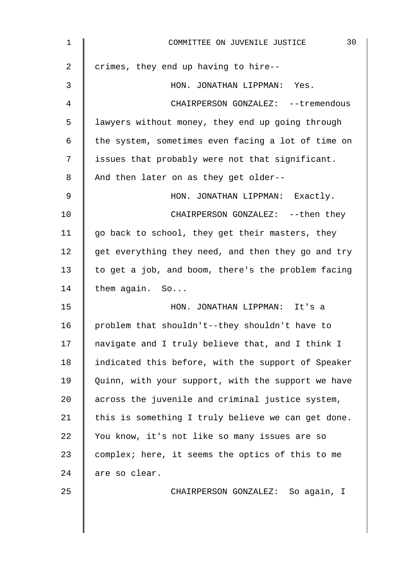| 1  | 30<br>COMMITTEE ON JUVENILE JUSTICE                |
|----|----------------------------------------------------|
| 2  | crimes, they end up having to hire--               |
| 3  | HON. JONATHAN LIPPMAN: Yes.                        |
| 4  | CHAIRPERSON GONZALEZ: -- tremendous                |
| 5  | lawyers without money, they end up going through   |
| 6  | the system, sometimes even facing a lot of time on |
| 7  | issues that probably were not that significant.    |
| 8  | And then later on as they get older--              |
| 9  | HON. JONATHAN LIPPMAN: Exactly.                    |
| 10 | CHAIRPERSON GONZALEZ: -- then they                 |
| 11 | go back to school, they get their masters, they    |
| 12 | get everything they need, and then they go and try |
| 13 | to get a job, and boom, there's the problem facing |
| 14 | them again. So                                     |
| 15 | HON. JONATHAN LIPPMAN: It's a                      |
| 16 | problem that shouldn't--they shouldn't have to     |
| 17 | navigate and I truly believe that, and I think I   |
| 18 | indicated this before, with the support of Speaker |
| 19 | Quinn, with your support, with the support we have |
| 20 | across the juvenile and criminal justice system,   |
| 21 | this is something I truly believe we can get done. |
| 22 | You know, it's not like so many issues are so      |
| 23 | complex; here, it seems the optics of this to me   |
| 24 | are so clear.                                      |
| 25 | CHAIRPERSON GONZALEZ: So again, I                  |
|    |                                                    |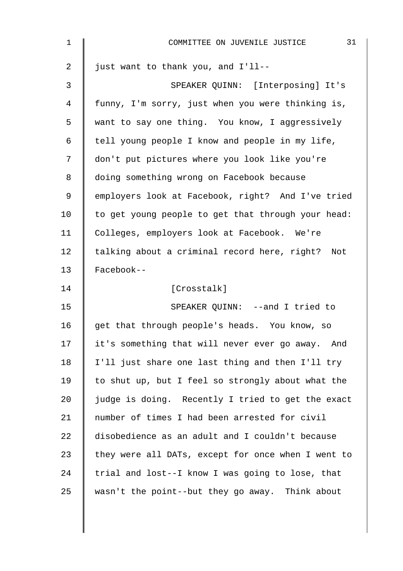| $\mathbf{1}$   | 31<br>COMMITTEE ON JUVENILE JUSTICE                |
|----------------|----------------------------------------------------|
| $\overline{a}$ | just want to thank you, and I'll--                 |
| 3              | SPEAKER QUINN: [Interposing] It's                  |
| 4              | funny, I'm sorry, just when you were thinking is,  |
| 5              | want to say one thing. You know, I aggressively    |
| 6              | tell young people I know and people in my life,    |
| 7              | don't put pictures where you look like you're      |
| 8              | doing something wrong on Facebook because          |
| 9              | employers look at Facebook, right? And I've tried  |
| 10             | to get young people to get that through your head: |
| 11             | Colleges, employers look at Facebook. We're        |
| 12             | talking about a criminal record here, right? Not   |
| 13             | Facebook--                                         |
| 14             | [Crosstalk]                                        |
| 15             | SPEAKER QUINN: --and I tried to                    |
| 16             | get that through people's heads. You know, so      |
| 17             | it's something that will never ever go away. And   |
| 18             | I'll just share one last thing and then I'll try   |
| 19             | to shut up, but I feel so strongly about what the  |
| 20             | judge is doing. Recently I tried to get the exact  |
| 21             | number of times I had been arrested for civil      |
| 22             | disobedience as an adult and I couldn't because    |
| 23             | they were all DATs, except for once when I went to |
| 24             | trial and lost--I know I was going to lose, that   |
| 25             | wasn't the point--but they go away. Think about    |
|                |                                                    |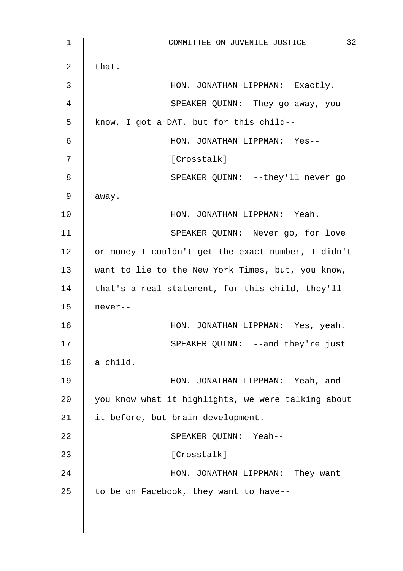| $\mathbf 1$ | 32<br>COMMITTEE ON JUVENILE JUSTICE                |
|-------------|----------------------------------------------------|
| 2           | that.                                              |
| 3           | HON. JONATHAN LIPPMAN: Exactly.                    |
| 4           | SPEAKER QUINN: They go away, you                   |
| 5           | know, I got a DAT, but for this child--            |
| 6           | HON. JONATHAN LIPPMAN: Yes--                       |
| 7           | [Crosstalk]                                        |
| 8           | SPEAKER QUINN: --they'll never go                  |
| 9           | away.                                              |
| 10          | HON. JONATHAN LIPPMAN: Yeah.                       |
| 11          | SPEAKER QUINN: Never go, for love                  |
| 12          | or money I couldn't get the exact number, I didn't |
| 13          | want to lie to the New York Times, but, you know,  |
| 14          | that's a real statement, for this child, they'll   |
| 15          | never--                                            |
| 16          | HON. JONATHAN LIPPMAN: Yes, yeah.                  |
| 17          | SPEAKER QUINN: --and they're just                  |
| 18          | a child.                                           |
| 19          | HON. JONATHAN LIPPMAN: Yeah, and                   |
| 20          | you know what it highlights, we were talking about |
| 21          | it before, but brain development.                  |
| 22          | SPEAKER QUINN: Yeah--                              |
| 23          | [Crosstalk]                                        |
| 24          | HON. JONATHAN LIPPMAN: They want                   |
| 25          | to be on Facebook, they want to have--             |
|             |                                                    |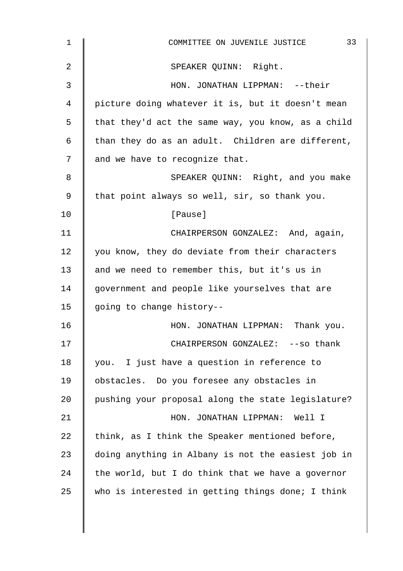| $\mathbf 1$    | 33<br>COMMITTEE ON JUVENILE JUSTICE                |
|----------------|----------------------------------------------------|
| $\overline{2}$ | SPEAKER QUINN: Right.                              |
| 3              | HON. JONATHAN LIPPMAN: --their                     |
| 4              | picture doing whatever it is, but it doesn't mean  |
| 5              | that they'd act the same way, you know, as a child |
| 6              | than they do as an adult. Children are different,  |
| 7              | and we have to recognize that.                     |
| 8              | SPEAKER QUINN: Right, and you make                 |
| 9              | that point always so well, sir, so thank you.      |
| 10             | [Pause]                                            |
| 11             | CHAIRPERSON GONZALEZ: And, again,                  |
| 12             | you know, they do deviate from their characters    |
| 13             | and we need to remember this, but it's us in       |
| 14             | government and people like yourselves that are     |
| 15             | going to change history--                          |
| 16             | HON. JONATHAN LIPPMAN: Thank you.                  |
| 17             | CHAIRPERSON GONZALEZ: -- so thank                  |
| 18             | you. I just have a question in reference to        |
| 19             | obstacles. Do you foresee any obstacles in         |
| 20             | pushing your proposal along the state legislature? |
| 21             | HON. JONATHAN LIPPMAN: Well I                      |
| 22             | think, as I think the Speaker mentioned before,    |
| 23             | doing anything in Albany is not the easiest job in |
| 24             | the world, but I do think that we have a governor  |
| 25             | who is interested in getting things done; I think  |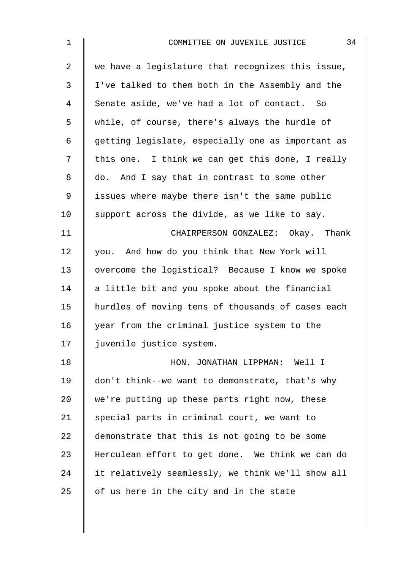| 1              | 34<br>COMMITTEE ON JUVENILE JUSTICE               |
|----------------|---------------------------------------------------|
| $\overline{2}$ | we have a legislature that recognizes this issue, |
| $\mathfrak{Z}$ | I've talked to them both in the Assembly and the  |
| 4              | Senate aside, we've had a lot of contact. So      |
| 5              | while, of course, there's always the hurdle of    |
| 6              | getting legislate, especially one as important as |
| 7              | this one. I think we can get this done, I really  |
| 8              | do. And I say that in contrast to some other      |
| 9              | issues where maybe there isn't the same public    |
| 10             | support across the divide, as we like to say.     |
| 11             | CHAIRPERSON GONZALEZ: Okay. Thank                 |
| 12             | you. And how do you think that New York will      |
| 13             | overcome the logistical? Because I know we spoke  |
| 14             | a little bit and you spoke about the financial    |
| 15             | hurdles of moving tens of thousands of cases each |
| 16             | year from the criminal justice system to the      |
| 17             | juvenile justice system.                          |
| 18             | HON. JONATHAN LIPPMAN: Well I                     |
| 19             | don't think--we want to demonstrate, that's why   |
| 20             | we're putting up these parts right now, these     |
| 21             | special parts in criminal court, we want to       |
| 22             | demonstrate that this is not going to be some     |
| 23             | Herculean effort to get done. We think we can do  |
| 24             | it relatively seamlessly, we think we'll show all |
| 25             | of us here in the city and in the state           |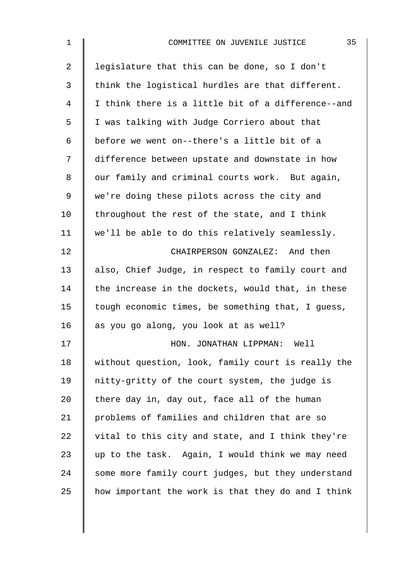| $\mathbf 1$ | 35<br>COMMITTEE ON JUVENILE JUSTICE                |
|-------------|----------------------------------------------------|
| 2           | legislature that this can be done, so I don't      |
| 3           | think the logistical hurdles are that different.   |
| 4           | I think there is a little bit of a difference--and |
| 5           | I was talking with Judge Corriero about that       |
| 6           | before we went on--there's a little bit of a       |
| 7           | difference between upstate and downstate in how    |
| 8           | our family and criminal courts work. But again,    |
| $\mathsf 9$ | we're doing these pilots across the city and       |
| 10          | throughout the rest of the state, and I think      |
| 11          | we'll be able to do this relatively seamlessly.    |
| 12          | CHAIRPERSON GONZALEZ: And then                     |
| 13          | also, Chief Judge, in respect to family court and  |
| 14          | the increase in the dockets, would that, in these  |
| 15          | tough economic times, be something that, I guess,  |
| 16          | as you go along, you look at as well?              |
| 17          | HON. JONATHAN LIPPMAN: Well                        |
| 18          | without question, look, family court is really the |
| 19          | nitty-gritty of the court system, the judge is     |
| 20          | there day in, day out, face all of the human       |
| 21          | problems of families and children that are so      |
| 22          | vital to this city and state, and I think they're  |
| 23          | up to the task. Again, I would think we may need   |
| 24          | some more family court judges, but they understand |
| 25          | how important the work is that they do and I think |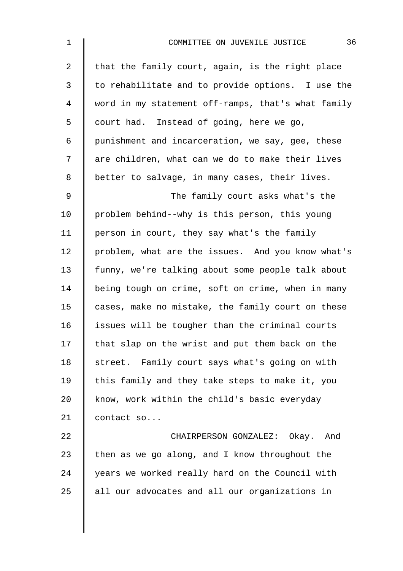| $\mathbf 1$    | 36<br>COMMITTEE ON JUVENILE JUSTICE                |
|----------------|----------------------------------------------------|
| $\overline{2}$ | that the family court, again, is the right place   |
| 3              | to rehabilitate and to provide options. I use the  |
| $\overline{4}$ | word in my statement off-ramps, that's what family |
| 5              | court had. Instead of going, here we go,           |
| 6              | punishment and incarceration, we say, gee, these   |
| 7              | are children, what can we do to make their lives   |
| $\,8\,$        | better to salvage, in many cases, their lives.     |
| $\mathsf 9$    | The family court asks what's the                   |
| 10             | problem behind--why is this person, this young     |
| 11             | person in court, they say what's the family        |
| 12             | problem, what are the issues. And you know what's  |
| 13             | funny, we're talking about some people talk about  |
| 14             | being tough on crime, soft on crime, when in many  |
| 15             | cases, make no mistake, the family court on these  |
| 16             | issues will be tougher than the criminal courts    |
| 17             | that slap on the wrist and put them back on the    |
| 18             | street. Family court says what's going on with     |
| 19             | this family and they take steps to make it, you    |
| 20             | know, work within the child's basic everyday       |
| 21             | contact so                                         |
| 22             | CHAIRPERSON GONZALEZ: Okay. And                    |
| 23             | then as we go along, and I know throughout the     |
| 24             | years we worked really hard on the Council with    |
| 25             | all our advocates and all our organizations in     |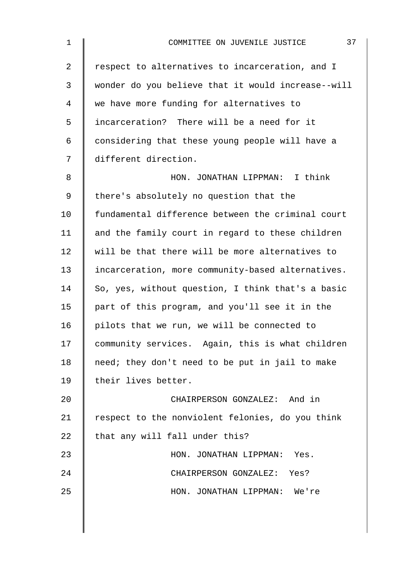| $\mathbf 1$ | 37<br>COMMITTEE ON JUVENILE JUSTICE                |
|-------------|----------------------------------------------------|
| 2           | respect to alternatives to incarceration, and I    |
| 3           | wonder do you believe that it would increase--will |
| 4           | we have more funding for alternatives to           |
| 5           | incarceration? There will be a need for it         |
| 6           | considering that these young people will have a    |
| 7           | different direction.                               |
| 8           | HON. JONATHAN LIPPMAN: I think                     |
| $\mathsf 9$ | there's absolutely no question that the            |
| 10          | fundamental difference between the criminal court  |
| 11          | and the family court in regard to these children   |
| 12          | will be that there will be more alternatives to    |
| 13          | incarceration, more community-based alternatives.  |
| 14          | So, yes, without question, I think that's a basic  |
| 15          | part of this program, and you'll see it in the     |
| 16          | pilots that we run, we will be connected to        |
| 17          | community services. Again, this is what children   |
| 18          | need; they don't need to be put in jail to make    |
| 19          | their lives better.                                |
| 20          | CHAIRPERSON GONZALEZ: And in                       |
| 21          | respect to the nonviolent felonies, do you think   |
| 22          | that any will fall under this?                     |
| 23          | HON. JONATHAN LIPPMAN: Yes.                        |
| 24          | CHAIRPERSON GONZALEZ: Yes?                         |
| 25          | HON. JONATHAN LIPPMAN: We're                       |
|             |                                                    |
|             |                                                    |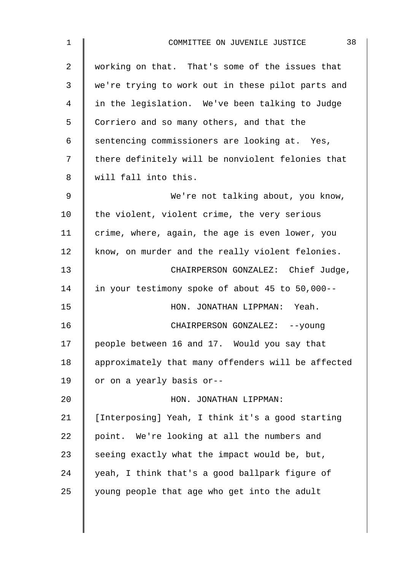| $\mathbf{1}$ | 38<br>COMMITTEE ON JUVENILE JUSTICE                |
|--------------|----------------------------------------------------|
| 2            | working on that. That's some of the issues that    |
| 3            | we're trying to work out in these pilot parts and  |
| 4            | in the legislation. We've been talking to Judge    |
| 5            | Corriero and so many others, and that the          |
| 6            | sentencing commissioners are looking at. Yes,      |
| 7            | there definitely will be nonviolent felonies that  |
| 8            | will fall into this.                               |
| 9            | We're not talking about, you know,                 |
| 10           | the violent, violent crime, the very serious       |
| 11           | crime, where, again, the age is even lower, you    |
| 12           | know, on murder and the really violent felonies.   |
| 13           | CHAIRPERSON GONZALEZ: Chief Judge,                 |
| 14           | in your testimony spoke of about 45 to 50,000--    |
| 15           | HON. JONATHAN LIPPMAN: Yeah.                       |
| 16           | CHAIRPERSON GONZALEZ: -- young                     |
| 17           | people between 16 and 17. Would you say that       |
| 18           | approximately that many offenders will be affected |
| 19           | or on a yearly basis or--                          |
| 20           | HON. JONATHAN LIPPMAN:                             |
| 21           | [Interposing] Yeah, I think it's a good starting   |
| 22           | point. We're looking at all the numbers and        |
| 23           | seeing exactly what the impact would be, but,      |
| 24           | yeah, I think that's a good ballpark figure of     |
| 25           | young people that age who get into the adult       |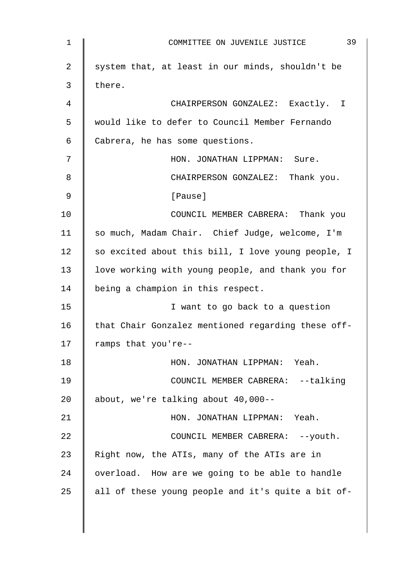| 1  | 39<br>COMMITTEE ON JUVENILE JUSTICE                |
|----|----------------------------------------------------|
| 2  | system that, at least in our minds, shouldn't be   |
| 3  | there.                                             |
| 4  | CHAIRPERSON GONZALEZ: Exactly. I                   |
| 5  | would like to defer to Council Member Fernando     |
| 6  | Cabrera, he has some questions.                    |
| 7  | HON. JONATHAN LIPPMAN: Sure.                       |
| 8  | CHAIRPERSON GONZALEZ: Thank you.                   |
| 9  | [Pause]                                            |
| 10 | COUNCIL MEMBER CABRERA: Thank you                  |
| 11 | so much, Madam Chair. Chief Judge, welcome, I'm    |
| 12 | so excited about this bill, I love young people, I |
| 13 | love working with young people, and thank you for  |
| 14 | being a champion in this respect.                  |
| 15 | I want to go back to a question                    |
| 16 | that Chair Gonzalez mentioned regarding these off- |
| 17 | ramps that you're--                                |
| 18 | HON. JONATHAN LIPPMAN: Yeah.                       |
| 19 | COUNCIL MEMBER CABRERA: --talking                  |
| 20 | about, we're talking about 40,000--                |
| 21 | HON. JONATHAN LIPPMAN: Yeah.                       |
| 22 | COUNCIL MEMBER CABRERA: -- youth.                  |
| 23 | Right now, the ATIs, many of the ATIs are in       |
| 24 | overload. How are we going to be able to handle    |
| 25 | all of these young people and it's quite a bit of- |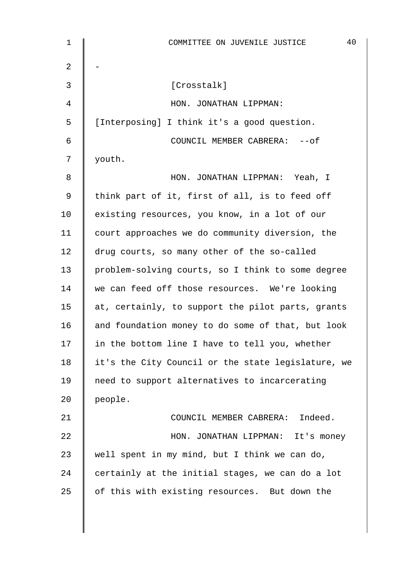| 1  | 40<br>COMMITTEE ON JUVENILE JUSTICE                |
|----|----------------------------------------------------|
| 2  |                                                    |
| 3  | [Crosstalk]                                        |
| 4  | HON. JONATHAN LIPPMAN:                             |
| 5  | [Interposing] I think it's a good question.        |
| 6  | COUNCIL MEMBER CABRERA: -- of                      |
| 7  | youth.                                             |
| 8  | HON. JONATHAN LIPPMAN: Yeah, I                     |
| 9  | think part of it, first of all, is to feed off     |
| 10 | existing resources, you know, in a lot of our      |
| 11 | court approaches we do community diversion, the    |
| 12 | drug courts, so many other of the so-called        |
| 13 | problem-solving courts, so I think to some degree  |
| 14 | we can feed off those resources. We're looking     |
| 15 | at, certainly, to support the pilot parts, grants  |
| 16 | and foundation money to do some of that, but look  |
| 17 | in the bottom line I have to tell you, whether     |
| 18 | it's the City Council or the state legislature, we |
| 19 | need to support alternatives to incarcerating      |
| 20 | people.                                            |
| 21 | COUNCIL MEMBER CABRERA: Indeed.                    |
| 22 | HON. JONATHAN LIPPMAN: It's money                  |
| 23 | well spent in my mind, but I think we can do,      |
| 24 | certainly at the initial stages, we can do a lot   |
| 25 | of this with existing resources. But down the      |
|    |                                                    |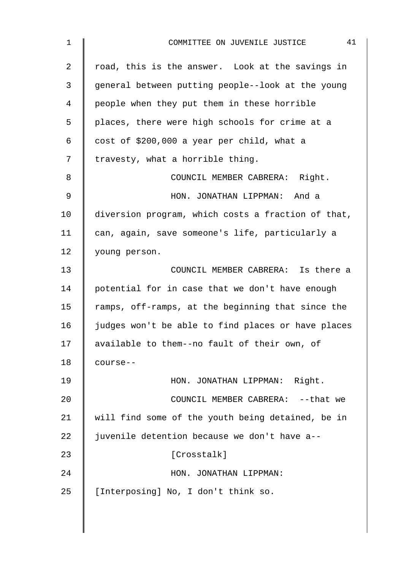| $\mathbf 1$    | 41<br>COMMITTEE ON JUVENILE JUSTICE                |
|----------------|----------------------------------------------------|
| $\overline{a}$ | road, this is the answer. Look at the savings in   |
| 3              | general between putting people--look at the young  |
| 4              | people when they put them in these horrible        |
| 5              | places, there were high schools for crime at a     |
| 6              | cost of \$200,000 a year per child, what a         |
| 7              | travesty, what a horrible thing.                   |
| 8              | COUNCIL MEMBER CABRERA: Right.                     |
| $\mathsf 9$    | HON. JONATHAN LIPPMAN: And a                       |
| 10             | diversion program, which costs a fraction of that, |
| 11             | can, again, save someone's life, particularly a    |
| 12             | young person.                                      |
| 13             | COUNCIL MEMBER CABRERA: Is there a                 |
| 14             | potential for in case that we don't have enough    |
| 15             | ramps, off-ramps, at the beginning that since the  |
| 16             | judges won't be able to find places or have places |
| 17             | available to them--no fault of their own, of       |
| 18             | course--                                           |
| 19             | HON. JONATHAN LIPPMAN: Right.                      |
| 20             | COUNCIL MEMBER CABRERA: -- that we                 |
| 21             | will find some of the youth being detained, be in  |
| 22             | juvenile detention because we don't have a--       |
| 23             | [Crosstalk]                                        |
| 24             | HON. JONATHAN LIPPMAN:                             |
| 25             | [Interposing] No, I don't think so.                |
|                |                                                    |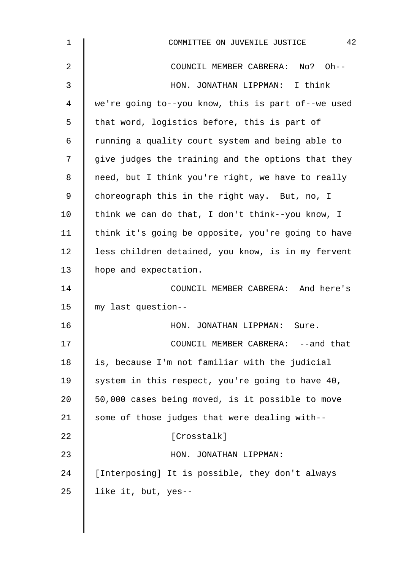| $\mathbf 1$    | 42<br>COMMITTEE ON JUVENILE JUSTICE                |
|----------------|----------------------------------------------------|
| $\overline{a}$ | COUNCIL MEMBER CABRERA: No? Oh--                   |
| 3              | HON. JONATHAN LIPPMAN: I think                     |
| 4              | we're going to--you know, this is part of--we used |
| 5              | that word, logistics before, this is part of       |
| 6              | running a quality court system and being able to   |
| 7              | give judges the training and the options that they |
| 8              | need, but I think you're right, we have to really  |
| 9              | choreograph this in the right way. But, no, I      |
| 10             | think we can do that, I don't think--you know, I   |
| 11             | think it's going be opposite, you're going to have |
| 12             | less children detained, you know, is in my fervent |
| 13             | hope and expectation.                              |
| 14             | COUNCIL MEMBER CABRERA: And here's                 |
| 15             | my last question--                                 |
| 16             | HON. JONATHAN LIPPMAN: Sure.                       |
| 17             | COUNCIL MEMBER CABRERA: --and that                 |
| 18             | is, because I'm not familiar with the judicial     |
| 19             | system in this respect, you're going to have 40,   |
| 20             | 50,000 cases being moved, is it possible to move   |
| 21             | some of those judges that were dealing with--      |
| 22             | [Crosstalk]                                        |
| 23             | HON. JONATHAN LIPPMAN:                             |
| 24             | [Interposing] It is possible, they don't always    |
| 25             | like it, but, yes--                                |
|                |                                                    |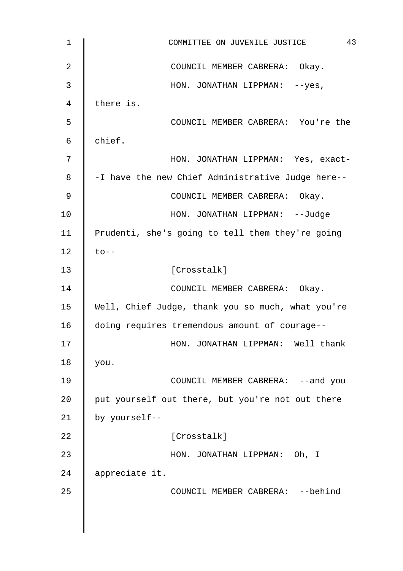| $\mathbf 1$    | 43<br>COMMITTEE ON JUVENILE JUSTICE               |
|----------------|---------------------------------------------------|
| $\overline{2}$ | COUNCIL MEMBER CABRERA: Okay.                     |
| 3              | HON. JONATHAN LIPPMAN: --yes,                     |
| 4              | there is.                                         |
| 5              | COUNCIL MEMBER CABRERA: You're the                |
| 6              | chief.                                            |
| 7              | HON. JONATHAN LIPPMAN: Yes, exact-                |
| 8              | -I have the new Chief Administrative Judge here-- |
| 9              | COUNCIL MEMBER CABRERA: Okay.                     |
| 10             | HON. JONATHAN LIPPMAN: --Judge                    |
| 11             | Prudenti, she's going to tell them they're going  |
| 12             | $\text{to}$ --                                    |
| 13             | [Crosstalk]                                       |
| 14             | COUNCIL MEMBER CABRERA: Okay.                     |
| 15             | Well, Chief Judge, thank you so much, what you're |
| 16             | doing requires tremendous amount of courage--     |
| 17             | HON. JONATHAN LIPPMAN:<br>Well thank              |
| 18             | you.                                              |
| 19             | COUNCIL MEMBER CABRERA: -- and you                |
| 20             | put yourself out there, but you're not out there  |
| 21             | by yourself--                                     |
| 22             | [Crosstalk]                                       |
| 23             | HON. JONATHAN LIPPMAN: Oh, I                      |
| 24             | appreciate it.                                    |
| 25             | COUNCIL MEMBER CABRERA: -- behind                 |
|                |                                                   |
|                |                                                   |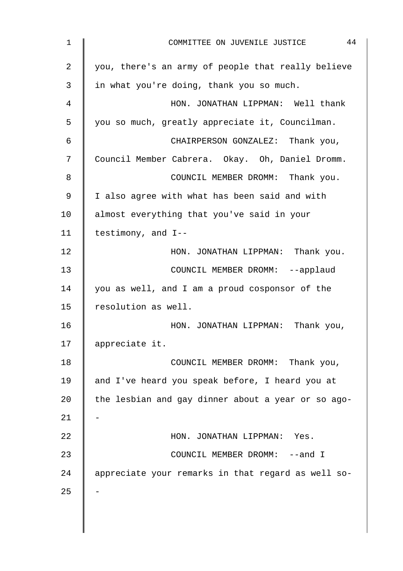| 1              | 44<br>COMMITTEE ON JUVENILE JUSTICE                |
|----------------|----------------------------------------------------|
| 2              | you, there's an army of people that really believe |
| 3              | in what you're doing, thank you so much.           |
| $\overline{4}$ | HON. JONATHAN LIPPMAN: Well thank                  |
| 5              | you so much, greatly appreciate it, Councilman.    |
| 6              | CHAIRPERSON GONZALEZ: Thank you,                   |
| 7              | Council Member Cabrera. Okay. Oh, Daniel Dromm.    |
| 8              | COUNCIL MEMBER DROMM: Thank you.                   |
| 9              | I also agree with what has been said and with      |
| 10             | almost everything that you've said in your         |
| 11             | testimony, and I--                                 |
| 12             | HON. JONATHAN LIPPMAN: Thank you.                  |
| 13             | COUNCIL MEMBER DROMM: --applaud                    |
| 14             | you as well, and I am a proud cosponsor of the     |
| 15             | resolution as well.                                |
| 16             | HON. JONATHAN LIPPMAN: Thank you,                  |
| 17             | appreciate it.                                     |
| 18             | COUNCIL MEMBER DROMM: Thank you,                   |
| 19             | and I've heard you speak before, I heard you at    |
| 20             | the lesbian and gay dinner about a year or so ago- |
| 21             |                                                    |
| 22             | HON. JONATHAN LIPPMAN: Yes.                        |
| 23             | COUNCIL MEMBER DROMM: --and I                      |
| 24             | appreciate your remarks in that regard as well so- |
| 25             |                                                    |
|                |                                                    |
|                |                                                    |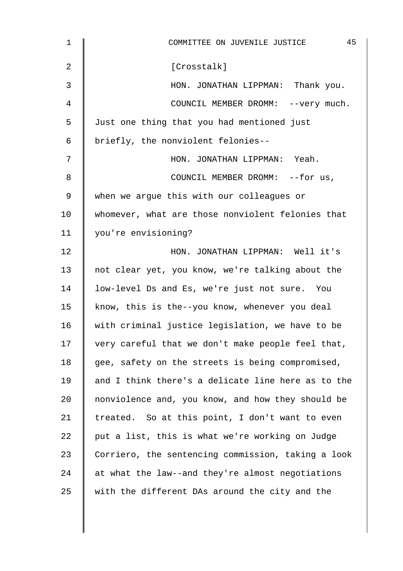| $\mathbf 1$ | 45<br>COMMITTEE ON JUVENILE JUSTICE                |
|-------------|----------------------------------------------------|
| 2           | [Crosstalk]                                        |
| 3           | HON. JONATHAN LIPPMAN: Thank you.                  |
| 4           | COUNCIL MEMBER DROMM: -- very much.                |
| 5           | Just one thing that you had mentioned just         |
| 6           | briefly, the nonviolent felonies--                 |
| 7           | HON. JONATHAN LIPPMAN: Yeah.                       |
| 8           | COUNCIL MEMBER DROMM: --for us,                    |
| 9           | when we argue this with our colleagues or          |
| 10          | whomever, what are those nonviolent felonies that  |
| 11          | you're envisioning?                                |
| 12          | HON. JONATHAN LIPPMAN: Well it's                   |
| 13          | not clear yet, you know, we're talking about the   |
| 14          | low-level Ds and Es, we're just not sure. You      |
| 15          | know, this is the--you know, whenever you deal     |
| 16          | with criminal justice legislation, we have to be   |
| 17          | very careful that we don't make people feel that,  |
| 18          | gee, safety on the streets is being compromised,   |
| 19          | and I think there's a delicate line here as to the |
| 20          | nonviolence and, you know, and how they should be  |
| 21          | treated. So at this point, I don't want to even    |
| 22          | put a list, this is what we're working on Judge    |
| 23          | Corriero, the sentencing commission, taking a look |
| 24          | at what the law--and they're almost negotiations   |
| 25          | with the different DAs around the city and the     |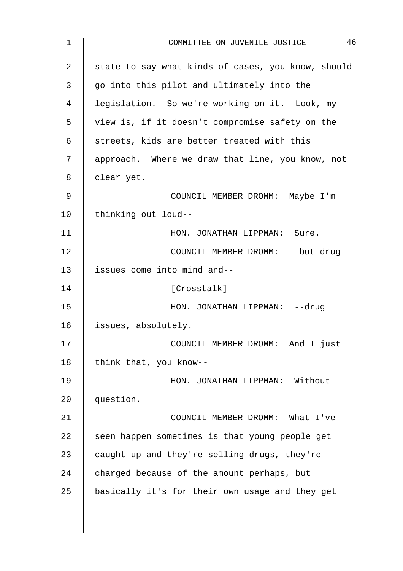| $\mathbf 1$ | 46<br>COMMITTEE ON JUVENILE JUSTICE                |
|-------------|----------------------------------------------------|
| 2           | state to say what kinds of cases, you know, should |
| 3           | go into this pilot and ultimately into the         |
| 4           | legislation. So we're working on it. Look, my      |
| 5           | view is, if it doesn't compromise safety on the    |
| 6           | streets, kids are better treated with this         |
| 7           | approach. Where we draw that line, you know, not   |
| 8           | clear yet.                                         |
| 9           | COUNCIL MEMBER DROMM: Maybe I'm                    |
| 10          | thinking out loud--                                |
| 11          | HON. JONATHAN LIPPMAN: Sure.                       |
| 12          | COUNCIL MEMBER DROMM: -- but drug                  |
| 13          | issues come into mind and--                        |
| 14          | [Crosstalk]                                        |
| 15          | HON. JONATHAN LIPPMAN: --drug                      |
| 16          | issues, absolutely.                                |
| 17          | COUNCIL MEMBER DROMM:<br>And I just                |
| 18          | think that, you know--                             |
| 19          | HON. JONATHAN LIPPMAN: Without                     |
| 20          | question.                                          |
| 21          | COUNCIL MEMBER DROMM: What I've                    |
| 22          | seen happen sometimes is that young people get     |
| 23          | caught up and they're selling drugs, they're       |
| 24          | charged because of the amount perhaps, but         |
| 25          | basically it's for their own usage and they get    |
|             |                                                    |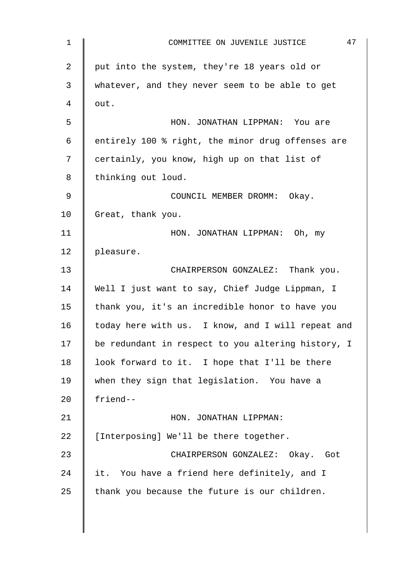| $\mathbf 1$    | 47<br>COMMITTEE ON JUVENILE JUSTICE                |
|----------------|----------------------------------------------------|
| $\overline{2}$ | put into the system, they're 18 years old or       |
| 3              | whatever, and they never seem to be able to get    |
| 4              | out.                                               |
| 5              | HON. JONATHAN LIPPMAN: You are                     |
| 6              | entirely 100 % right, the minor drug offenses are  |
| 7              | certainly, you know, high up on that list of       |
| 8              | thinking out loud.                                 |
| 9              | COUNCIL MEMBER DROMM: Okay.                        |
| 10             | Great, thank you.                                  |
| 11             | HON. JONATHAN LIPPMAN: Oh, my                      |
| 12             | pleasure.                                          |
| 13             | CHAIRPERSON GONZALEZ: Thank you.                   |
| 14             | Well I just want to say, Chief Judge Lippman, I    |
| 15             | thank you, it's an incredible honor to have you    |
| 16             | today here with us. I know, and I will repeat and  |
| 17             | be redundant in respect to you altering history, I |
| 18             | look forward to it. I hope that I'll be there      |
| 19             | when they sign that legislation. You have a        |
| 20             | friend--                                           |
| 21             | HON. JONATHAN LIPPMAN:                             |
| 22             | [Interposing] We'll be there together.             |
| 23             | CHAIRPERSON GONZALEZ: Okay. Got                    |
| 24             | it. You have a friend here definitely, and I       |
| 25             | thank you because the future is our children.      |
|                |                                                    |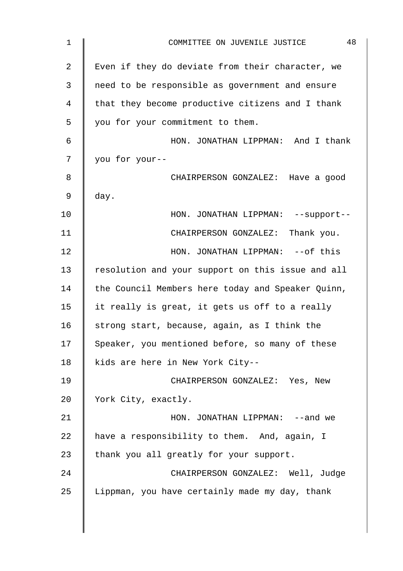| $\mathbf 1$    | 48<br>COMMITTEE ON JUVENILE JUSTICE               |
|----------------|---------------------------------------------------|
| $\overline{2}$ | Even if they do deviate from their character, we  |
| 3              | need to be responsible as government and ensure   |
| 4              | that they become productive citizens and I thank  |
| 5              | you for your commitment to them.                  |
| 6              | HON. JONATHAN LIPPMAN: And I thank                |
| 7              | you for your--                                    |
| 8              | CHAIRPERSON GONZALEZ: Have a good                 |
| 9              | day.                                              |
| 10             | HON. JONATHAN LIPPMAN: -- support--               |
| 11             | CHAIRPERSON GONZALEZ: Thank you.                  |
| 12             | HON. JONATHAN LIPPMAN: -- of this                 |
| 13             | resolution and your support on this issue and all |
| 14             | the Council Members here today and Speaker Quinn, |
| 15             | it really is great, it gets us off to a really    |
| 16             | strong start, because, again, as I think the      |
| 17             | Speaker, you mentioned before, so many of these   |
| 18             | kids are here in New York City--                  |
| 19             | CHAIRPERSON GONZALEZ: Yes, New                    |
| 20             | York City, exactly.                               |
| 21             | HON. JONATHAN LIPPMAN: --and we                   |
| 22             | have a responsibility to them. And, again, I      |
| 23             | thank you all greatly for your support.           |
| 24             | CHAIRPERSON GONZALEZ: Well, Judge                 |
| 25             | Lippman, you have certainly made my day, thank    |
|                |                                                   |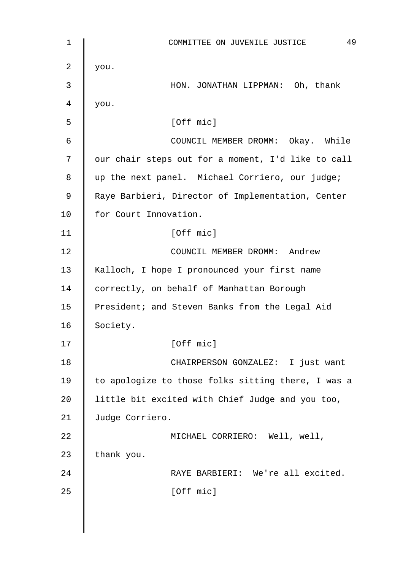1 || COMMITTEE ON JUVENILE JUSTICE 49 2 |  $you.$ 3 HON. JONATHAN LIPPMAN: Oh, thank  $4 \parallel$  you.  $5 \parallel$  [Off mic] 6 | COUNCIL MEMBER DROMM: Okay. While 7 | our chair steps out for a moment, I'd like to call 8 || up the next panel. Michael Corriero, our judge; 9 | Raye Barbieri, Director of Implementation, Center 10 | for Court Innovation. 11 | [Off mic] 12 **COUNCIL MEMBER DROMM:** Andrew 13 Kalloch, I hope I pronounced your first name 14 correctly, on behalf of Manhattan Borough 15 | President; and Steven Banks from the Legal Aid 16 Society. 17 | [Off mic] 18 | CHAIRPERSON GONZALEZ: I just want 19 | to apologize to those folks sitting there, I was a 20  $\parallel$  little bit excited with Chief Judge and you too, 21 Judge Corriero. 22 | MICHAEL CORRIERO: Well, well, 23 | thank you. 24 | RAYE BARBIERI: We're all excited.  $25$  [Off mic]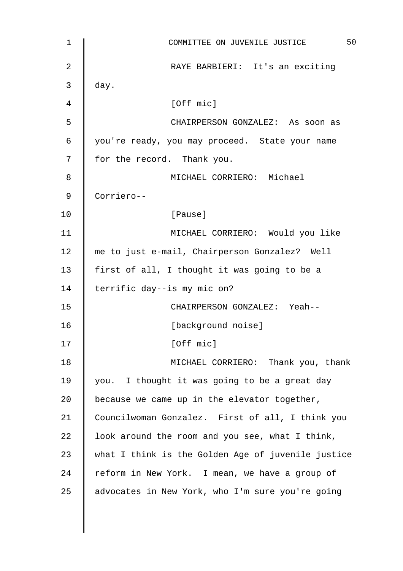| $\mathbf 1$ | 50<br>COMMITTEE ON JUVENILE JUSTICE                |
|-------------|----------------------------------------------------|
| 2           | RAYE BARBIERI: It's an exciting                    |
| 3           | day.                                               |
| 4           | [Off mic]                                          |
| 5           | CHAIRPERSON GONZALEZ: As soon as                   |
| 6           | you're ready, you may proceed. State your name     |
| 7           | for the record. Thank you.                         |
| 8           | MICHAEL CORRIERO: Michael                          |
| 9           | Corriero--                                         |
| 10          | [Pause]                                            |
| 11          | MICHAEL CORRIERO: Would you like                   |
| 12          | me to just e-mail, Chairperson Gonzalez? Well      |
| 13          | first of all, I thought it was going to be a       |
| 14          | terrific day--is my mic on?                        |
| 15          | CHAIRPERSON GONZALEZ: Yeah--                       |
| 16          | [background noise]                                 |
| 17          | [Off mic]                                          |
| 18          | MICHAEL CORRIERO: Thank you, thank                 |
| 19          | you. I thought it was going to be a great day      |
| 20          | because we came up in the elevator together,       |
| 21          | Councilwoman Gonzalez. First of all, I think you   |
| 22          | look around the room and you see, what I think,    |
| 23          | what I think is the Golden Age of juvenile justice |
| 24          | reform in New York. I mean, we have a group of     |
| 25          | advocates in New York, who I'm sure you're going   |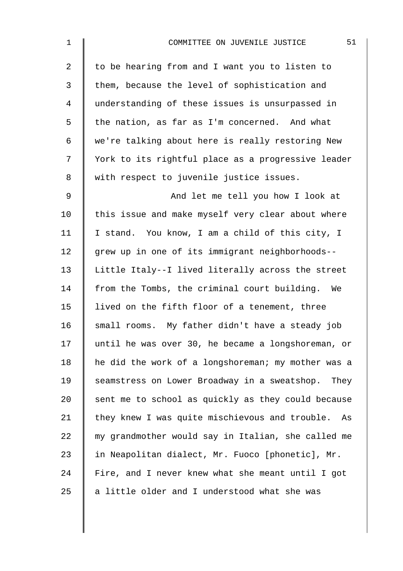| $\mathbf 1$    | 51<br>COMMITTEE ON JUVENILE JUSTICE                |
|----------------|----------------------------------------------------|
| $\overline{2}$ | to be hearing from and I want you to listen to     |
| 3              | them, because the level of sophistication and      |
| 4              | understanding of these issues is unsurpassed in    |
| 5              | the nation, as far as I'm concerned. And what      |
| 6              | we're talking about here is really restoring New   |
| 7              | York to its rightful place as a progressive leader |
| 8              | with respect to juvenile justice issues.           |
| 9              | And let me tell you how I look at                  |
| 10             | this issue and make myself very clear about where  |
| 11             | I stand. You know, I am a child of this city, I    |
| 12             | grew up in one of its immigrant neighborhoods--    |
| 13             | Little Italy--I lived literally across the street  |
| 14             | from the Tombs, the criminal court building. We    |
| 15             | lived on the fifth floor of a tenement, three      |
| 16             | small rooms. My father didn't have a steady job    |
| 17             | until he was over 30, he became a longshoreman, or |
| 18             | he did the work of a longshoreman; my mother was a |
| 19             | seamstress on Lower Broadway in a sweatshop. They  |
| 20             | sent me to school as quickly as they could because |
| 21             | they knew I was quite mischievous and trouble. As  |
| 22             | my grandmother would say in Italian, she called me |
| 23             | in Neapolitan dialect, Mr. Fuoco [phonetic], Mr.   |
| 24             | Fire, and I never knew what she meant until I got  |
| 25             | a little older and I understood what she was       |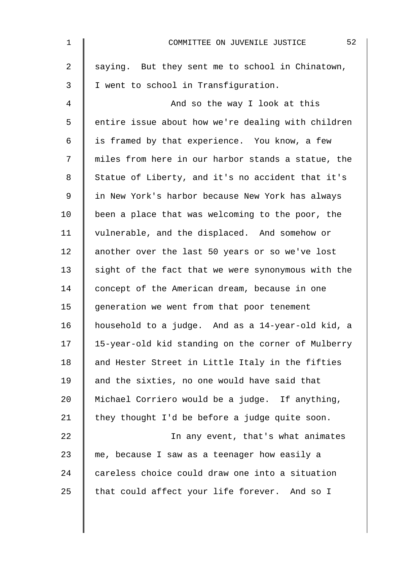| $\mathbf{1}$   | 52<br>COMMITTEE ON JUVENILE JUSTICE                |
|----------------|----------------------------------------------------|
| $\overline{2}$ | saying. But they sent me to school in Chinatown,   |
| 3              | I went to school in Transfiguration.               |
| 4              | And so the way I look at this                      |
| 5              | entire issue about how we're dealing with children |
| 6              | is framed by that experience. You know, a few      |
| 7              | miles from here in our harbor stands a statue, the |
| 8              | Statue of Liberty, and it's no accident that it's  |
| $\mathsf 9$    | in New York's harbor because New York has always   |
| 10             | been a place that was welcoming to the poor, the   |
| 11             | vulnerable, and the displaced. And somehow or      |
| 12             | another over the last 50 years or so we've lost    |
| 13             | sight of the fact that we were synonymous with the |
| 14             | concept of the American dream, because in one      |
| 15             | generation we went from that poor tenement         |
| 16             | household to a judge. And as a 14-year-old kid, a  |
| 17             | 15-year-old kid standing on the corner of Mulberry |
| 18             | and Hester Street in Little Italy in the fifties   |
| 19             | and the sixties, no one would have said that       |
| 20             | Michael Corriero would be a judge. If anything,    |
| 21             | they thought I'd be before a judge quite soon.     |
| 22             | In any event, that's what animates                 |
| 23             | me, because I saw as a teenager how easily a       |
| 24             | careless choice could draw one into a situation    |
| 25             | that could affect your life forever. And so I      |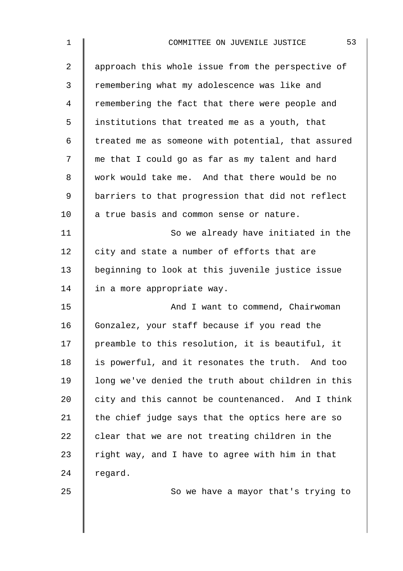| $\mathbf 1$ | 53<br>COMMITTEE ON JUVENILE JUSTICE                |
|-------------|----------------------------------------------------|
| 2           | approach this whole issue from the perspective of  |
| 3           | remembering what my adolescence was like and       |
| 4           | remembering the fact that there were people and    |
| 5           | institutions that treated me as a youth, that      |
| 6           | treated me as someone with potential, that assured |
| 7           | me that I could go as far as my talent and hard    |
| 8           | work would take me. And that there would be no     |
| 9           | barriers to that progression that did not reflect  |
| 10          | a true basis and common sense or nature.           |
| 11          | So we already have initiated in the                |
| 12          | city and state a number of efforts that are        |
| 13          | beginning to look at this juvenile justice issue   |
| 14          | in a more appropriate way.                         |
| 15          | And I want to commend, Chairwoman                  |
| 16          | Gonzalez, your staff because if you read the       |
| 17          | preamble to this resolution, it is beautiful, it   |
| 18          | is powerful, and it resonates the truth. And too   |
| 19          | long we've denied the truth about children in this |
| 20          | city and this cannot be countenanced. And I think  |
| 21          | the chief judge says that the optics here are so   |
| 22          | clear that we are not treating children in the     |
| 23          | right way, and I have to agree with him in that    |
| 24          | regard.                                            |
| 25          | So we have a mayor that's trying to                |
|             |                                                    |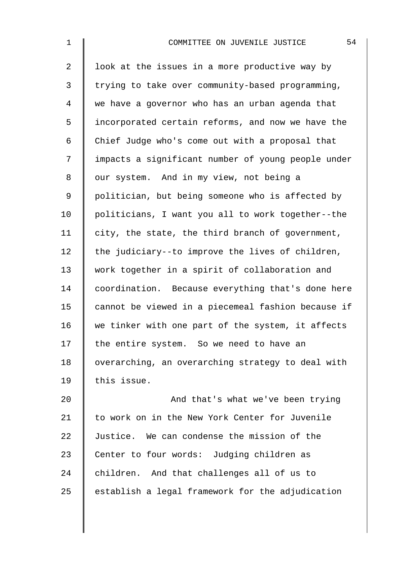| $\mathbf 1$    | 54<br>COMMITTEE ON JUVENILE JUSTICE                |
|----------------|----------------------------------------------------|
| $\overline{2}$ | look at the issues in a more productive way by     |
| 3              | trying to take over community-based programming,   |
| 4              | we have a governor who has an urban agenda that    |
| 5              | incorporated certain reforms, and now we have the  |
| 6              | Chief Judge who's come out with a proposal that    |
| 7              | impacts a significant number of young people under |
| 8              | our system. And in my view, not being a            |
| $\mathsf 9$    | politician, but being someone who is affected by   |
| 10             | politicians, I want you all to work together--the  |
| 11             | city, the state, the third branch of government,   |
| 12             | the judiciary--to improve the lives of children,   |
| 13             | work together in a spirit of collaboration and     |
| 14             | coordination. Because everything that's done here  |
| 15             | cannot be viewed in a piecemeal fashion because if |
| 16             | we tinker with one part of the system, it affects  |
| 17             | the entire system. So we need to have an           |
| 18             | overarching, an overarching strategy to deal with  |
| 19             | this issue.                                        |
| 20             | And that's what we've been trying                  |
| 21             | to work on in the New York Center for Juvenile     |
| 22             | Justice. We can condense the mission of the        |
| 23             | Center to four words: Judging children as          |
| 24             | children. And that challenges all of us to         |

 $25$  establish a legal framework for the adjudication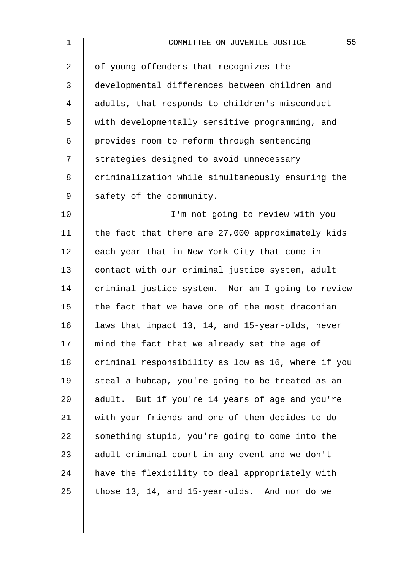| 1              | 55<br>COMMITTEE ON JUVENILE JUSTICE                |
|----------------|----------------------------------------------------|
| $\overline{2}$ | of young offenders that recognizes the             |
| 3              | developmental differences between children and     |
| $\overline{4}$ | adults, that responds to children's misconduct     |
| 5              | with developmentally sensitive programming, and    |
| 6              | provides room to reform through sentencing         |
| 7              | strategies designed to avoid unnecessary           |
| 8              | criminalization while simultaneously ensuring the  |
| $\mathsf 9$    | safety of the community.                           |
| 10             | I'm not going to review with you                   |
| 11             | the fact that there are 27,000 approximately kids  |
| 12             | each year that in New York City that come in       |
| 13             | contact with our criminal justice system, adult    |
| 14             | criminal justice system. Nor am I going to review  |
| 15             | the fact that we have one of the most draconian    |
| 16             | laws that impact 13, 14, and 15-year-olds, never   |
| 17             | mind the fact that we already set the age of       |
| 18             | criminal responsibility as low as 16, where if you |
| 19             | steal a hubcap, you're going to be treated as an   |
| 20             | adult. But if you're 14 years of age and you're    |
| 21             | with your friends and one of them decides to do    |
| 22             | something stupid, you're going to come into the    |
| 23             | adult criminal court in any event and we don't     |
| 24             | have the flexibility to deal appropriately with    |
| 25             | those 13, 14, and 15-year-olds. And nor do we      |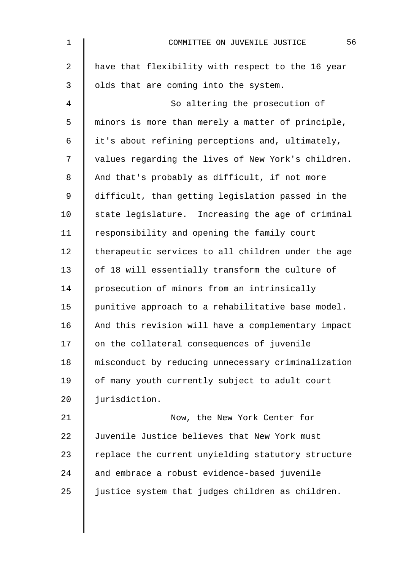| $\mathbf 1$    | 56<br>COMMITTEE ON JUVENILE JUSTICE                |
|----------------|----------------------------------------------------|
| $\overline{a}$ | have that flexibility with respect to the 16 year  |
| $\mathfrak{Z}$ | olds that are coming into the system.              |
| 4              | So altering the prosecution of                     |
| 5              | minors is more than merely a matter of principle,  |
| 6              | it's about refining perceptions and, ultimately,   |
| 7              | values regarding the lives of New York's children. |
| 8              | And that's probably as difficult, if not more      |
| 9              | difficult, than getting legislation passed in the  |
| 10             | state legislature. Increasing the age of criminal  |
| 11             | responsibility and opening the family court        |
| 12             | therapeutic services to all children under the age |
| 13             | of 18 will essentially transform the culture of    |
| 14             | prosecution of minors from an intrinsically        |
| 15             | punitive approach to a rehabilitative base model.  |
| 16             | And this revision will have a complementary impact |
| 17             | on the collateral consequences of juvenile         |
| 18             | misconduct by reducing unnecessary criminalization |
| 19             | of many youth currently subject to adult court     |
| 20             | jurisdiction.                                      |
| 21             | Now, the New York Center for                       |
| 22             | Juvenile Justice believes that New York must       |
| 23             | replace the current unyielding statutory structure |
| 24             | and embrace a robust evidence-based juvenile       |
| 25             | justice system that judges children as children.   |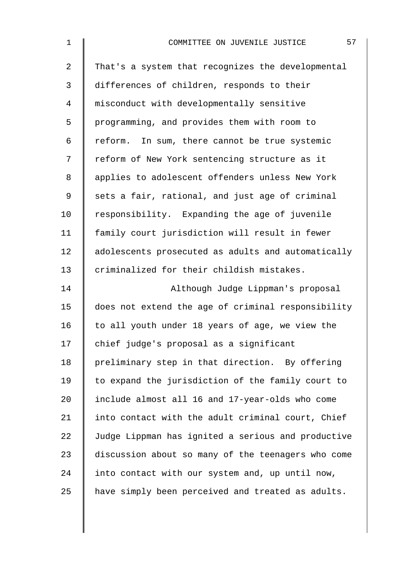| $\mathbf 1$    | 57<br>COMMITTEE ON JUVENILE JUSTICE                |
|----------------|----------------------------------------------------|
| $\overline{2}$ | That's a system that recognizes the developmental  |
| 3              | differences of children, responds to their         |
| 4              | misconduct with developmentally sensitive          |
| 5              | programming, and provides them with room to        |
| 6              | reform. In sum, there cannot be true systemic      |
| 7              | reform of New York sentencing structure as it      |
| 8              | applies to adolescent offenders unless New York    |
| 9              | sets a fair, rational, and just age of criminal    |
| 10             | responsibility. Expanding the age of juvenile      |
| 11             | family court jurisdiction will result in fewer     |
| 12             | adolescents prosecuted as adults and automatically |
| 13             | criminalized for their childish mistakes.          |
| 14             | Although Judge Lippman's proposal                  |
| 15             | does not extend the age of criminal responsibility |
| 16             | to all youth under 18 years of age, we view the    |
| 17             | chief judge's proposal as a significant            |
| 18             | preliminary step in that direction. By offering    |
| 19             | to expand the jurisdiction of the family court to  |
| 20             | include almost all 16 and 17-year-olds who come    |
| 21             | into contact with the adult criminal court, Chief  |
| 22             | Judge Lippman has ignited a serious and productive |
| 23             | discussion about so many of the teenagers who come |
| 24             | into contact with our system and, up until now,    |
| 25             | have simply been perceived and treated as adults.  |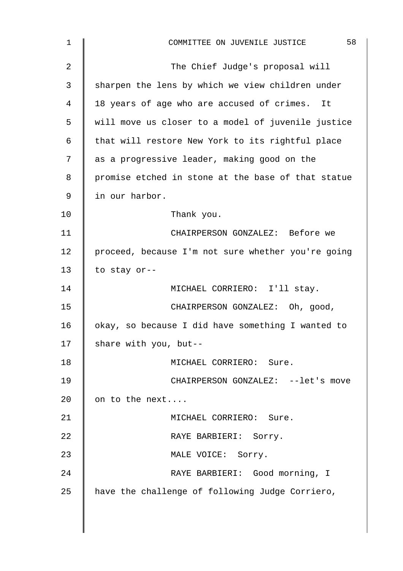| 1              | 58<br>COMMITTEE ON JUVENILE JUSTICE                |
|----------------|----------------------------------------------------|
| $\overline{2}$ | The Chief Judge's proposal will                    |
| 3              | sharpen the lens by which we view children under   |
| 4              | 18 years of age who are accused of crimes. It      |
| 5              | will move us closer to a model of juvenile justice |
| 6              | that will restore New York to its rightful place   |
| 7              | as a progressive leader, making good on the        |
| 8              | promise etched in stone at the base of that statue |
| 9              | in our harbor.                                     |
| 10             | Thank you.                                         |
| 11             | CHAIRPERSON GONZALEZ: Before we                    |
| 12             | proceed, because I'm not sure whether you're going |
| 13             | to stay or--                                       |
| 14             | MICHAEL CORRIERO: I'll stay.                       |
| 15             | CHAIRPERSON GONZALEZ: Oh, good,                    |
| 16             | okay, so because I did have something I wanted to  |
| 17             | share with you, but--                              |
| 18             | MICHAEL CORRIERO: Sure.                            |
| 19             | CHAIRPERSON GONZALEZ: --let's move                 |
| 20             | on to the next                                     |
| 21             | MICHAEL CORRIERO: Sure.                            |
| 22             | RAYE BARBIERI: Sorry.                              |
| 23             | MALE VOICE: Sorry.                                 |
| 24             | RAYE BARBIERI: Good morning, I                     |
| 25             | have the challenge of following Judge Corriero,    |
|                |                                                    |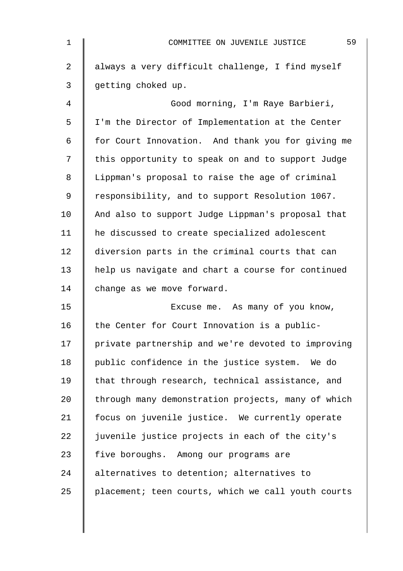| $\mathbf 1$    | 59<br>COMMITTEE ON JUVENILE JUSTICE                |
|----------------|----------------------------------------------------|
| $\overline{2}$ | always a very difficult challenge, I find myself   |
| 3              | getting choked up.                                 |
| 4              | Good morning, I'm Raye Barbieri,                   |
| 5              | I'm the Director of Implementation at the Center   |
| $\epsilon$     | for Court Innovation. And thank you for giving me  |
| 7              | this opportunity to speak on and to support Judge  |
| 8              | Lippman's proposal to raise the age of criminal    |
| 9              | responsibility, and to support Resolution 1067.    |
| 10             | And also to support Judge Lippman's proposal that  |
| 11             | he discussed to create specialized adolescent      |
| 12             | diversion parts in the criminal courts that can    |
| 13             | help us navigate and chart a course for continued  |
| 14             | change as we move forward.                         |
| 15             | Excuse me. As many of you know,                    |
| 16             | the Center for Court Innovation is a public-       |
| 17             | private partnership and we're devoted to improving |
| 18             | public confidence in the justice system. We do     |
| 19             | that through research, technical assistance, and   |
| 20             | through many demonstration projects, many of which |
| 21             | focus on juvenile justice. We currently operate    |
| 22             | juvenile justice projects in each of the city's    |
| 23             | five boroughs. Among our programs are              |
| 24             | alternatives to detention; alternatives to         |
| 25             | placement; teen courts, which we call youth courts |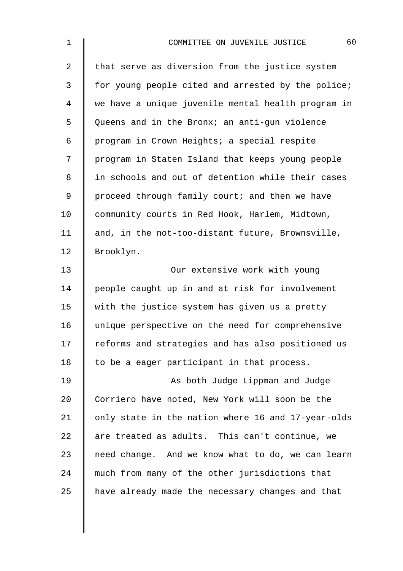| $\mathbf 1$    | 60<br>COMMITTEE ON JUVENILE JUSTICE                |
|----------------|----------------------------------------------------|
| $\overline{a}$ | that serve as diversion from the justice system    |
| 3              | for young people cited and arrested by the police; |
| $\overline{4}$ | we have a unique juvenile mental health program in |
| 5              | Queens and in the Bronx; an anti-gun violence      |
| 6              | program in Crown Heights; a special respite        |
| 7              | program in Staten Island that keeps young people   |
| 8              | in schools and out of detention while their cases  |
| $\mathsf 9$    | proceed through family court; and then we have     |
| 10             | community courts in Red Hook, Harlem, Midtown,     |
| 11             | and, in the not-too-distant future, Brownsville,   |
| 12             | Brooklyn.                                          |
| 13             | Our extensive work with young                      |
| 14             | people caught up in and at risk for involvement    |
| 15             | with the justice system has given us a pretty      |
| 16             | unique perspective on the need for comprehensive   |
| 17             | reforms and strategies and has also positioned us  |
| 18             | to be a eager participant in that process.         |
| 19             | As both Judge Lippman and Judge                    |
| 20             | Corriero have noted, New York will soon be the     |
| 21             | only state in the nation where 16 and 17-year-olds |
| 22             | are treated as adults. This can't continue, we     |
| 23             | need change. And we know what to do, we can learn  |
| 24             | much from many of the other jurisdictions that     |
| 25             | have already made the necessary changes and that   |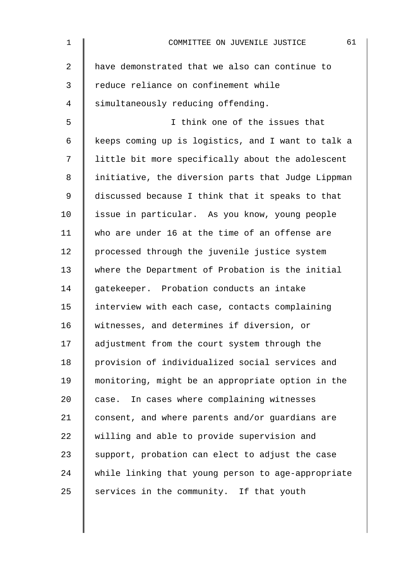| $\mathbf 1$    | 61<br>COMMITTEE ON JUVENILE JUSTICE                |
|----------------|----------------------------------------------------|
| $\overline{a}$ | have demonstrated that we also can continue to     |
| 3              | reduce reliance on confinement while               |
| 4              | simultaneously reducing offending.                 |
| 5              | I think one of the issues that                     |
| 6              | keeps coming up is logistics, and I want to talk a |
| 7              | little bit more specifically about the adolescent  |
| 8              | initiative, the diversion parts that Judge Lippman |
| 9              | discussed because I think that it speaks to that   |
| 10             | issue in particular. As you know, young people     |
| 11             | who are under 16 at the time of an offense are     |
| 12             | processed through the juvenile justice system      |
| 13             | where the Department of Probation is the initial   |
| 14             | gatekeeper. Probation conducts an intake           |
| 15             | interview with each case, contacts complaining     |
| 16             | witnesses, and determines if diversion, or         |
| 17             | adjustment from the court system through the       |
| 18             | provision of individualized social services and    |
| 19             | monitoring, might be an appropriate option in the  |
| 20             | case. In cases where complaining witnesses         |
| 21             | consent, and where parents and/or quardians are    |
| 22             | willing and able to provide supervision and        |
| 23             | support, probation can elect to adjust the case    |
| 24             | while linking that young person to age-appropriate |
| 25             | services in the community. If that youth           |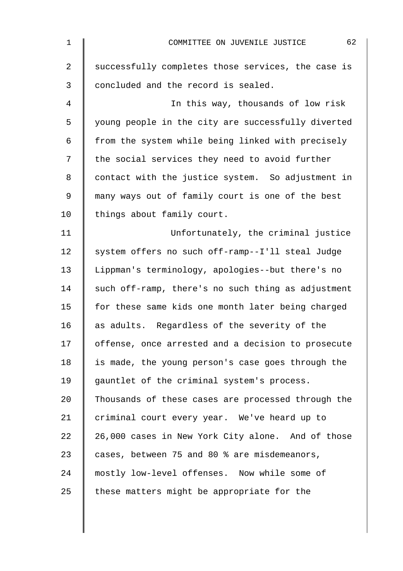| $\mathbf{1}$   | 62<br>COMMITTEE ON JUVENILE JUSTICE                |
|----------------|----------------------------------------------------|
| $\overline{2}$ | successfully completes those services, the case is |
| $\mathfrak{Z}$ | concluded and the record is sealed.                |
| 4              | In this way, thousands of low risk                 |
| 5              | young people in the city are successfully diverted |
| 6              | from the system while being linked with precisely  |
| 7              | the social services they need to avoid further     |
| 8              | contact with the justice system. So adjustment in  |
| 9              | many ways out of family court is one of the best   |
| 10             | things about family court.                         |
| 11             | Unfortunately, the criminal justice                |
| 12             | system offers no such off-ramp--I'll steal Judge   |
| 13             | Lippman's terminology, apologies--but there's no   |
| 14             | such off-ramp, there's no such thing as adjustment |
| 15             | for these same kids one month later being charged  |
| 16             | as adults. Regardless of the severity of the       |
| 17             | offense, once arrested and a decision to prosecute |
| 18             | is made, the young person's case goes through the  |
| 19             | gauntlet of the criminal system's process.         |
| 20             | Thousands of these cases are processed through the |
| 21             | criminal court every year. We've heard up to       |
| 22             | 26,000 cases in New York City alone. And of those  |
| 23             | cases, between 75 and 80 % are misdemeanors,       |
| 24             | mostly low-level offenses. Now while some of       |
| 25             | these matters might be appropriate for the         |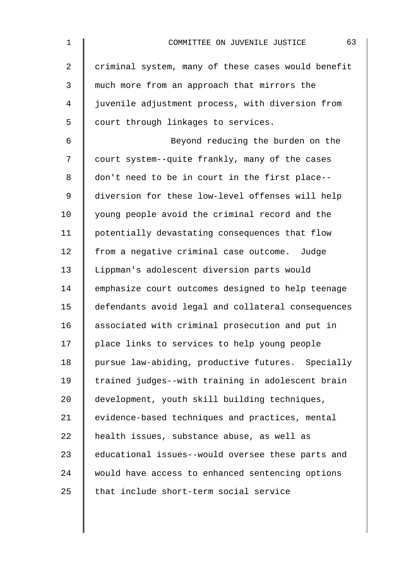| $\mathbf 1$ | 63<br>COMMITTEE ON JUVENILE JUSTICE                |
|-------------|----------------------------------------------------|
| 2           | criminal system, many of these cases would benefit |
| 3           | much more from an approach that mirrors the        |
| 4           | juvenile adjustment process, with diversion from   |
| 5           | court through linkages to services.                |
| 6           | Beyond reducing the burden on the                  |
| 7           | court system--quite frankly, many of the cases     |
| 8           | don't need to be in court in the first place--     |
| $\mathsf 9$ | diversion for these low-level offenses will help   |
| 10          | young people avoid the criminal record and the     |
| 11          | potentially devastating consequences that flow     |
| 12          | from a negative criminal case outcome. Judge       |
| 13          | Lippman's adolescent diversion parts would         |
| 14          | emphasize court outcomes designed to help teenage  |
| 15          | defendants avoid legal and collateral consequences |
| 16          | associated with criminal prosecution and put in    |
| 17          | place links to services to help young people       |
| 18          | pursue law-abiding, productive futures. Specially  |
| 19          | trained judges--with training in adolescent brain  |
| 20          | development, youth skill building techniques,      |
| 21          | evidence-based techniques and practices, mental    |
| 22          | health issues, substance abuse, as well as         |
| 23          | educational issues--would oversee these parts and  |
| 24          | would have access to enhanced sentencing options   |
| 25          | that include short-term social service             |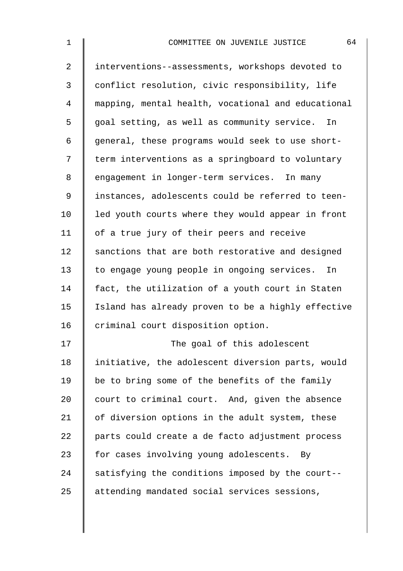| $\mathbf 1$    | 64<br>COMMITTEE ON JUVENILE JUSTICE                |
|----------------|----------------------------------------------------|
| $\overline{a}$ | interventions--assessments, workshops devoted to   |
| 3              | conflict resolution, civic responsibility, life    |
| 4              | mapping, mental health, vocational and educational |
| 5              | goal setting, as well as community service. In     |
| 6              | general, these programs would seek to use short-   |
| 7              | term interventions as a springboard to voluntary   |
| 8              | engagement in longer-term services. In many        |
| 9              | instances, adolescents could be referred to teen-  |
| 10             | led youth courts where they would appear in front  |
| 11             | of a true jury of their peers and receive          |
| 12             | sanctions that are both restorative and designed   |
| 13             | to engage young people in ongoing services. In     |
| 14             | fact, the utilization of a youth court in Staten   |
| 15             | Island has already proven to be a highly effective |
| 16             | criminal court disposition option.                 |
| 17             | The goal of this adolescent                        |
| 18             | initiative, the adolescent diversion parts, would  |
| 19             | be to bring some of the benefits of the family     |
| 20             | court to criminal court. And, given the absence    |
| 21             | of diversion options in the adult system, these    |
| 22             | parts could create a de facto adjustment process   |
| 23             | for cases involving young adolescents. By          |
| 24             | satisfying the conditions imposed by the court--   |
| 25             | attending mandated social services sessions,       |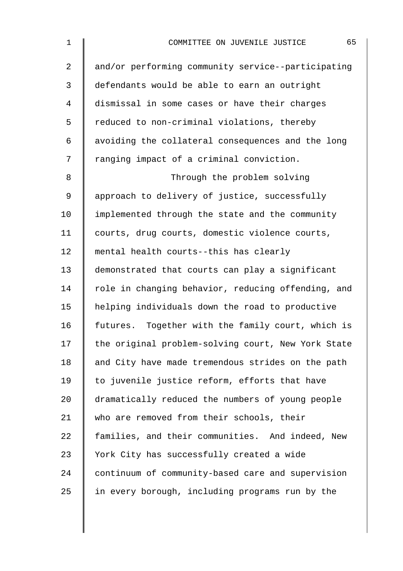| $\mathbf 1$    | 65<br>COMMITTEE ON JUVENILE JUSTICE                |
|----------------|----------------------------------------------------|
| $\overline{2}$ | and/or performing community service--participating |
| 3              | defendants would be able to earn an outright       |
| 4              | dismissal in some cases or have their charges      |
| 5              | reduced to non-criminal violations, thereby        |
| 6              | avoiding the collateral consequences and the long  |
| 7              | ranging impact of a criminal conviction.           |
| 8              | Through the problem solving                        |
| 9              | approach to delivery of justice, successfully      |
| 10             | implemented through the state and the community    |
| 11             | courts, drug courts, domestic violence courts,     |
| 12             | mental health courts--this has clearly             |
| 13             | demonstrated that courts can play a significant    |
| 14             | role in changing behavior, reducing offending, and |
| 15             | helping individuals down the road to productive    |
| 16             | futures. Together with the family court, which is  |
| 17             | the original problem-solving court, New York State |
| 18             | and City have made tremendous strides on the path  |
| 19             | to juvenile justice reform, efforts that have      |
| 20             | dramatically reduced the numbers of young people   |
| 21             | who are removed from their schools, their          |
| 22             | families, and their communities. And indeed, New   |
| 23             | York City has successfully created a wide          |
| 24             | continuum of community-based care and supervision  |
| 25             | in every borough, including programs run by the    |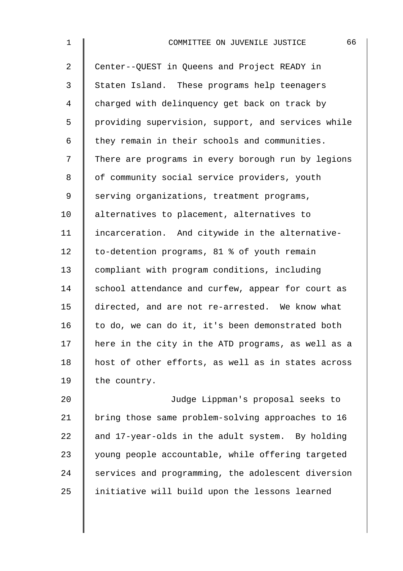| $\mathbf 1$    | 66<br>COMMITTEE ON JUVENILE JUSTICE                |
|----------------|----------------------------------------------------|
| $\overline{a}$ | Center--QUEST in Queens and Project READY in       |
| 3              | Staten Island. These programs help teenagers       |
| 4              | charged with delinquency get back on track by      |
| 5              | providing supervision, support, and services while |
| 6              | they remain in their schools and communities.      |
| 7              | There are programs in every borough run by legions |
| 8              | of community social service providers, youth       |
| 9              | serving organizations, treatment programs,         |
| 10             | alternatives to placement, alternatives to         |
| 11             | incarceration. And citywide in the alternative-    |
| 12             | to-detention programs, 81 % of youth remain        |
| 13             | compliant with program conditions, including       |
| 14             | school attendance and curfew, appear for court as  |
| 15             | directed, and are not re-arrested. We know what    |
| 16             | to do, we can do it, it's been demonstrated both   |
| 17             | here in the city in the ATD programs, as well as a |
| 18             | host of other efforts, as well as in states across |
| 19             | the country.                                       |
| 20             | Judge Lippman's proposal seeks to                  |
| 21             | bring those same problem-solving approaches to 16  |
| 22             | and 17-year-olds in the adult system. By holding   |
| 23             | young people accountable, while offering targeted  |

24 services and programming, the adolescent diversion 25 | initiative will build upon the lessons learned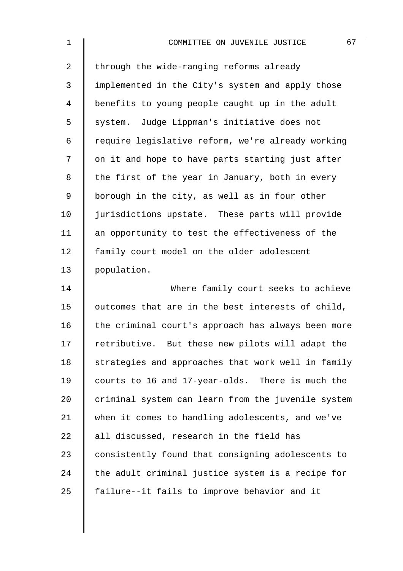| $\mathbf 1$    | 67<br>COMMITTEE ON JUVENILE JUSTICE                |
|----------------|----------------------------------------------------|
| $\overline{a}$ | through the wide-ranging reforms already           |
| 3              | implemented in the City's system and apply those   |
| $\overline{4}$ | benefits to young people caught up in the adult    |
| 5              | system. Judge Lippman's initiative does not        |
| 6              | require legislative reform, we're already working  |
| 7              | on it and hope to have parts starting just after   |
| 8              | the first of the year in January, both in every    |
| $\mathsf 9$    | borough in the city, as well as in four other      |
| 10             | jurisdictions upstate. These parts will provide    |
| 11             | an opportunity to test the effectiveness of the    |
| 12             | family court model on the older adolescent         |
| 13             | population.                                        |
| 14             | Where family court seeks to achieve                |
| 15             | outcomes that are in the best interests of child,  |
| 16             | the criminal court's approach has always been more |
| 17             | retributive. But these new pilots will adapt the   |
| 18             | strategies and approaches that work well in family |
| 19             | courts to 16 and 17-year-olds. There is much the   |
| 20             | criminal system can learn from the juvenile system |
| 21             | when it comes to handling adolescents, and we've   |
| 22             | all discussed, research in the field has           |
| 23             | consistently found that consigning adolescents to  |
| 24             | the adult criminal justice system is a recipe for  |
| 25             | failure--it fails to improve behavior and it       |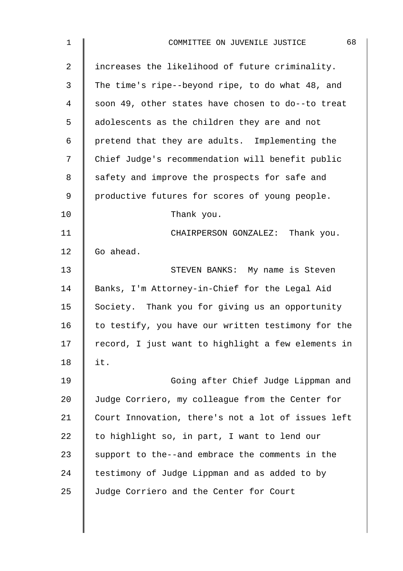| $\mathbf 1$    | 68<br>COMMITTEE ON JUVENILE JUSTICE                |
|----------------|----------------------------------------------------|
| $\overline{2}$ | increases the likelihood of future criminality.    |
| 3              | The time's ripe--beyond ripe, to do what 48, and   |
| 4              | soon 49, other states have chosen to do--to treat  |
| 5              | adolescents as the children they are and not       |
| 6              | pretend that they are adults. Implementing the     |
| 7              | Chief Judge's recommendation will benefit public   |
| 8              | safety and improve the prospects for safe and      |
| 9              | productive futures for scores of young people.     |
| 10             | Thank you.                                         |
| 11             | CHAIRPERSON GONZALEZ: Thank you.                   |
| 12             | Go ahead.                                          |
| 13             | STEVEN BANKS: My name is Steven                    |
| 14             | Banks, I'm Attorney-in-Chief for the Legal Aid     |
| 15             | Society. Thank you for giving us an opportunity    |
| 16             | to testify, you have our written testimony for the |
| 17             | record, I just want to highlight a few elements in |
| 18             | it.                                                |
| 19             | Going after Chief Judge Lippman and                |
| 20             | Judge Corriero, my colleague from the Center for   |
| 21             | Court Innovation, there's not a lot of issues left |
| 22             | to highlight so, in part, I want to lend our       |
| 23             | support to the--and embrace the comments in the    |
| 24             | testimony of Judge Lippman and as added to by      |
| 25             | Judge Corriero and the Center for Court            |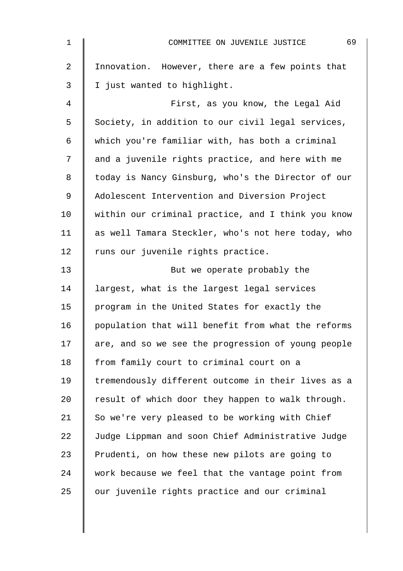| $\mathbf 1$ | 69<br>COMMITTEE ON JUVENILE JUSTICE                |
|-------------|----------------------------------------------------|
| 2           | Innovation. However, there are a few points that   |
| 3           | I just wanted to highlight.                        |
| 4           | First, as you know, the Legal Aid                  |
| 5           | Society, in addition to our civil legal services,  |
| 6           | which you're familiar with, has both a criminal    |
| 7           | and a juvenile rights practice, and here with me   |
| 8           | today is Nancy Ginsburg, who's the Director of our |
| $\mathsf 9$ | Adolescent Intervention and Diversion Project      |
| 10          | within our criminal practice, and I think you know |
| 11          | as well Tamara Steckler, who's not here today, who |
| 12          | runs our juvenile rights practice.                 |
| 13          | But we operate probably the                        |
| 14          | largest, what is the largest legal services        |
| 15          | program in the United States for exactly the       |
| 16          | population that will benefit from what the reforms |
| 17          | are, and so we see the progression of young people |
| 18          | from family court to criminal court on a           |
| 19          | tremendously different outcome in their lives as a |
| 20          | result of which door they happen to walk through.  |
| 21          | So we're very pleased to be working with Chief     |
| 22          | Judge Lippman and soon Chief Administrative Judge  |
| 23          | Prudenti, on how these new pilots are going to     |
| 24          | work because we feel that the vantage point from   |
| 25          | our juvenile rights practice and our criminal      |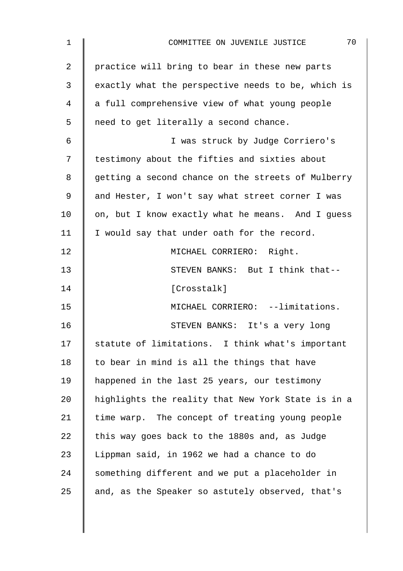| 1              | 70<br>COMMITTEE ON JUVENILE JUSTICE                |
|----------------|----------------------------------------------------|
| $\overline{2}$ | practice will bring to bear in these new parts     |
| 3              | exactly what the perspective needs to be, which is |
| 4              | a full comprehensive view of what young people     |
| 5              | need to get literally a second chance.             |
| 6              | I was struck by Judge Corriero's                   |
| 7              | testimony about the fifties and sixties about      |
| 8              | getting a second chance on the streets of Mulberry |
| 9              | and Hester, I won't say what street corner I was   |
| 10             | on, but I know exactly what he means. And I guess  |
| 11             | I would say that under oath for the record.        |
| 12             | MICHAEL CORRIERO: Right.                           |
| 13             | STEVEN BANKS: But I think that--                   |
| 14             | [Crosstalk]                                        |
| 15             | MICHAEL CORRIERO: --limitations.                   |
| 16             | STEVEN BANKS: It's a very long                     |
| 17             | statute of limitations. I think what's important   |
| 18             | to bear in mind is all the things that have        |
| 19             | happened in the last 25 years, our testimony       |
| 20             | highlights the reality that New York State is in a |
| 21             | time warp. The concept of treating young people    |
| 22             | this way goes back to the 1880s and, as Judge      |
| 23             | Lippman said, in 1962 we had a chance to do        |
| 24             | something different and we put a placeholder in    |
| 25             | and, as the Speaker so astutely observed, that's   |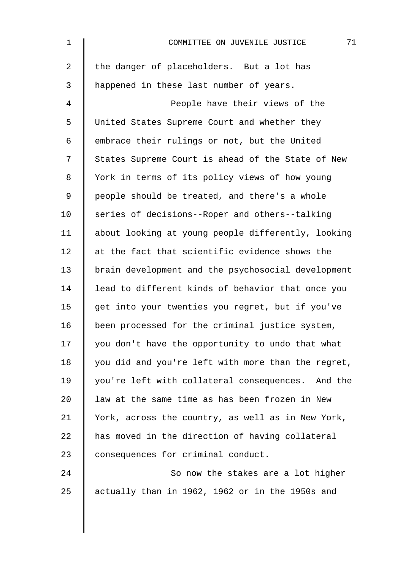| $\mathbf 1$    | 71<br>COMMITTEE ON JUVENILE JUSTICE                |
|----------------|----------------------------------------------------|
| $\overline{a}$ | the danger of placeholders. But a lot has          |
| 3              | happened in these last number of years.            |
| 4              | People have their views of the                     |
| 5              | United States Supreme Court and whether they       |
| 6              | embrace their rulings or not, but the United       |
| 7              | States Supreme Court is ahead of the State of New  |
| 8              | York in terms of its policy views of how young     |
| 9              | people should be treated, and there's a whole      |
| 10             | series of decisions--Roper and others--talking     |
| 11             | about looking at young people differently, looking |
| 12             | at the fact that scientific evidence shows the     |
| 13             | brain development and the psychosocial development |
| 14             | lead to different kinds of behavior that once you  |
| 15             | get into your twenties you regret, but if you've   |
| 16             | been processed for the criminal justice system,    |
| 17             | you don't have the opportunity to undo that what   |
| 18             | you did and you're left with more than the regret, |
| 19             | you're left with collateral consequences. And the  |
| 20             | law at the same time as has been frozen in New     |
| 21             | York, across the country, as well as in New York,  |
| 22             | has moved in the direction of having collateral    |
| 23             | consequences for criminal conduct.                 |
| 24             | So now the stakes are a lot higher                 |
| 25             | actually than in 1962, 1962 or in the 1950s and    |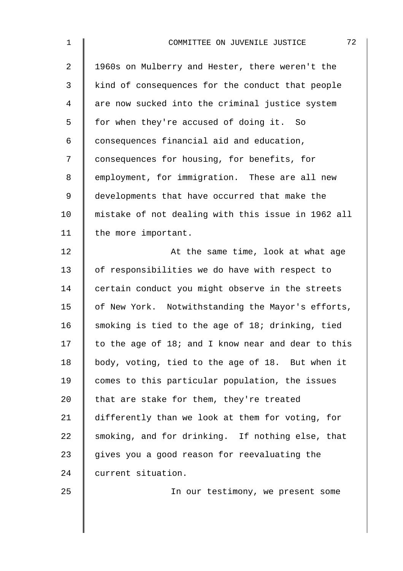| 1  | 72<br>COMMITTEE ON JUVENILE JUSTICE                |
|----|----------------------------------------------------|
| 2  | 1960s on Mulberry and Hester, there weren't the    |
| 3  | kind of consequences for the conduct that people   |
| 4  | are now sucked into the criminal justice system    |
| 5  | for when they're accused of doing it. So           |
| 6  | consequences financial aid and education,          |
| 7  | consequences for housing, for benefits, for        |
| 8  | employment, for immigration. These are all new     |
| 9  | developments that have occurred that make the      |
| 10 | mistake of not dealing with this issue in 1962 all |
| 11 | the more important.                                |
| 12 | At the same time, look at what age                 |
| 13 | of responsibilities we do have with respect to     |
| 14 | certain conduct you might observe in the streets   |
| 15 | of New York. Notwithstanding the Mayor's efforts,  |
| 16 | smoking is tied to the age of 18; drinking, tied   |
| 17 | to the age of 18; and I know near and dear to this |
| 18 | body, voting, tied to the age of 18. But when it   |
| 19 | comes to this particular population, the issues    |
| 20 | that are stake for them, they're treated           |
| 21 | differently than we look at them for voting, for   |
| 22 | smoking, and for drinking. If nothing else, that   |
| 23 | gives you a good reason for reevaluating the       |
| 24 | current situation.                                 |
| 25 | In our testimony, we present some                  |
|    |                                                    |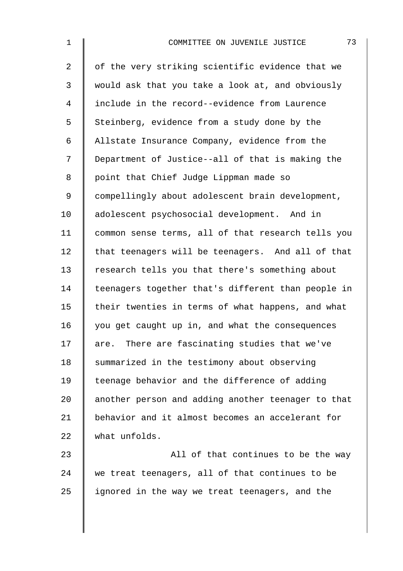| $\mathbf 1$    | 73<br>COMMITTEE ON JUVENILE JUSTICE                |
|----------------|----------------------------------------------------|
| $\overline{2}$ | of the very striking scientific evidence that we   |
| 3              | would ask that you take a look at, and obviously   |
| 4              | include in the record--evidence from Laurence      |
| 5              | Steinberg, evidence from a study done by the       |
| 6              | Allstate Insurance Company, evidence from the      |
| 7              | Department of Justice--all of that is making the   |
| 8              | point that Chief Judge Lippman made so             |
| $\mathsf 9$    | compellingly about adolescent brain development,   |
| 10             | adolescent psychosocial development. And in        |
| 11             | common sense terms, all of that research tells you |
| 12             | that teenagers will be teenagers. And all of that  |
| 13             | research tells you that there's something about    |
| 14             | teenagers together that's different than people in |
| 15             | their twenties in terms of what happens, and what  |
| 16             | you get caught up in, and what the consequences    |
| 17             | are. There are fascinating studies that we've      |
| 18             | summarized in the testimony about observing        |
| 19             | teenage behavior and the difference of adding      |
| 20             | another person and adding another teenager to that |
| 21             | behavior and it almost becomes an accelerant for   |
| 22             | what unfolds.                                      |
| 23             | All of that continues to be the way                |
| 24             | we treat teenagers, all of that continues to be    |

25 | ignored in the way we treat teenagers, and the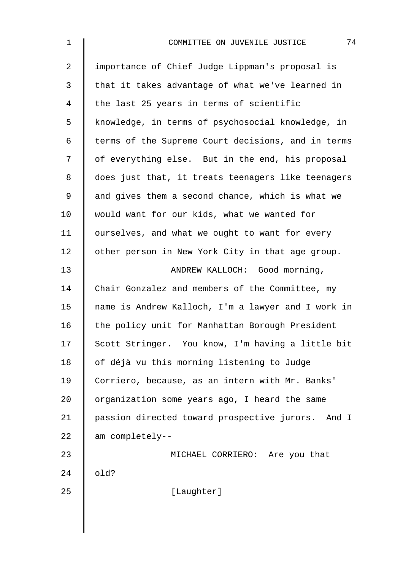| $\mathbf 1$    | 74<br>COMMITTEE ON JUVENILE JUSTICE                |
|----------------|----------------------------------------------------|
| $\overline{2}$ | importance of Chief Judge Lippman's proposal is    |
| 3              | that it takes advantage of what we've learned in   |
| 4              | the last 25 years in terms of scientific           |
| 5              | knowledge, in terms of psychosocial knowledge, in  |
| 6              | terms of the Supreme Court decisions, and in terms |
| 7              | of everything else. But in the end, his proposal   |
| 8              | does just that, it treats teenagers like teenagers |
| 9              | and gives them a second chance, which is what we   |
| 10             | would want for our kids, what we wanted for        |
| 11             | ourselves, and what we ought to want for every     |
| 12             | other person in New York City in that age group.   |
| 13             | ANDREW KALLOCH: Good morning,                      |
| 14             | Chair Gonzalez and members of the Committee, my    |
| 15             | name is Andrew Kalloch, I'm a lawyer and I work in |
| 16             | the policy unit for Manhattan Borough President    |
| 17             | Scott Stringer. You know, I'm having a little bit  |
| 18             | of déjà vu this morning listening to Judge         |
| 19             | Corriero, because, as an intern with Mr. Banks'    |
| 20             | organization some years ago, I heard the same      |
| 21             | passion directed toward prospective jurors. And I  |
| 22             | am completely--                                    |
| 23             | MICHAEL CORRIERO: Are you that                     |
| 24             | old?                                               |
| 25             | [Laughter]                                         |
|                |                                                    |
|                |                                                    |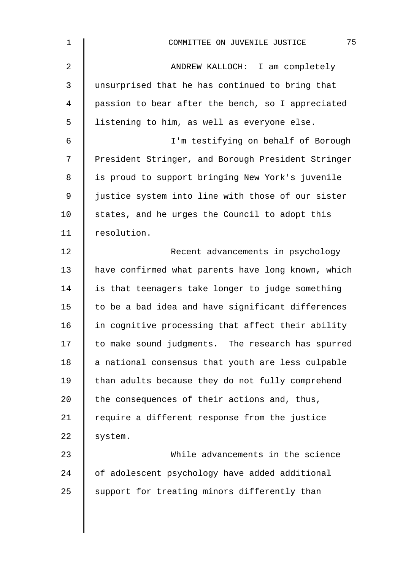| $\mathbf 1$    | 75<br>COMMITTEE ON JUVENILE JUSTICE                |
|----------------|----------------------------------------------------|
| $\overline{2}$ | ANDREW KALLOCH: I am completely                    |
| 3              | unsurprised that he has continued to bring that    |
| 4              | passion to bear after the bench, so I appreciated  |
| 5              | listening to him, as well as everyone else.        |
| $\epsilon$     | I'm testifying on behalf of Borough                |
| 7              | President Stringer, and Borough President Stringer |
| 8              | is proud to support bringing New York's juvenile   |
| $\mathsf 9$    | justice system into line with those of our sister  |
| 10             | states, and he urges the Council to adopt this     |
| 11             | resolution.                                        |
| 12             | Recent advancements in psychology                  |
| 13             | have confirmed what parents have long known, which |
| 14             | is that teenagers take longer to judge something   |
| 15             | to be a bad idea and have significant differences  |
| 16             | in cognitive processing that affect their ability  |
| 17             | to make sound judgments. The research has spurred  |
| 18             | a national consensus that youth are less culpable  |
| 19             | than adults because they do not fully comprehend   |
| 20             | the consequences of their actions and, thus,       |
| 21             | require a different response from the justice      |
| 22             | system.                                            |
| 23             | While advancements in the science                  |
| 24             | of adolescent psychology have added additional     |
| 25             | support for treating minors differently than       |
|                |                                                    |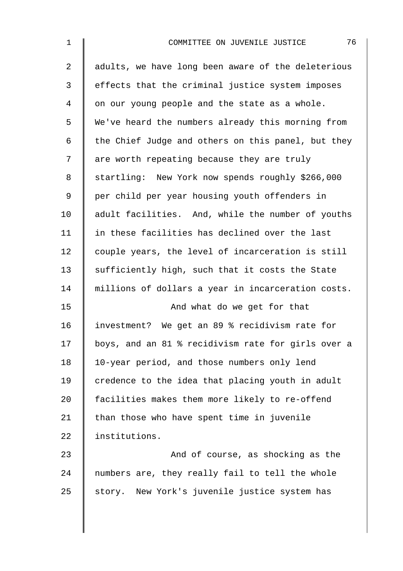| 1              | 76<br>COMMITTEE ON JUVENILE JUSTICE                |
|----------------|----------------------------------------------------|
| $\overline{2}$ | adults, we have long been aware of the deleterious |
| 3              | effects that the criminal justice system imposes   |
| 4              | on our young people and the state as a whole.      |
| 5              | We've heard the numbers already this morning from  |
| 6              | the Chief Judge and others on this panel, but they |
| 7              | are worth repeating because they are truly         |
| 8              | startling: New York now spends roughly \$266,000   |
| 9              | per child per year housing youth offenders in      |
| 10             | adult facilities. And, while the number of youths  |
| 11             | in these facilities has declined over the last     |
| 12             | couple years, the level of incarceration is still  |
| 13             | sufficiently high, such that it costs the State    |
| 14             | millions of dollars a year in incarceration costs. |
| 15             | And what do we get for that                        |
| 16             | investment? We get an 89 % recidivism rate for     |
| 17             | boys, and an 81 % recidivism rate for girls over a |
| 18             | 10-year period, and those numbers only lend        |
| 19             | credence to the idea that placing youth in adult   |
| 20             | facilities makes them more likely to re-offend     |
| 21             | than those who have spent time in juvenile         |
| 22             | institutions.                                      |
| 23             | And of course, as shocking as the                  |
| 24             | numbers are, they really fail to tell the whole    |
| 25             | story. New York's juvenile justice system has      |
|                |                                                    |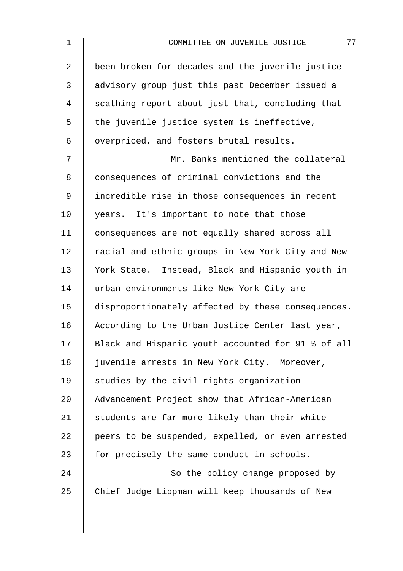| $\mathbf 1$    | 77<br>COMMITTEE ON JUVENILE JUSTICE                |
|----------------|----------------------------------------------------|
| $\overline{2}$ | been broken for decades and the juvenile justice   |
| 3              | advisory group just this past December issued a    |
| 4              | scathing report about just that, concluding that   |
| 5              | the juvenile justice system is ineffective,        |
| 6              | overpriced, and fosters brutal results.            |
| 7              | Mr. Banks mentioned the collateral                 |
| 8              | consequences of criminal convictions and the       |
| 9              | incredible rise in those consequences in recent    |
| 10             | years. It's important to note that those           |
| 11             | consequences are not equally shared across all     |
| 12             | racial and ethnic groups in New York City and New  |
| 13             | York State. Instead, Black and Hispanic youth in   |
| 14             | urban environments like New York City are          |
| 15             | disproportionately affected by these consequences. |
| 16             | According to the Urban Justice Center last year,   |
| 17             | Black and Hispanic youth accounted for 91 % of all |
| 18             | juvenile arrests in New York City. Moreover,       |
| 19             | studies by the civil rights organization           |
| 20             | Advancement Project show that African-American     |
| 21             | students are far more likely than their white      |
| 22             | peers to be suspended, expelled, or even arrested  |
| 23             | for precisely the same conduct in schools.         |
| 24             | So the policy change proposed by                   |
| 25             | Chief Judge Lippman will keep thousands of New     |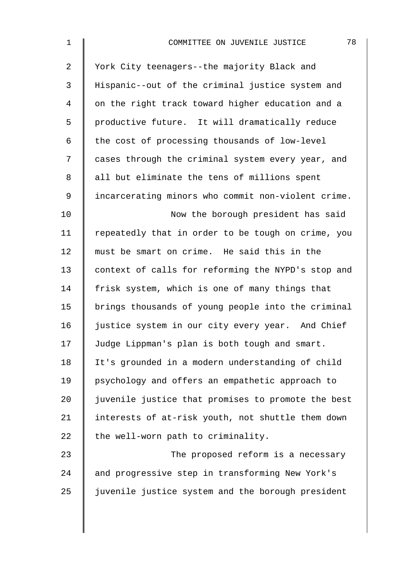| $\mathbf 1$    | 78<br>COMMITTEE ON JUVENILE JUSTICE                |
|----------------|----------------------------------------------------|
| $\overline{a}$ | York City teenagers--the majority Black and        |
| 3              | Hispanic--out of the criminal justice system and   |
| 4              | on the right track toward higher education and a   |
| 5              | productive future. It will dramatically reduce     |
| 6              | the cost of processing thousands of low-level      |
| 7              | cases through the criminal system every year, and  |
| 8              | all but eliminate the tens of millions spent       |
| 9              | incarcerating minors who commit non-violent crime. |
| 10             | Now the borough president has said                 |
| 11             | repeatedly that in order to be tough on crime, you |
| 12             | must be smart on crime. He said this in the        |
| 13             | context of calls for reforming the NYPD's stop and |
| 14             | frisk system, which is one of many things that     |
| 15             | brings thousands of young people into the criminal |
| 16             | justice system in our city every year. And Chief   |
| 17             | Judge Lippman's plan is both tough and smart.      |
| 18             | It's grounded in a modern understanding of child   |
| 19             | psychology and offers an empathetic approach to    |
| 20             | juvenile justice that promises to promote the best |
| 21             | interests of at-risk youth, not shuttle them down  |
| 22             | the well-worn path to criminality.                 |
| 23             | The proposed reform is a necessary                 |
| 24             | and progressive step in transforming New York's    |
| 25             | juvenile justice system and the borough president  |
|                |                                                    |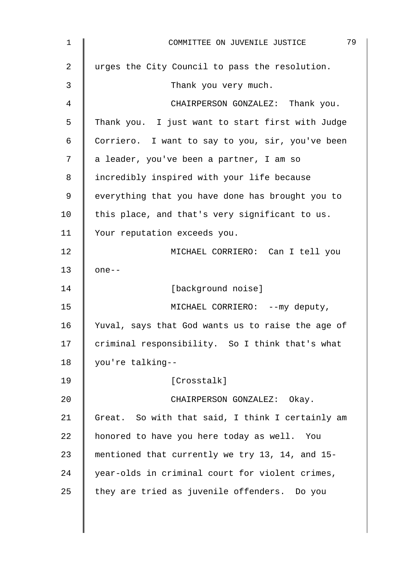| $\mathbf{1}$ | 79<br>COMMITTEE ON JUVENILE JUSTICE               |
|--------------|---------------------------------------------------|
| 2            | urges the City Council to pass the resolution.    |
| 3            | Thank you very much.                              |
| 4            | CHAIRPERSON GONZALEZ: Thank you.                  |
| 5            | Thank you. I just want to start first with Judge  |
| 6            | Corriero. I want to say to you, sir, you've been  |
| 7            | a leader, you've been a partner, I am so          |
| 8            | incredibly inspired with your life because        |
| 9            | everything that you have done has brought you to  |
| 10           | this place, and that's very significant to us.    |
| 11           | Your reputation exceeds you.                      |
| 12           | MICHAEL CORRIERO: Can I tell you                  |
| 13           | $one--$                                           |
| 14           | [background noise]                                |
| 15           | MICHAEL CORRIERO: -- my deputy,                   |
| 16           | Yuval, says that God wants us to raise the age of |
| 17           | criminal responsibility. So I think that's what   |
| 18           | you're talking--                                  |
| 19           | [Crosstalk]                                       |
| 20           | CHAIRPERSON GONZALEZ: Okay.                       |
| 21           | Great. So with that said, I think I certainly am  |
| 22           | honored to have you here today as well. You       |
| 23           | mentioned that currently we try 13, 14, and 15-   |
| 24           | year-olds in criminal court for violent crimes,   |
| 25           | they are tried as juvenile offenders. Do you      |
|              |                                                   |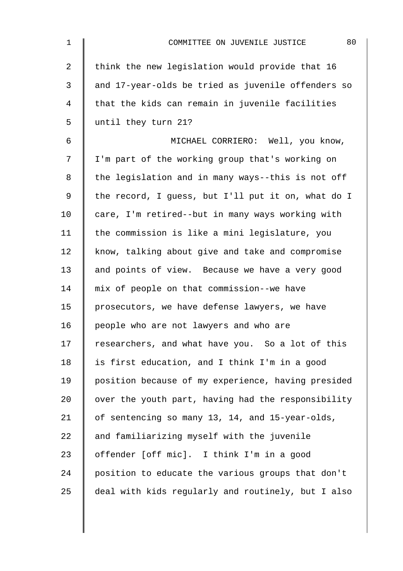| $\mathbf 1$ | 80<br>COMMITTEE ON JUVENILE JUSTICE                |
|-------------|----------------------------------------------------|
| 2           | think the new legislation would provide that 16    |
| 3           | and 17-year-olds be tried as juvenile offenders so |
| 4           | that the kids can remain in juvenile facilities    |
| 5           | until they turn 21?                                |
| 6           | MICHAEL CORRIERO: Well, you know,                  |
| 7           | I'm part of the working group that's working on    |
| 8           | the legislation and in many ways--this is not off  |
| 9           | the record, I guess, but I'll put it on, what do I |
| 10          | care, I'm retired--but in many ways working with   |
| 11          | the commission is like a mini legislature, you     |
| 12          | know, talking about give and take and compromise   |
| 13          | and points of view. Because we have a very good    |
| 14          | mix of people on that commission--we have          |
| 15          | prosecutors, we have defense lawyers, we have      |
| 16          | people who are not lawyers and who are             |
| 17          | researchers, and what have you. So a lot of this   |
| 18          | is first education, and I think I'm in a good      |
| 19          | position because of my experience, having presided |
| 20          | over the youth part, having had the responsibility |
| 21          | of sentencing so many 13, 14, and 15-year-olds,    |
| 22          | and familiarizing myself with the juvenile         |
| 23          | offender [off mic]. I think I'm in a good          |
| 24          | position to educate the various groups that don't  |
| 25          | deal with kids regularly and routinely, but I also |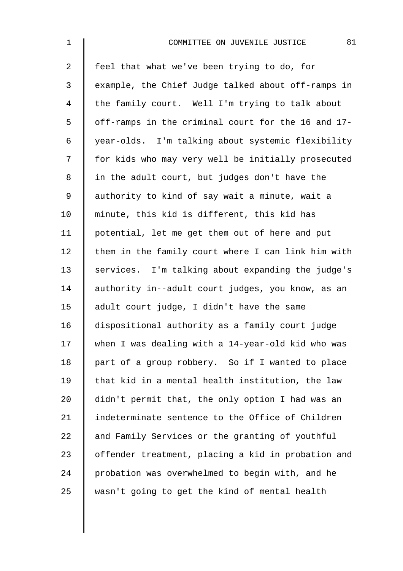| $\mathbf 1$    | 81<br>COMMITTEE ON JUVENILE JUSTICE                |
|----------------|----------------------------------------------------|
| $\overline{2}$ | feel that what we've been trying to do, for        |
| $\mathfrak{Z}$ | example, the Chief Judge talked about off-ramps in |
| $\overline{4}$ | the family court. Well I'm trying to talk about    |
| 5              | off-ramps in the criminal court for the 16 and 17- |
| 6              | year-olds. I'm talking about systemic flexibility  |
| 7              | for kids who may very well be initially prosecuted |
| 8              | in the adult court, but judges don't have the      |
| 9              | authority to kind of say wait a minute, wait a     |
| 10             | minute, this kid is different, this kid has        |
| 11             | potential, let me get them out of here and put     |
| 12             | them in the family court where I can link him with |
| 13             | services. I'm talking about expanding the judge's  |
| 14             | authority in--adult court judges, you know, as an  |
| 15             | adult court judge, I didn't have the same          |
| 16             | dispositional authority as a family court judge    |
| 17             | when I was dealing with a 14-year-old kid who was  |
| 18             | part of a group robbery. So if I wanted to place   |
| 19             | that kid in a mental health institution, the law   |
| 20             | didn't permit that, the only option I had was an   |
| 21             | indeterminate sentence to the Office of Children   |
| 22             | and Family Services or the granting of youthful    |
| 23             | offender treatment, placing a kid in probation and |
| 24             | probation was overwhelmed to begin with, and he    |
| 25             | wasn't going to get the kind of mental health      |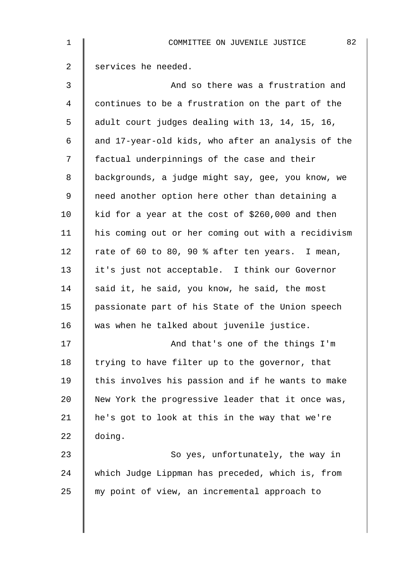| $\mathbf 1$    | 82<br>COMMITTEE ON JUVENILE JUSTICE                |
|----------------|----------------------------------------------------|
| $\overline{2}$ | services he needed.                                |
| 3              | And so there was a frustration and                 |
| $\overline{4}$ | continues to be a frustration on the part of the   |
| 5              | adult court judges dealing with 13, 14, 15, 16,    |
| 6              | and 17-year-old kids, who after an analysis of the |
| 7              | factual underpinnings of the case and their        |
| 8              | backgrounds, a judge might say, gee, you know, we  |
| $\mathsf 9$    | need another option here other than detaining a    |
| 10             | kid for a year at the cost of \$260,000 and then   |
| 11             | his coming out or her coming out with a recidivism |
| 12             | rate of 60 to 80, 90 % after ten years. I mean,    |
| 13             | it's just not acceptable. I think our Governor     |
| 14             | said it, he said, you know, he said, the most      |
| 15             | passionate part of his State of the Union speech   |
| 16             | was when he talked about juvenile justice.         |
| 17             | And that's one of the things I'm                   |
| 18             | trying to have filter up to the governor, that     |
| 19             | this involves his passion and if he wants to make  |
| 20             | New York the progressive leader that it once was,  |
| 21             | he's got to look at this in the way that we're     |
| 22             | doing.                                             |
| 23             | So yes, unfortunately, the way in                  |
| 24             | which Judge Lippman has preceded, which is, from   |
| 25             | my point of view, an incremental approach to       |
|                |                                                    |
|                |                                                    |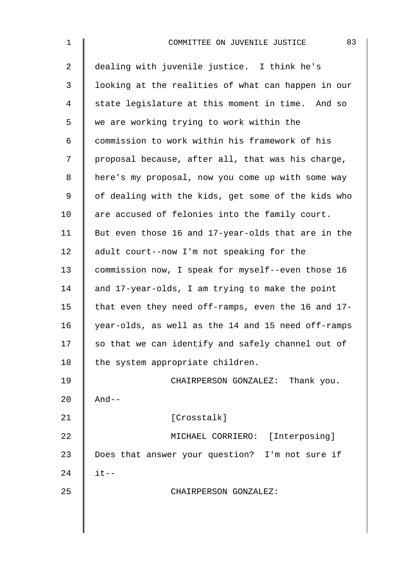| $\mathbf{1}$   | 83<br>COMMITTEE ON JUVENILE JUSTICE                |
|----------------|----------------------------------------------------|
| $\overline{a}$ | dealing with juvenile justice. I think he's        |
| 3              | looking at the realities of what can happen in our |
| 4              | state legislature at this moment in time. And so   |
| 5              | we are working trying to work within the           |
| 6              | commission to work within his framework of his     |
| 7              | proposal because, after all, that was his charge,  |
| 8              | here's my proposal, now you come up with some way  |
| 9              | of dealing with the kids, get some of the kids who |
| 10             | are accused of felonies into the family court.     |
| 11             | But even those 16 and 17-year-olds that are in the |
| 12             | adult court--now I'm not speaking for the          |
| 13             | commission now, I speak for myself--even those 16  |
| 14             | and 17-year-olds, I am trying to make the point    |
| 15             | that even they need off-ramps, even the 16 and 17- |
| 16             | year-olds, as well as the 14 and 15 need off-ramps |
| 17             | so that we can identify and safely channel out of  |
| 18             | the system appropriate children.                   |
| 19             | CHAIRPERSON GONZALEZ: Thank you.                   |
| 20             | $And--$                                            |
| 21             | [Crosstalk]                                        |
| 22             | MICHAEL CORRIERO: [Interposing]                    |
| 23             | Does that answer your question? I'm not sure if    |
| 24             | $it--$                                             |
| 25             | CHAIRPERSON GONZALEZ:                              |
|                |                                                    |
|                |                                                    |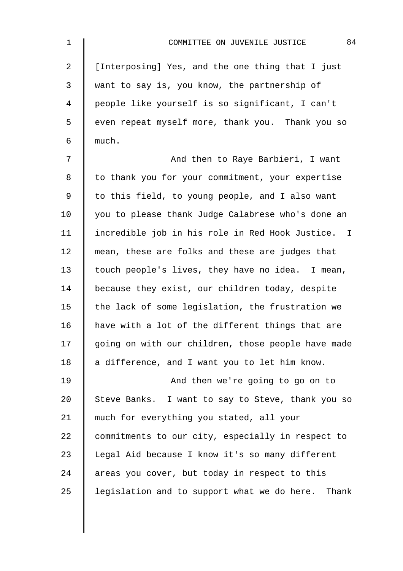| $\mathbf 1$    | 84<br>COMMITTEE ON JUVENILE JUSTICE                |
|----------------|----------------------------------------------------|
| $\overline{a}$ | [Interposing] Yes, and the one thing that I just   |
| 3              | want to say is, you know, the partnership of       |
| 4              | people like yourself is so significant, I can't    |
| 5              | even repeat myself more, thank you. Thank you so   |
| 6              | much.                                              |
| 7              | And then to Raye Barbieri, I want                  |
| 8              | to thank you for your commitment, your expertise   |
| $\mathsf 9$    | to this field, to young people, and I also want    |
| 10             | you to please thank Judge Calabrese who's done an  |
| 11             | incredible job in his role in Red Hook Justice. I  |
| 12             | mean, these are folks and these are judges that    |
| 13             | touch people's lives, they have no idea. I mean,   |
| 14             | because they exist, our children today, despite    |
| 15             | the lack of some legislation, the frustration we   |
| 16             | have with a lot of the different things that are   |
| 17             | going on with our children, those people have made |
| 18             | a difference, and I want you to let him know.      |
| 19             | And then we're going to go on to                   |
| 20             | Steve Banks. I want to say to Steve, thank you so  |
| 21             | much for everything you stated, all your           |
| 22             | commitments to our city, especially in respect to  |
| 23             | Legal Aid because I know it's so many different    |
| 24             | areas you cover, but today in respect to this      |
| 25             | legislation and to support what we do here. Thank  |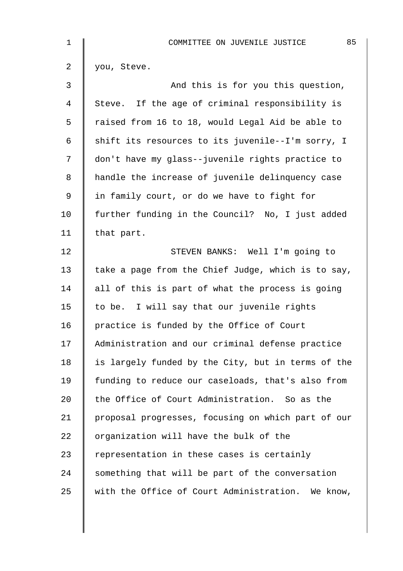| 1  | 85<br>COMMITTEE ON JUVENILE JUSTICE                |
|----|----------------------------------------------------|
| 2  | you, Steve.                                        |
| 3  | And this is for you this question,                 |
| 4  | Steve. If the age of criminal responsibility is    |
| 5  | raised from 16 to 18, would Legal Aid be able to   |
| 6  | shift its resources to its juvenile--I'm sorry, I  |
| 7  | don't have my glass--juvenile rights practice to   |
| 8  | handle the increase of juvenile delinquency case   |
| 9  | in family court, or do we have to fight for        |
| 10 | further funding in the Council? No, I just added   |
| 11 | that part.                                         |
| 12 | STEVEN BANKS: Well I'm going to                    |
| 13 | take a page from the Chief Judge, which is to say, |
| 14 | all of this is part of what the process is going   |
| 15 | to be. I will say that our juvenile rights         |
| 16 | practice is funded by the Office of Court          |
| 17 | Administration and our criminal defense practice   |
| 18 | is largely funded by the City, but in terms of the |
| 19 | funding to reduce our caseloads, that's also from  |
| 20 | the Office of Court Administration. So as the      |
| 21 | proposal progresses, focusing on which part of our |
| 22 | organization will have the bulk of the             |
| 23 | representation in these cases is certainly         |
| 24 | something that will be part of the conversation    |
| 25 | with the Office of Court Administration. We know,  |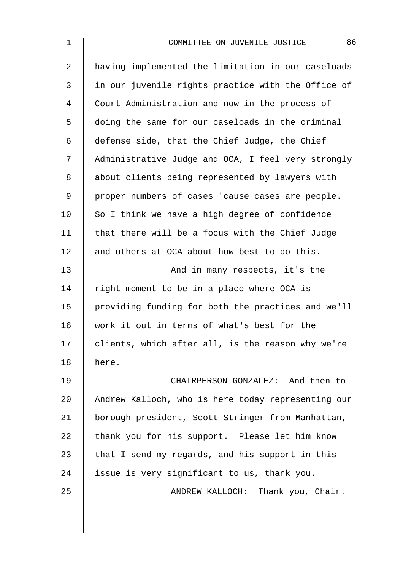| $\mathbf 1$ | 86<br>COMMITTEE ON JUVENILE JUSTICE                |
|-------------|----------------------------------------------------|
| 2           | having implemented the limitation in our caseloads |
| 3           | in our juvenile rights practice with the Office of |
| 4           | Court Administration and now in the process of     |
| 5           | doing the same for our caseloads in the criminal   |
| 6           | defense side, that the Chief Judge, the Chief      |
| 7           | Administrative Judge and OCA, I feel very strongly |
| 8           | about clients being represented by lawyers with    |
| $\mathsf 9$ | proper numbers of cases 'cause cases are people.   |
| 10          | So I think we have a high degree of confidence     |
| 11          | that there will be a focus with the Chief Judge    |
| 12          | and others at OCA about how best to do this.       |
| 13          | And in many respects, it's the                     |
| 14          | right moment to be in a place where OCA is         |
| 15          | providing funding for both the practices and we'll |
| 16          | work it out in terms of what's best for the        |
| 17          | clients, which after all, is the reason why we're  |
| 18          | here.                                              |
| 19          | CHAIRPERSON GONZALEZ: And then to                  |
| 20          | Andrew Kalloch, who is here today representing our |
| 21          | borough president, Scott Stringer from Manhattan,  |
| 22          | thank you for his support. Please let him know     |
| 23          | that I send my regards, and his support in this    |
| 24          | issue is very significant to us, thank you.        |
| 25          | ANDREW KALLOCH: Thank you, Chair.                  |
|             |                                                    |
|             |                                                    |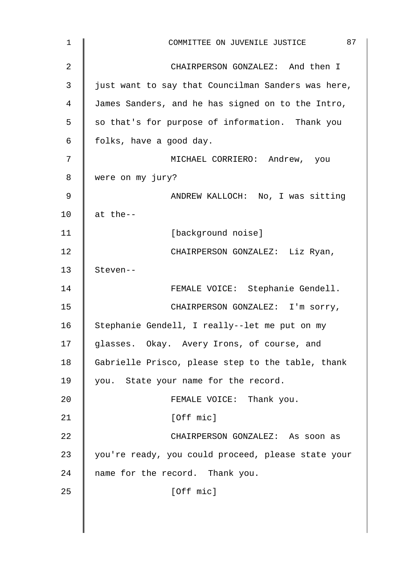| 1  | 87<br>COMMITTEE ON JUVENILE JUSTICE                |
|----|----------------------------------------------------|
| 2  | CHAIRPERSON GONZALEZ: And then I                   |
| 3  | just want to say that Councilman Sanders was here, |
| 4  | James Sanders, and he has signed on to the Intro,  |
| 5  | so that's for purpose of information. Thank you    |
| 6  | folks, have a good day.                            |
| 7  | MICHAEL CORRIERO: Andrew, you                      |
| 8  | were on my jury?                                   |
| 9  | ANDREW KALLOCH: No, I was sitting                  |
| 10 | at the--                                           |
| 11 | [background noise]                                 |
| 12 | CHAIRPERSON GONZALEZ: Liz Ryan,                    |
| 13 | Steven--                                           |
| 14 | FEMALE VOICE: Stephanie Gendell.                   |
| 15 | CHAIRPERSON GONZALEZ: I'm sorry,                   |
| 16 | Stephanie Gendell, I really--let me put on my      |
| 17 | glasses. Okay. Avery Irons, of course, and         |
| 18 | Gabrielle Prisco, please step to the table, thank  |
| 19 | you. State your name for the record.               |
| 20 | FEMALE VOICE: Thank you.                           |
| 21 | [Off mic]                                          |
| 22 | CHAIRPERSON GONZALEZ: As soon as                   |
| 23 | you're ready, you could proceed, please state your |
| 24 | name for the record. Thank you.                    |
| 25 | [Off mic]                                          |
|    |                                                    |
|    |                                                    |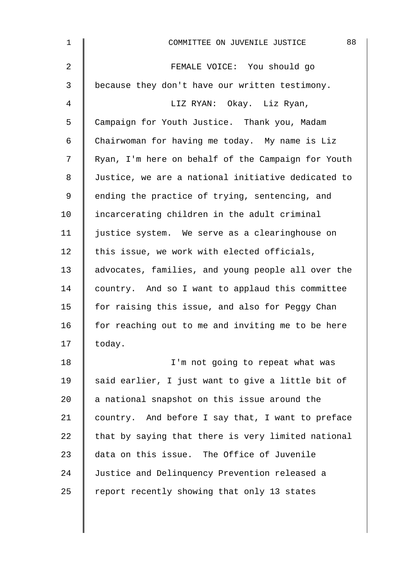| $\mathbf{1}$   | 88<br>COMMITTEE ON JUVENILE JUSTICE                |
|----------------|----------------------------------------------------|
| $\overline{2}$ | FEMALE VOICE: You should go                        |
| 3              | because they don't have our written testimony.     |
| 4              | LIZ RYAN: Okay. Liz Ryan,                          |
| 5              | Campaign for Youth Justice. Thank you, Madam       |
| 6              | Chairwoman for having me today. My name is Liz     |
| 7              | Ryan, I'm here on behalf of the Campaign for Youth |
| 8              | Justice, we are a national initiative dedicated to |
| 9              | ending the practice of trying, sentencing, and     |
| 10             | incarcerating children in the adult criminal       |
| 11             | justice system. We serve as a clearinghouse on     |
| 12             | this issue, we work with elected officials,        |
| 13             | advocates, families, and young people all over the |
| 14             | country. And so I want to applaud this committee   |
| 15             | for raising this issue, and also for Peggy Chan    |
| 16             | for reaching out to me and inviting me to be here  |
| 17             | today.                                             |
| 18             | I'm not going to repeat what was                   |
| 19             | said earlier, I just want to give a little bit of  |
| 20             | a national snapshot on this issue around the       |
| 21             | country. And before I say that, I want to preface  |
| 22             | that by saying that there is very limited national |
| 23             | data on this issue. The Office of Juvenile         |
| 24             | Justice and Delinquency Prevention released a      |
| 25             | report recently showing that only 13 states        |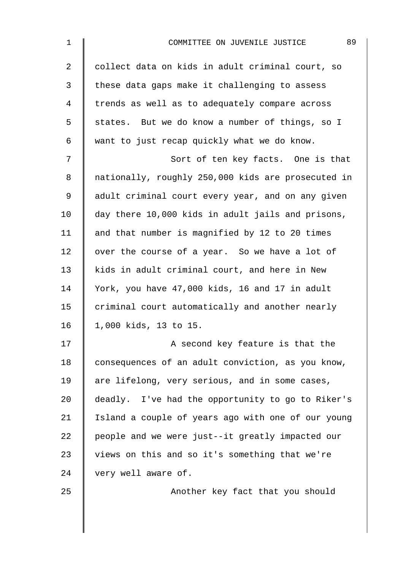| $\mathbf 1$    | 89<br>COMMITTEE ON JUVENILE JUSTICE                |
|----------------|----------------------------------------------------|
| $\overline{a}$ | collect data on kids in adult criminal court, so   |
| $\mathsf{3}$   | these data gaps make it challenging to assess      |
| 4              | trends as well as to adequately compare across     |
| 5              | states. But we do know a number of things, so I    |
| 6              | want to just recap quickly what we do know.        |
| 7              | Sort of ten key facts. One is that                 |
| 8              | nationally, roughly 250,000 kids are prosecuted in |
| 9              | adult criminal court every year, and on any given  |
| 10             | day there 10,000 kids in adult jails and prisons,  |
| 11             | and that number is magnified by 12 to 20 times     |
| 12             | over the course of a year. So we have a lot of     |
| 13             | kids in adult criminal court, and here in New      |
| 14             | York, you have 47,000 kids, 16 and 17 in adult     |
| 15             | criminal court automatically and another nearly    |
| 16             | 1,000 kids, 13 to 15.                              |
| 17             | A second key feature is that the                   |
| 18             | consequences of an adult conviction, as you know,  |
| 19             | are lifelong, very serious, and in some cases,     |
| 20             | deadly. I've had the opportunity to go to Riker's  |
| 21             | Island a couple of years ago with one of our young |
| 22             | people and we were just--it greatly impacted our   |
| 23             | views on this and so it's something that we're     |
| 24             | very well aware of.                                |
| 25             | Another key fact that you should                   |
|                |                                                    |
|                |                                                    |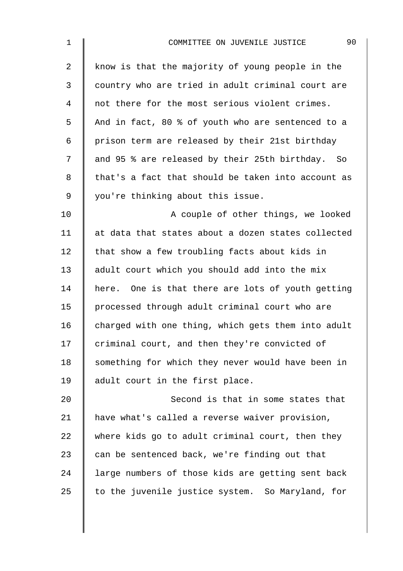| $\mathbf 1$    | 90<br>COMMITTEE ON JUVENILE JUSTICE                |
|----------------|----------------------------------------------------|
| $\overline{a}$ | know is that the majority of young people in the   |
| 3              | country who are tried in adult criminal court are  |
| 4              | not there for the most serious violent crimes.     |
| 5              | And in fact, 80 % of youth who are sentenced to a  |
| 6              | prison term are released by their 21st birthday    |
| 7              | and 95 % are released by their 25th birthday. So   |
| 8              | that's a fact that should be taken into account as |
| 9              | you're thinking about this issue.                  |
| 10             | A couple of other things, we looked                |
| 11             | at data that states about a dozen states collected |
| 12             | that show a few troubling facts about kids in      |
| 13             | adult court which you should add into the mix      |
| 14             | here. One is that there are lots of youth getting  |
| 15             | processed through adult criminal court who are     |
| 16             | charged with one thing, which gets them into adult |
| 17             | criminal court, and then they're convicted of      |
| 18             | something for which they never would have been in  |
| 19             | adult court in the first place.                    |
| 20             | Second is that in some states that                 |
| 21             | have what's called a reverse waiver provision,     |
| 22             | where kids go to adult criminal court, then they   |
| 23             | can be sentenced back, we're finding out that      |
| 24             | large numbers of those kids are getting sent back  |
| 25             | to the juvenile justice system. So Maryland, for   |
|                |                                                    |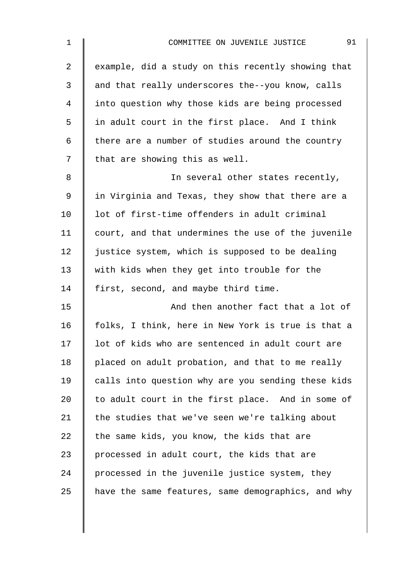| $\mathbf{1}$   | 91<br>COMMITTEE ON JUVENILE JUSTICE                |
|----------------|----------------------------------------------------|
| $\overline{a}$ | example, did a study on this recently showing that |
| 3              | and that really underscores the--you know, calls   |
| 4              | into question why those kids are being processed   |
| 5              | in adult court in the first place. And I think     |
| 6              | there are a number of studies around the country   |
| 7              | that are showing this as well.                     |
| 8              | In several other states recently,                  |
| 9              | in Virginia and Texas, they show that there are a  |
| 10             | lot of first-time offenders in adult criminal      |
| 11             | court, and that undermines the use of the juvenile |
| 12             | justice system, which is supposed to be dealing    |
| 13             | with kids when they get into trouble for the       |
| 14             | first, second, and maybe third time.               |
| 15             | And then another fact that a lot of                |
| 16             | folks, I think, here in New York is true is that a |
| 17             | lot of kids who are sentenced in adult court are   |
| 18             | placed on adult probation, and that to me really   |
| 19             | calls into question why are you sending these kids |
| 20             | to adult court in the first place. And in some of  |
| 21             | the studies that we've seen we're talking about    |
| 22             | the same kids, you know, the kids that are         |
| 23             | processed in adult court, the kids that are        |
| 24             | processed in the juvenile justice system, they     |
| 25             | have the same features, same demographics, and why |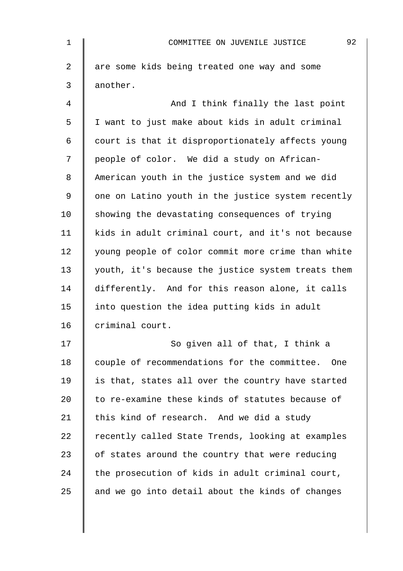| $\mathbf{1}$   | 92<br>COMMITTEE ON JUVENILE JUSTICE                |
|----------------|----------------------------------------------------|
| $\overline{a}$ | are some kids being treated one way and some       |
| 3              | another.                                           |
| 4              | And I think finally the last point                 |
| 5              | I want to just make about kids in adult criminal   |
| 6              | court is that it disproportionately affects young  |
| 7              | people of color. We did a study on African-        |
| 8              | American youth in the justice system and we did    |
| 9              | one on Latino youth in the justice system recently |
| 10             | showing the devastating consequences of trying     |
| 11             | kids in adult criminal court, and it's not because |
| 12             | young people of color commit more crime than white |
| 13             | youth, it's because the justice system treats them |
| 14             | differently. And for this reason alone, it calls   |
| 15             | into question the idea putting kids in adult       |
| 16             | criminal court.                                    |
| 17             | So given all of that, I think a                    |
| 18             | couple of recommendations for the committee. One   |
| 19             | is that, states all over the country have started  |
| 20             | to re-examine these kinds of statutes because of   |
| 21             | this kind of research. And we did a study          |
| 22             | recently called State Trends, looking at examples  |
| 23             | of states around the country that were reducing    |
| 24             | the prosecution of kids in adult criminal court,   |
| 25             | and we go into detail about the kinds of changes   |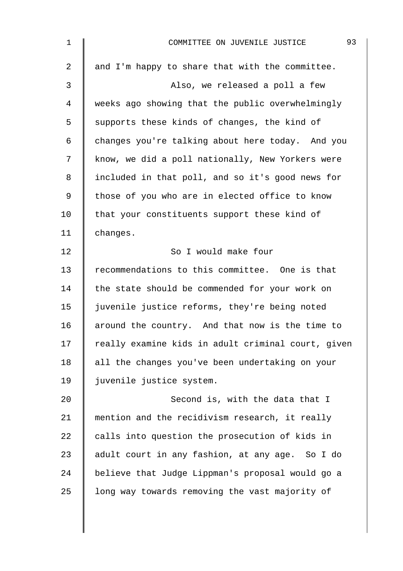| $\mathbf 1$ | 93<br>COMMITTEE ON JUVENILE JUSTICE                |
|-------------|----------------------------------------------------|
| 2           | and I'm happy to share that with the committee.    |
| 3           | Also, we released a poll a few                     |
| 4           | weeks ago showing that the public overwhelmingly   |
| 5           | supports these kinds of changes, the kind of       |
| 6           | changes you're talking about here today. And you   |
| 7           | know, we did a poll nationally, New Yorkers were   |
| 8           | included in that poll, and so it's good news for   |
| 9           | those of you who are in elected office to know     |
| 10          | that your constituents support these kind of       |
| 11          | changes.                                           |
| 12          | So I would make four                               |
| 13          | recommendations to this committee. One is that     |
| 14          | the state should be commended for your work on     |
| 15          | juvenile justice reforms, they're being noted      |
| 16          | around the country. And that now is the time to    |
| 17          | really examine kids in adult criminal court, given |
| 18          | all the changes you've been undertaking on your    |
| 19          | juvenile justice system.                           |
| 20          | Second is, with the data that I                    |
| 21          | mention and the recidivism research, it really     |
| 22          | calls into question the prosecution of kids in     |
| 23          | adult court in any fashion, at any age. So I do    |
| 24          | believe that Judge Lippman's proposal would go a   |
| 25          | long way towards removing the vast majority of     |
|             |                                                    |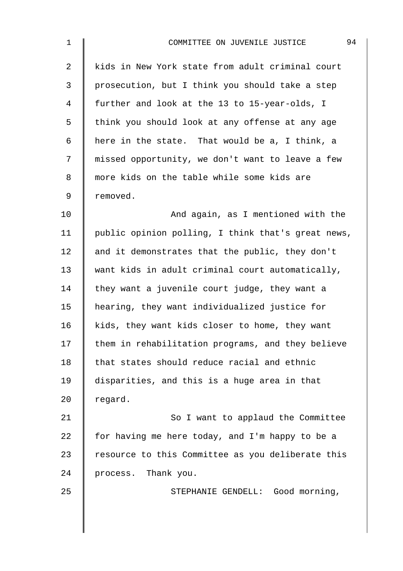| $\mathbf{1}$   | 94<br>COMMITTEE ON JUVENILE JUSTICE                |
|----------------|----------------------------------------------------|
| $\overline{2}$ | kids in New York state from adult criminal court   |
| $\mathsf{3}$   | prosecution, but I think you should take a step    |
| 4              | further and look at the 13 to 15-year-olds, I      |
| 5              | think you should look at any offense at any age    |
| 6              | here in the state. That would be a, I think, a     |
| 7              | missed opportunity, we don't want to leave a few   |
| 8              | more kids on the table while some kids are         |
| 9              | removed.                                           |
| 10             | And again, as I mentioned with the                 |
| 11             | public opinion polling, I think that's great news, |
| 12             | and it demonstrates that the public, they don't    |
| 13             | want kids in adult criminal court automatically,   |
| 14             | they want a juvenile court judge, they want a      |
| 15             | hearing, they want individualized justice for      |
| 16             | kids, they want kids closer to home, they want     |
| 17             | them in rehabilitation programs, and they believe  |
| 18             | that states should reduce racial and ethnic        |
| 19             | disparities, and this is a huge area in that       |
| 20             | regard.                                            |
| 21             | So I want to applaud the Committee                 |
| 22             | for having me here today, and I'm happy to be a    |
| 23             | resource to this Committee as you deliberate this  |
| 24             | process. Thank you.                                |
| 25             | STEPHANIE GENDELL: Good morning,                   |
|                |                                                    |
|                |                                                    |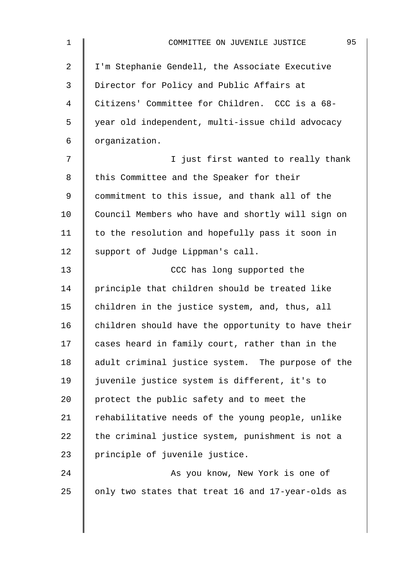| $\mathbf 1$    | 95<br>COMMITTEE ON JUVENILE JUSTICE                |
|----------------|----------------------------------------------------|
| $\overline{2}$ | I'm Stephanie Gendell, the Associate Executive     |
| 3              | Director for Policy and Public Affairs at          |
| 4              | Citizens' Committee for Children. CCC is a 68-     |
| 5              | year old independent, multi-issue child advocacy   |
| 6              | organization.                                      |
| 7              | I just first wanted to really thank                |
| 8              | this Committee and the Speaker for their           |
| $\mathsf 9$    | commitment to this issue, and thank all of the     |
| 10             | Council Members who have and shortly will sign on  |
| 11             | to the resolution and hopefully pass it soon in    |
| 12             | support of Judge Lippman's call.                   |
| 13             | CCC has long supported the                         |
| 14             | principle that children should be treated like     |
| 15             | children in the justice system, and, thus, all     |
| 16             | children should have the opportunity to have their |
| 17             | cases heard in family court, rather than in the    |
| 18             | adult criminal justice system. The purpose of the  |
| 19             | juvenile justice system is different, it's to      |
| 20             | protect the public safety and to meet the          |
| 21             | rehabilitative needs of the young people, unlike   |
| 22             | the criminal justice system, punishment is not a   |
| 23             | principle of juvenile justice.                     |
| 24             | As you know, New York is one of                    |
| 25             | only two states that treat 16 and 17-year-olds as  |
|                |                                                    |
|                |                                                    |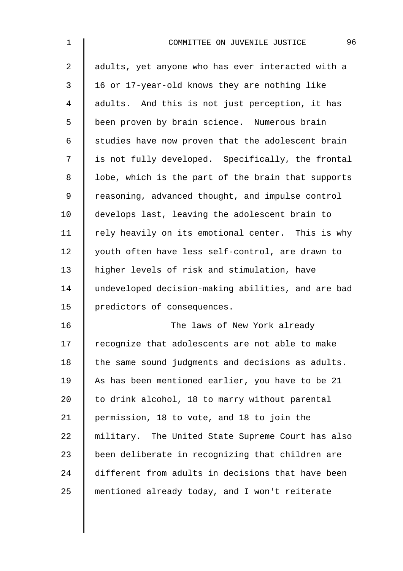| $\mathbf 1$    | 96<br>COMMITTEE ON JUVENILE JUSTICE                |
|----------------|----------------------------------------------------|
| $\overline{2}$ | adults, yet anyone who has ever interacted with a  |
| 3              | 16 or 17-year-old knows they are nothing like      |
| $\overline{4}$ | adults. And this is not just perception, it has    |
| 5              | been proven by brain science. Numerous brain       |
| $\epsilon$     | studies have now proven that the adolescent brain  |
| 7              | is not fully developed. Specifically, the frontal  |
| 8              | lobe, which is the part of the brain that supports |
| $\mathsf 9$    | reasoning, advanced thought, and impulse control   |
| 10             | develops last, leaving the adolescent brain to     |
| 11             | rely heavily on its emotional center. This is why  |
| 12             | youth often have less self-control, are drawn to   |
| 13             | higher levels of risk and stimulation, have        |
| 14             | undeveloped decision-making abilities, and are bad |
| 15             | predictors of consequences.                        |
| 16             | The laws of New York already                       |
| 17             | recognize that adolescents are not able to make    |
| 18             | the same sound judgments and decisions as adults.  |
| 19             | As has been mentioned earlier, you have to be 21   |
| 20             | to drink alcohol, 18 to marry without parental     |
| 21             | permission, 18 to vote, and 18 to join the         |
| 22             | military. The United State Supreme Court has also  |
| 23             | been deliberate in recognizing that children are   |
| 24             | different from adults in decisions that have been  |
| 25             | mentioned already today, and I won't reiterate     |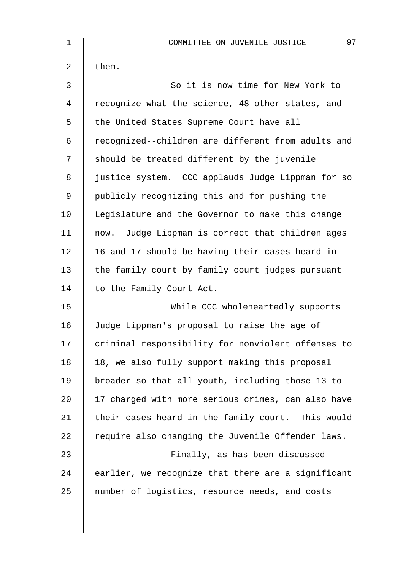| $\mathbf 1$ | 97<br>COMMITTEE ON JUVENILE JUSTICE                |
|-------------|----------------------------------------------------|
| 2           | them.                                              |
| 3           | So it is now time for New York to                  |
| 4           | recognize what the science, 48 other states, and   |
| 5           | the United States Supreme Court have all           |
| $\epsilon$  | recognized--children are different from adults and |
| 7           | should be treated different by the juvenile        |
| 8           | justice system. CCC applauds Judge Lippman for so  |
| 9           | publicly recognizing this and for pushing the      |
| 10          | Legislature and the Governor to make this change   |
| 11          | now. Judge Lippman is correct that children ages   |
| 12          | 16 and 17 should be having their cases heard in    |
| 13          | the family court by family court judges pursuant   |
| 14          | to the Family Court Act.                           |
| 15          | While CCC wholeheartedly supports                  |
| 16          | Judge Lippman's proposal to raise the age of       |
| 17          | criminal responsibility for nonviolent offenses to |
| 18          | 18, we also fully support making this proposal     |
| 19          | broader so that all youth, including those 13 to   |
| 20          | 17 charged with more serious crimes, can also have |
| 21          | their cases heard in the family court. This would  |
| 22          | require also changing the Juvenile Offender laws.  |
| 23          | Finally, as has been discussed                     |
| 24          | earlier, we recognize that there are a significant |
| 25          | number of logistics, resource needs, and costs     |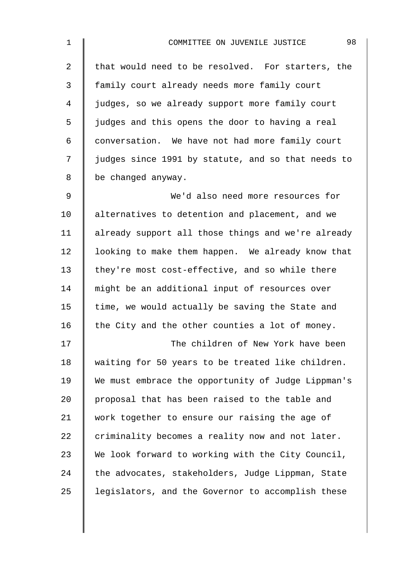| $\mathbf 1$    | 98<br>COMMITTEE ON JUVENILE JUSTICE                |
|----------------|----------------------------------------------------|
| $\overline{a}$ | that would need to be resolved. For starters, the  |
| 3              | family court already needs more family court       |
| 4              | judges, so we already support more family court    |
| 5              | judges and this opens the door to having a real    |
| 6              | conversation. We have not had more family court    |
| 7              | judges since 1991 by statute, and so that needs to |
| 8              | be changed anyway.                                 |
| 9              | We'd also need more resources for                  |
| 10             | alternatives to detention and placement, and we    |
| 11             | already support all those things and we're already |
| 12             | looking to make them happen. We already know that  |
| 13             | they're most cost-effective, and so while there    |
| 14             | might be an additional input of resources over     |
| 15             | time, we would actually be saving the State and    |
| 16             | the City and the other counties a lot of money.    |
| 17             | The children of New York have been                 |
| 18             | waiting for 50 years to be treated like children.  |
| 19             | We must embrace the opportunity of Judge Lippman's |
| 20             | proposal that has been raised to the table and     |
| 21             | work together to ensure our raising the age of     |
| 22             | criminality becomes a reality now and not later.   |
| 23             | We look forward to working with the City Council,  |
| 24             | the advocates, stakeholders, Judge Lippman, State  |
| 25             | legislators, and the Governor to accomplish these  |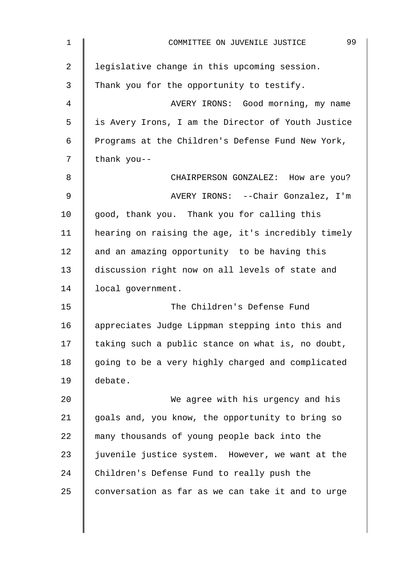| $\mathbf{1}$   | 99<br>COMMITTEE ON JUVENILE JUSTICE                |
|----------------|----------------------------------------------------|
| $\overline{a}$ | legislative change in this upcoming session.       |
| 3              | Thank you for the opportunity to testify.          |
| 4              | AVERY IRONS: Good morning, my name                 |
| 5              | is Avery Irons, I am the Director of Youth Justice |
| 6              | Programs at the Children's Defense Fund New York,  |
| 7              | thank you--                                        |
| 8              | CHAIRPERSON GONZALEZ: How are you?                 |
| 9              | AVERY IRONS: --Chair Gonzalez, I'm                 |
| 10             | good, thank you. Thank you for calling this        |
| 11             | hearing on raising the age, it's incredibly timely |
| 12             | and an amazing opportunity to be having this       |
| 13             | discussion right now on all levels of state and    |
| 14             | local government.                                  |
| 15             | The Children's Defense Fund                        |
| 16             | appreciates Judge Lippman stepping into this and   |
| 17             | taking such a public stance on what is, no doubt,  |
| 18             | going to be a very highly charged and complicated  |
| 19             | debate.                                            |
| 20             | We agree with his urgency and his                  |
| 21             | goals and, you know, the opportunity to bring so   |
| 22             | many thousands of young people back into the       |
| 23             | juvenile justice system. However, we want at the   |
| 24             | Children's Defense Fund to really push the         |
| 25             | conversation as far as we can take it and to urge  |
|                |                                                    |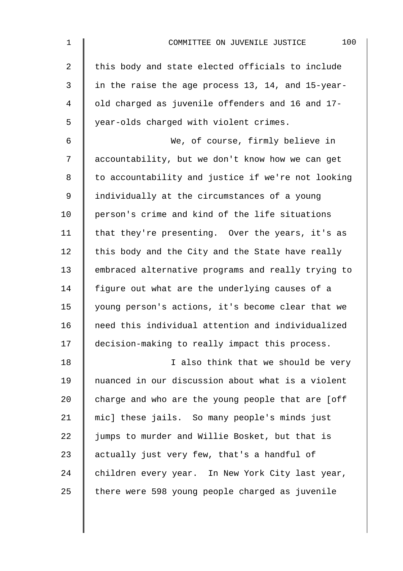| $\mathbf 1$    | 100<br>COMMITTEE ON JUVENILE JUSTICE               |
|----------------|----------------------------------------------------|
| $\overline{2}$ | this body and state elected officials to include   |
| 3              | in the raise the age process 13, 14, and 15-year-  |
| 4              | old charged as juvenile offenders and 16 and 17-   |
| 5              | year-olds charged with violent crimes.             |
| 6              | We, of course, firmly believe in                   |
| 7              | accountability, but we don't know how we can get   |
| 8              | to accountability and justice if we're not looking |
| 9              | individually at the circumstances of a young       |
| 10             | person's crime and kind of the life situations     |
| 11             | that they're presenting. Over the years, it's as   |
| 12             | this body and the City and the State have really   |
| 13             | embraced alternative programs and really trying to |
| 14             | figure out what are the underlying causes of a     |
| 15             | young person's actions, it's become clear that we  |
| 16             | need this individual attention and individualized  |
| 17             | decision-making to really impact this process.     |
| 18             | I also think that we should be very                |
| 19             | nuanced in our discussion about what is a violent  |
| 20             | charge and who are the young people that are [off  |
| 21             | mic] these jails. So many people's minds just      |
| 22             | jumps to murder and Willie Bosket, but that is     |
| 23             | actually just very few, that's a handful of        |
| 24             | children every year. In New York City last year,   |
| 25             | there were 598 young people charged as juvenile    |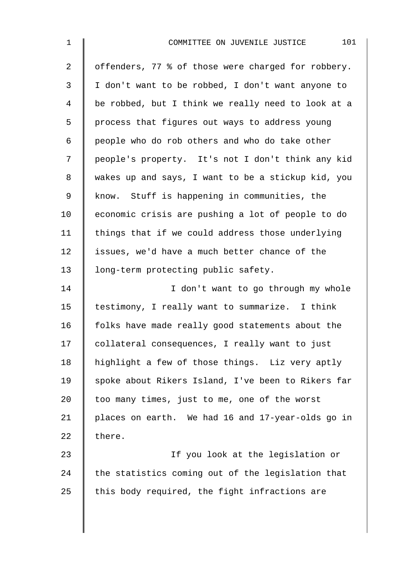| $\mathbf 1$    | 101<br>COMMITTEE ON JUVENILE JUSTICE               |
|----------------|----------------------------------------------------|
| $\overline{2}$ | offenders, 77 % of those were charged for robbery. |
| 3              | I don't want to be robbed, I don't want anyone to  |
| $\overline{4}$ | be robbed, but I think we really need to look at a |
| 5              | process that figures out ways to address young     |
| 6              | people who do rob others and who do take other     |
| 7              | people's property. It's not I don't think any kid  |
| 8              | wakes up and says, I want to be a stickup kid, you |
| $\mathsf 9$    | know. Stuff is happening in communities, the       |
| 10             | economic crisis are pushing a lot of people to do  |
| 11             | things that if we could address those underlying   |
| 12             | issues, we'd have a much better chance of the      |
| 13             | long-term protecting public safety.                |
| 14             | I don't want to go through my whole                |
| 15             | testimony, I really want to summarize. I think     |
| 16             | folks have made really good statements about the   |
| 17             | collateral consequences, I really want to just     |
| 18             | highlight a few of those things. Liz very aptly    |
| 19             | spoke about Rikers Island, I've been to Rikers far |
| 20             | too many times, just to me, one of the worst       |
| 21             | places on earth. We had 16 and 17-year-olds go in  |
| 22             | there.                                             |
| 23             | If you look at the legislation or                  |
| 24             | the statistics coming out of the legislation that  |
| 25             | this body required, the fight infractions are      |
|                |                                                    |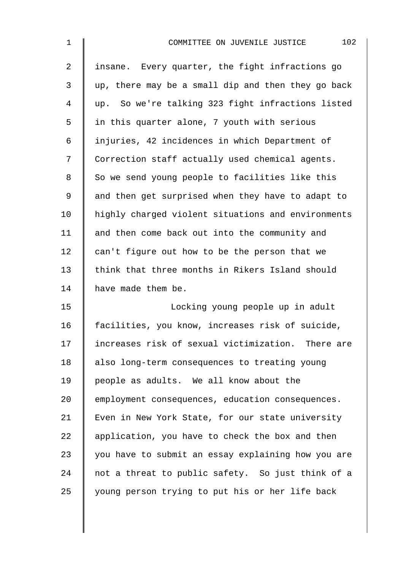| $\mathbf 1$    | 102<br>COMMITTEE ON JUVENILE JUSTICE               |
|----------------|----------------------------------------------------|
| $\overline{2}$ | insane. Every quarter, the fight infractions go    |
| 3              | up, there may be a small dip and then they go back |
| $\overline{4}$ | up. So we're talking 323 fight infractions listed  |
| 5              | in this quarter alone, 7 youth with serious        |
| 6              | injuries, 42 incidences in which Department of     |
| 7              | Correction staff actually used chemical agents.    |
| $\,8\,$        | So we send young people to facilities like this    |
| $\mathsf 9$    | and then get surprised when they have to adapt to  |
| 10             | highly charged violent situations and environments |
| 11             | and then come back out into the community and      |
| 12             | can't figure out how to be the person that we      |
| 13             | think that three months in Rikers Island should    |
| 14             | have made them be.                                 |
| 15             | Locking young people up in adult                   |
| 16             | facilities, you know, increases risk of suicide,   |
| 17             | increases risk of sexual victimization. There are  |
| 18             | also long-term consequences to treating young      |
| 19             | people as adults. We all know about the            |
| 20             | employment consequences, education consequences.   |
| 21             | Even in New York State, for our state university   |
| 22             | application, you have to check the box and then    |
| 23             | you have to submit an essay explaining how you are |
| 24             | not a threat to public safety. So just think of a  |
| 25             | young person trying to put his or her life back    |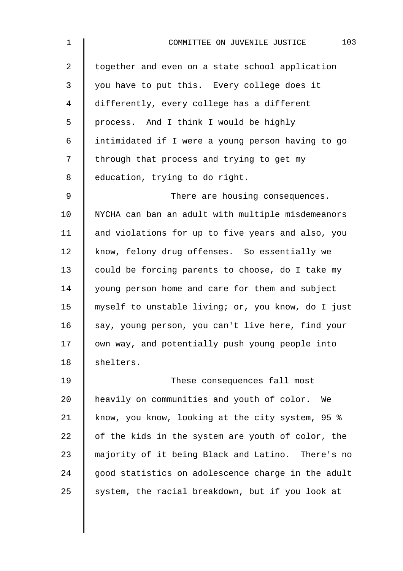| $\mathbf 1$ | 103<br>COMMITTEE ON JUVENILE JUSTICE               |
|-------------|----------------------------------------------------|
| 2           | together and even on a state school application    |
| 3           | you have to put this. Every college does it        |
| 4           | differently, every college has a different         |
| 5           | process. And I think I would be highly             |
| 6           | intimidated if I were a young person having to go  |
| 7           | through that process and trying to get my          |
| 8           | education, trying to do right.                     |
| 9           | There are housing consequences.                    |
| 10          | NYCHA can ban an adult with multiple misdemeanors  |
| 11          | and violations for up to five years and also, you  |
| 12          | know, felony drug offenses. So essentially we      |
| 13          | could be forcing parents to choose, do I take my   |
| 14          | young person home and care for them and subject    |
| 15          | myself to unstable living; or, you know, do I just |
| 16          | say, young person, you can't live here, find your  |
| 17          | own way, and potentially push young people into    |
| 18          | shelters.                                          |
| 19          | These consequences fall most                       |
| 20          | heavily on communities and youth of color.<br>We   |
| 21          | know, you know, looking at the city system, 95 %   |
| 22          | of the kids in the system are youth of color, the  |
| 23          | majority of it being Black and Latino. There's no  |
| 24          | good statistics on adolescence charge in the adult |
| 25          | system, the racial breakdown, but if you look at   |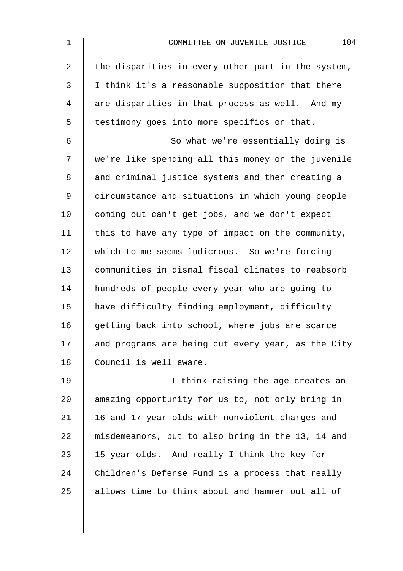| $\mathbf 1$    | 104<br>COMMITTEE ON JUVENILE JUSTICE               |
|----------------|----------------------------------------------------|
| $\overline{a}$ | the disparities in every other part in the system, |
| 3              | I think it's a reasonable supposition that there   |
| 4              | are disparities in that process as well. And my    |
| 5              | testimony goes into more specifics on that.        |
| 6              | So what we're essentially doing is                 |
| 7              | we're like spending all this money on the juvenile |
| 8              | and criminal justice systems and then creating a   |
| 9              | circumstance and situations in which young people  |
| 10             | coming out can't get jobs, and we don't expect     |
| 11             | this to have any type of impact on the community,  |
| 12             | which to me seems ludicrous. So we're forcing      |
| 13             | communities in dismal fiscal climates to reabsorb  |
| 14             | hundreds of people every year who are going to     |
| 15             | have difficulty finding employment, difficulty     |
| 16             | getting back into school, where jobs are scarce    |
| 17             | and programs are being cut every year, as the City |
| 18             | Council is well aware.                             |
| 19             | I think raising the age creates an                 |
| 20             | amazing opportunity for us to, not only bring in   |
| 21             | 16 and 17-year-olds with nonviolent charges and    |
| 22             | misdemeanors, but to also bring in the 13, 14 and  |
| 23             | 15-year-olds. And really I think the key for       |
| 24             | Children's Defense Fund is a process that really   |
| 25             | allows time to think about and hammer out all of   |
|                |                                                    |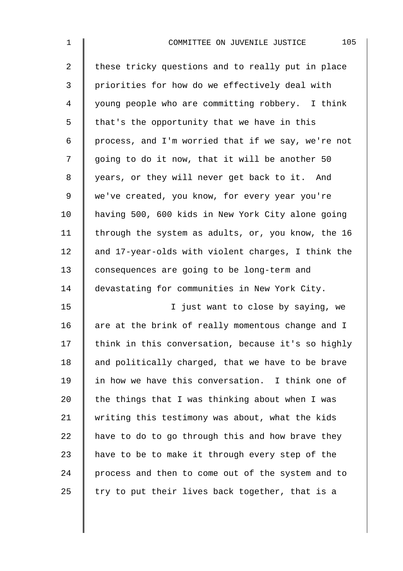| $\mathbf 1$    | 105<br>COMMITTEE ON JUVENILE JUSTICE               |
|----------------|----------------------------------------------------|
| $\overline{a}$ | these tricky questions and to really put in place  |
| 3              | priorities for how do we effectively deal with     |
| 4              | young people who are committing robbery. I think   |
| 5              | that's the opportunity that we have in this        |
| 6              | process, and I'm worried that if we say, we're not |
| 7              | going to do it now, that it will be another 50     |
| 8              | years, or they will never get back to it. And      |
| $\mathsf 9$    | we've created, you know, for every year you're     |
| 10             | having 500, 600 kids in New York City alone going  |
| 11             | through the system as adults, or, you know, the 16 |
| 12             | and 17-year-olds with violent charges, I think the |
| 13             | consequences are going to be long-term and         |
| 14             | devastating for communities in New York City.      |
| 15             | I just want to close by saying, we                 |
| 16             | are at the brink of really momentous change and I  |
| 17             | think in this conversation, because it's so highly |
| 18             | and politically charged, that we have to be brave  |
| 19             | in how we have this conversation. I think one of   |
| 20             | the things that I was thinking about when I was    |
| 21             | writing this testimony was about, what the kids    |
| 22             | have to do to go through this and how brave they   |
| 23             | have to be to make it through every step of the    |
| 24             | process and then to come out of the system and to  |
| 25             | try to put their lives back together, that is a    |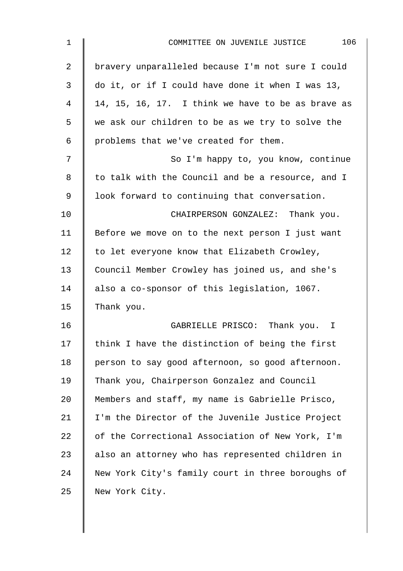| 106<br>COMMITTEE ON JUVENILE JUSTICE              |
|---------------------------------------------------|
| bravery unparalleled because I'm not sure I could |
| do it, or if I could have done it when I was 13,  |
| 14, 15, 16, 17. I think we have to be as brave as |
| we ask our children to be as we try to solve the  |
| problems that we've created for them.             |
| So I'm happy to, you know, continue               |
| to talk with the Council and be a resource, and I |
| look forward to continuing that conversation.     |
| CHAIRPERSON GONZALEZ: Thank you.                  |
| Before we move on to the next person I just want  |
| to let everyone know that Elizabeth Crowley,      |
| Council Member Crowley has joined us, and she's   |
| also a co-sponsor of this legislation, 1067.      |
| Thank you.                                        |
| GABRIELLE PRISCO: Thank you. I                    |
| think I have the distinction of being the first   |
| person to say good afternoon, so good afternoon.  |
| Thank you, Chairperson Gonzalez and Council       |
| Members and staff, my name is Gabrielle Prisco,   |
| I'm the Director of the Juvenile Justice Project  |
| of the Correctional Association of New York, I'm  |
| also an attorney who has represented children in  |
| New York City's family court in three boroughs of |
| New York City.                                    |
|                                                   |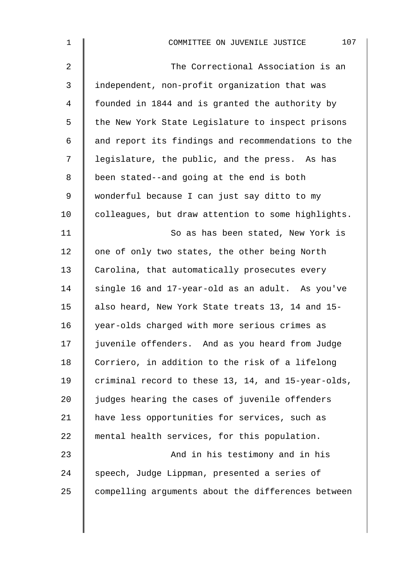| $\mathbf 1$    | 107<br>COMMITTEE ON JUVENILE JUSTICE               |
|----------------|----------------------------------------------------|
| $\overline{2}$ | The Correctional Association is an                 |
| 3              | independent, non-profit organization that was      |
| 4              | founded in 1844 and is granted the authority by    |
| 5              | the New York State Legislature to inspect prisons  |
| 6              | and report its findings and recommendations to the |
| 7              | legislature, the public, and the press. As has     |
| 8              | been stated--and going at the end is both          |
| 9              | wonderful because I can just say ditto to my       |
| 10             | colleagues, but draw attention to some highlights. |
| 11             | So as has been stated, New York is                 |
| 12             | one of only two states, the other being North      |
| 13             | Carolina, that automatically prosecutes every      |
| 14             | single 16 and 17-year-old as an adult. As you've   |
| 15             | also heard, New York State treats 13, 14 and 15-   |
| 16             | year-olds charged with more serious crimes as      |
| 17             | juvenile offenders. And as you heard from Judge    |
| 18             | Corriero, in addition to the risk of a lifelong    |
| 19             | criminal record to these 13, 14, and 15-year-olds, |
| 20             | judges hearing the cases of juvenile offenders     |
| 21             | have less opportunities for services, such as      |
| 22             | mental health services, for this population.       |
| 23             | And in his testimony and in his                    |
| 24             | speech, Judge Lippman, presented a series of       |
| 25             | compelling arguments about the differences between |
|                |                                                    |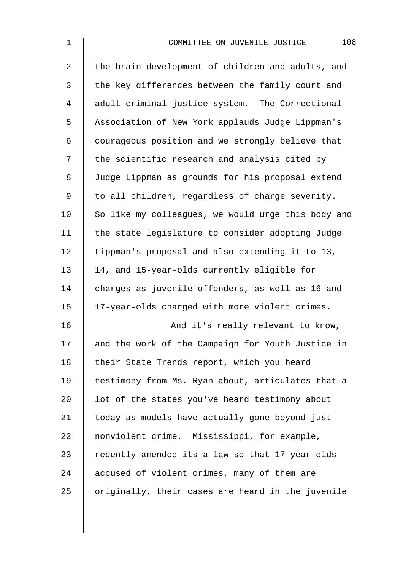| $\mathbf 1$    | 108<br>COMMITTEE ON JUVENILE JUSTICE               |
|----------------|----------------------------------------------------|
| $\overline{a}$ | the brain development of children and adults, and  |
| 3              | the key differences between the family court and   |
| $\overline{4}$ | adult criminal justice system. The Correctional    |
| 5              | Association of New York applauds Judge Lippman's   |
| 6              | courageous position and we strongly believe that   |
| 7              | the scientific research and analysis cited by      |
| 8              | Judge Lippman as grounds for his proposal extend   |
| $\mathsf 9$    | to all children, regardless of charge severity.    |
| 10             | So like my colleagues, we would urge this body and |
| 11             | the state legislature to consider adopting Judge   |
| 12             | Lippman's proposal and also extending it to 13,    |
| 13             | 14, and 15-year-olds currently eligible for        |
| 14             | charges as juvenile offenders, as well as 16 and   |
| 15             | 17-year-olds charged with more violent crimes.     |
| 16             | And it's really relevant to know,                  |
| 17             | and the work of the Campaign for Youth Justice in  |
| 18             | their State Trends report, which you heard         |
| 19             | testimony from Ms. Ryan about, articulates that a  |
| 20             | lot of the states you've heard testimony about     |
| 21             | today as models have actually gone beyond just     |
| 22             | nonviolent crime. Mississippi, for example,        |
| 23             | recently amended its a law so that 17-year-olds    |
| 24             | accused of violent crimes, many of them are        |
| 25             | originally, their cases are heard in the juvenile  |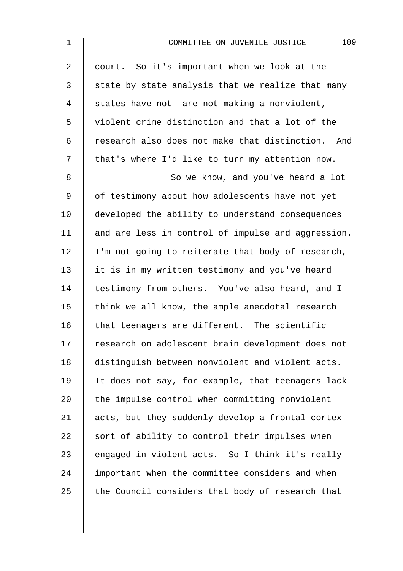| $\mathbf{1}$   | 109<br>COMMITTEE ON JUVENILE JUSTICE                 |
|----------------|------------------------------------------------------|
| $\overline{a}$ | court. So it's important when we look at the         |
| 3              | state by state analysis that we realize that many    |
| 4              | states have not--are not making a nonviolent,        |
| 5              | violent crime distinction and that a lot of the      |
| 6              | research also does not make that distinction.<br>And |
| 7              | that's where I'd like to turn my attention now.      |
| 8              | So we know, and you've heard a lot                   |
| 9              | of testimony about how adolescents have not yet      |
| 10             | developed the ability to understand consequences     |
| 11             | and are less in control of impulse and aggression.   |
| 12             | I'm not going to reiterate that body of research,    |
| 13             | it is in my written testimony and you've heard       |
| 14             | testimony from others. You've also heard, and I      |
| 15             | think we all know, the ample anecdotal research      |
| 16             | that teenagers are different. The scientific         |
| 17             | research on adolescent brain development does not    |
| 18             | distinguish between nonviolent and violent acts.     |
| 19             | It does not say, for example, that teenagers lack    |
| 20             | the impulse control when committing nonviolent       |
| 21             | acts, but they suddenly develop a frontal cortex     |
| 22             | sort of ability to control their impulses when       |
| 23             | engaged in violent acts. So I think it's really      |
| 24             | important when the committee considers and when      |
| 25             | the Council considers that body of research that     |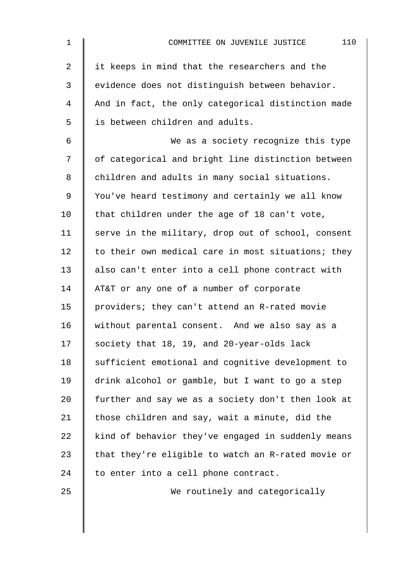| $\mathbf 1$    | 110<br>COMMITTEE ON JUVENILE JUSTICE               |
|----------------|----------------------------------------------------|
| $\overline{2}$ | it keeps in mind that the researchers and the      |
| 3              | evidence does not distinguish between behavior.    |
| 4              | And in fact, the only categorical distinction made |
| 5              | is between children and adults.                    |
| 6              | We as a society recognize this type                |
| 7              | of categorical and bright line distinction between |
| 8              | children and adults in many social situations.     |
| 9              | You've heard testimony and certainly we all know   |
| 10             | that children under the age of 18 can't vote,      |
| 11             | serve in the military, drop out of school, consent |
| 12             | to their own medical care in most situations; they |
| 13             | also can't enter into a cell phone contract with   |
| 14             | AT&T or any one of a number of corporate           |
| 15             | providers; they can't attend an R-rated movie      |
| 16             | without parental consent. And we also say as a     |
| 17             | society that 18, 19, and 20-year-olds lack         |
| 18             | sufficient emotional and cognitive development to  |
| 19             | drink alcohol or gamble, but I want to go a step   |
| 20             | further and say we as a society don't then look at |
| 21             | those children and say, wait a minute, did the     |
| 22             | kind of behavior they've engaged in suddenly means |
| 23             | that they're eligible to watch an R-rated movie or |
| 24             | to enter into a cell phone contract.               |
| 25             | We routinely and categorically                     |
|                |                                                    |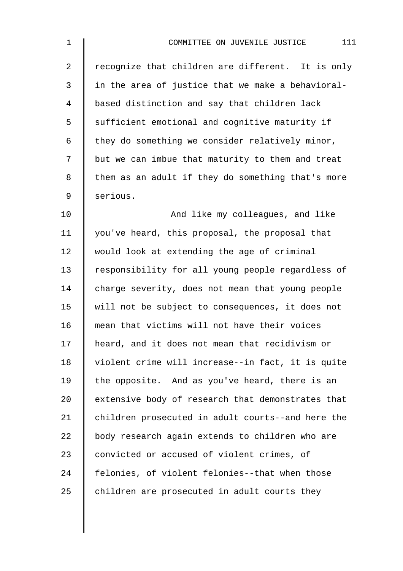| $\mathbf 1$    | 111<br>COMMITTEE ON JUVENILE JUSTICE              |
|----------------|---------------------------------------------------|
| $\overline{a}$ | recognize that children are different. It is only |
| 3              | in the area of justice that we make a behavioral- |
| 4              | based distinction and say that children lack      |
| 5              | sufficient emotional and cognitive maturity if    |
| 6              | they do something we consider relatively minor,   |
| 7              | but we can imbue that maturity to them and treat  |
| 8              | them as an adult if they do something that's more |
| 9              | serious.                                          |
| 10             | And like my colleagues, and like                  |
| 11             | you've heard, this proposal, the proposal that    |
| 12             | would look at extending the age of criminal       |
| 13             | responsibility for all young people regardless of |
| 14             | charge severity, does not mean that young people  |
| 15             | will not be subject to consequences, it does not  |
| 16             | mean that victims will not have their voices      |
| 17             | heard, and it does not mean that recidivism or    |
| 18             | violent crime will increase--in fact, it is quite |
| 19             | the opposite. And as you've heard, there is an    |
| 20             | extensive body of research that demonstrates that |
| 21             | children prosecuted in adult courts--and here the |
| 22             | body research again extends to children who are   |
| 23             | convicted or accused of violent crimes, of        |
| 24             | felonies, of violent felonies--that when those    |
| 25             | children are prosecuted in adult courts they      |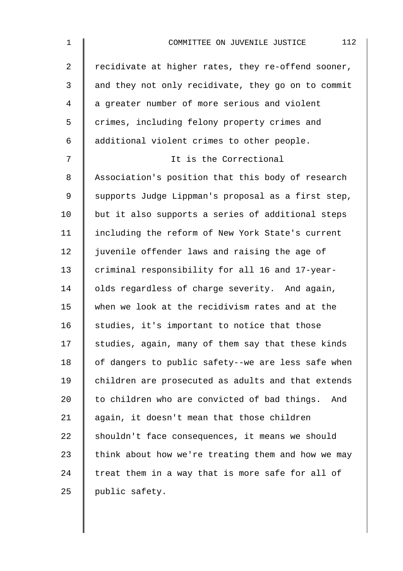| $\mathbf 1$    | 112<br>COMMITTEE ON JUVENILE JUSTICE                |
|----------------|-----------------------------------------------------|
| $\overline{a}$ | recidivate at higher rates, they re-offend sooner,  |
| $\mathfrak{Z}$ | and they not only recidivate, they go on to commit  |
| 4              | a greater number of more serious and violent        |
| 5              | crimes, including felony property crimes and        |
| 6              | additional violent crimes to other people.          |
| 7              | It is the Correctional                              |
| 8              | Association's position that this body of research   |
| 9              | supports Judge Lippman's proposal as a first step,  |
| 10             | but it also supports a series of additional steps   |
| 11             | including the reform of New York State's current    |
| 12             | juvenile offender laws and raising the age of       |
| 13             | criminal responsibility for all 16 and 17-year-     |
| 14             | olds regardless of charge severity. And again,      |
| 15             | when we look at the recidivism rates and at the     |
| 16             | studies, it's important to notice that those        |
| 17             | studies, again, many of them say that these kinds   |
| 18             | of dangers to public safety--we are less safe when  |
| 19             | children are prosecuted as adults and that extends  |
| 20             | to children who are convicted of bad things.<br>And |
| 21             | again, it doesn't mean that those children          |
| 22             | shouldn't face consequences, it means we should     |
| 23             | think about how we're treating them and how we may  |
| 24             | treat them in a way that is more safe for all of    |
| 25             | public safety.                                      |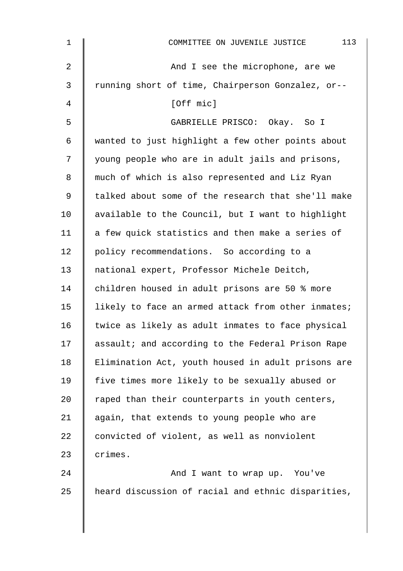| $\mathbf{1}$ | 113<br>COMMITTEE ON JUVENILE JUSTICE               |
|--------------|----------------------------------------------------|
| 2            | And I see the microphone, are we                   |
| 3            | running short of time, Chairperson Gonzalez, or--  |
| 4            | [Off mic]                                          |
| 5            | GABRIELLE PRISCO: Okay. So I                       |
| 6            | wanted to just highlight a few other points about  |
| 7            | young people who are in adult jails and prisons,   |
| 8            | much of which is also represented and Liz Ryan     |
| 9            | talked about some of the research that she'll make |
| 10           | available to the Council, but I want to highlight  |
| 11           | a few quick statistics and then make a series of   |
| 12           | policy recommendations. So according to a          |
| 13           | national expert, Professor Michele Deitch,         |
| 14           | children housed in adult prisons are 50 % more     |
| 15           | likely to face an armed attack from other inmates; |
| 16           | twice as likely as adult inmates to face physical  |
| 17           | assault; and according to the Federal Prison Rape  |
| 18           | Elimination Act, youth housed in adult prisons are |
| 19           | five times more likely to be sexually abused or    |
| 20           | raped than their counterparts in youth centers,    |
| 21           | again, that extends to young people who are        |
| 22           | convicted of violent, as well as nonviolent        |
| 23           | crimes.                                            |
| 24           | And I want to wrap up. You've                      |
| 25           | heard discussion of racial and ethnic disparities, |
|              |                                                    |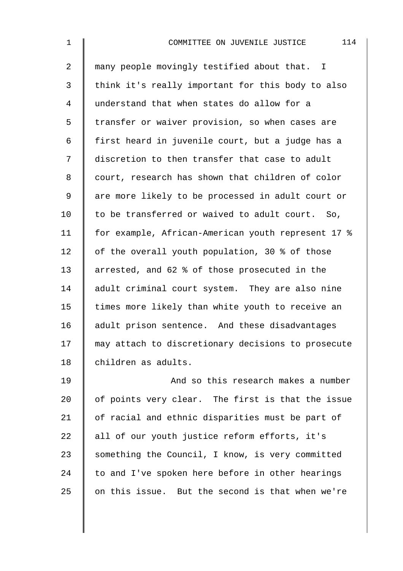| $\mathbf{1}$   | 114<br>COMMITTEE ON JUVENILE JUSTICE               |
|----------------|----------------------------------------------------|
| $\overline{a}$ | many people movingly testified about that. I       |
| 3              | think it's really important for this body to also  |
| 4              | understand that when states do allow for a         |
| 5              | transfer or waiver provision, so when cases are    |
| 6              | first heard in juvenile court, but a judge has a   |
| 7              | discretion to then transfer that case to adult     |
| 8              | court, research has shown that children of color   |
| 9              | are more likely to be processed in adult court or  |
| 10             | to be transferred or waived to adult court. So,    |
| 11             | for example, African-American youth represent 17 % |
| 12             | of the overall youth population, 30 % of those     |
| 13             | arrested, and 62 % of those prosecuted in the      |
| 14             | adult criminal court system. They are also nine    |
| 15             | times more likely than white youth to receive an   |
| 16             | adult prison sentence. And these disadvantages     |
| 17             | may attach to discretionary decisions to prosecute |
| 18             | children as adults.                                |
| 19             | And so this research makes a number                |
| 20             | of points very clear. The first is that the issue  |
| 21             | of racial and ethnic disparities must be part of   |
| 22             | all of our youth justice reform efforts, it's      |
| 23             | something the Council, I know, is very committed   |
| 24             | to and I've spoken here before in other hearings   |
| 25             | on this issue. But the second is that when we're   |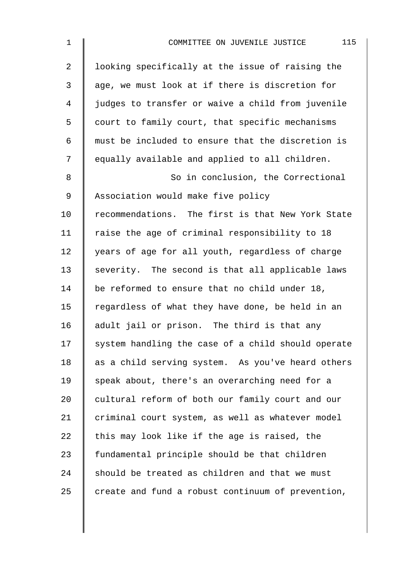| $\mathbf{1}$   | 115<br>COMMITTEE ON JUVENILE JUSTICE               |
|----------------|----------------------------------------------------|
| $\overline{2}$ | looking specifically at the issue of raising the   |
| 3              | age, we must look at if there is discretion for    |
| 4              | judges to transfer or waive a child from juvenile  |
| 5              | court to family court, that specific mechanisms    |
| 6              | must be included to ensure that the discretion is  |
| 7              | equally available and applied to all children.     |
| 8              | So in conclusion, the Correctional                 |
| 9              | Association would make five policy                 |
| 10             | recommendations. The first is that New York State  |
| 11             | raise the age of criminal responsibility to 18     |
| 12             | years of age for all youth, regardless of charge   |
| 13             | severity. The second is that all applicable laws   |
| 14             | be reformed to ensure that no child under 18,      |
| 15             | regardless of what they have done, be held in an   |
| 16             | adult jail or prison. The third is that any        |
| 17             | system handling the case of a child should operate |
| 18             | as a child serving system. As you've heard others  |
| 19             | speak about, there's an overarching need for a     |
| 20             | cultural reform of both our family court and our   |
| 21             | criminal court system, as well as whatever model   |
| 22             | this may look like if the age is raised, the       |
| 23             | fundamental principle should be that children      |
| 24             | should be treated as children and that we must     |
| 25             | create and fund a robust continuum of prevention,  |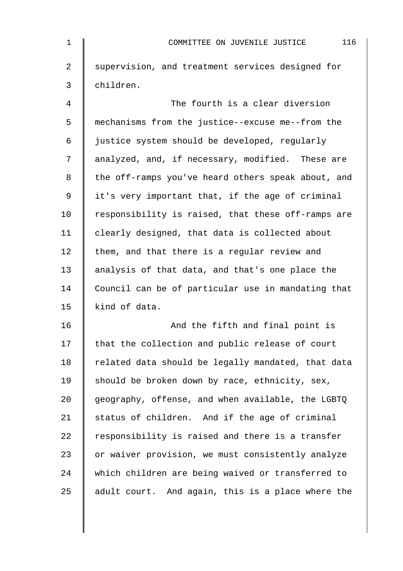| $\mathbf 1$    | 116<br>COMMITTEE ON JUVENILE JUSTICE               |
|----------------|----------------------------------------------------|
| $\overline{a}$ | supervision, and treatment services designed for   |
| $\mathfrak{Z}$ | children.                                          |
| $\overline{4}$ | The fourth is a clear diversion                    |
| 5              | mechanisms from the justice--excuse me--from the   |
| 6              | justice system should be developed, regularly      |
| 7              | analyzed, and, if necessary, modified. These are   |
| 8              | the off-ramps you've heard others speak about, and |
| $\mathsf 9$    | it's very important that, if the age of criminal   |
| 10             | responsibility is raised, that these off-ramps are |
| 11             | clearly designed, that data is collected about     |
| 12             | them, and that there is a regular review and       |
| 13             | analysis of that data, and that's one place the    |
| 14             | Council can be of particular use in mandating that |
| 15             | kind of data.                                      |
| 16             | And the fifth and final point is                   |
| 17             | that the collection and public release of court    |
| 18             | related data should be legally mandated, that data |
| 19             | should be broken down by race, ethnicity, sex,     |
| 20             | geography, offense, and when available, the LGBTQ  |
| 21             | status of children. And if the age of criminal     |
| 22             | responsibility is raised and there is a transfer   |
| 23             | or waiver provision, we must consistently analyze  |
| 24             | which children are being waived or transferred to  |
| 25             | adult court. And again, this is a place where the  |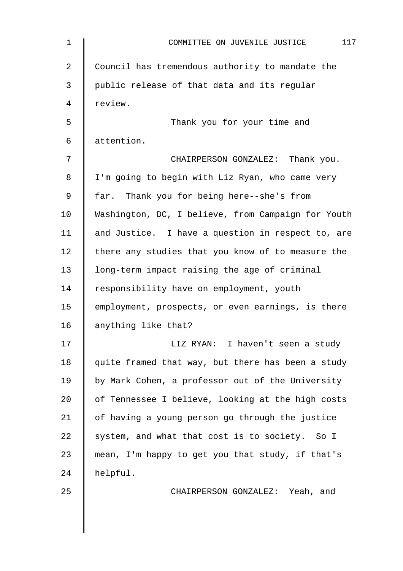| $\mathbf 1$ | 117<br>COMMITTEE ON JUVENILE JUSTICE               |
|-------------|----------------------------------------------------|
| 2           | Council has tremendous authority to mandate the    |
| 3           | public release of that data and its regular        |
| 4           | review.                                            |
| 5           | Thank you for your time and                        |
| 6           | attention.                                         |
| 7           | CHAIRPERSON GONZALEZ: Thank you.                   |
| 8           | I'm going to begin with Liz Ryan, who came very    |
| 9           | far. Thank you for being here--she's from          |
| 10          | Washington, DC, I believe, from Campaign for Youth |
| 11          | and Justice. I have a question in respect to, are  |
| 12          | there any studies that you know of to measure the  |
| 13          | long-term impact raising the age of criminal       |
| 14          | responsibility have on employment, youth           |
| 15          | employment, prospects, or even earnings, is there  |
| 16          | anything like that?                                |
| 17          | LIZ RYAN: I haven't seen a study                   |
| 18          | quite framed that way, but there has been a study  |
| 19          | by Mark Cohen, a professor out of the University   |
| 20          | of Tennessee I believe, looking at the high costs  |
| 21          | of having a young person go through the justice    |
| 22          | system, and what that cost is to society. So I     |
| 23          | mean, I'm happy to get you that study, if that's   |
| 24          | helpful.                                           |
| 25          | CHAIRPERSON GONZALEZ: Yeah, and                    |
|             |                                                    |
|             |                                                    |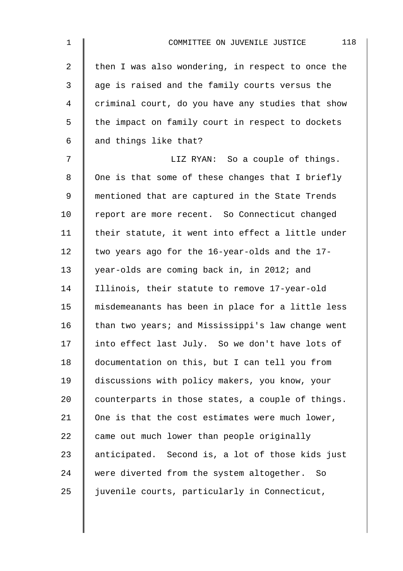| $\mathbf{1}$   | 118<br>COMMITTEE ON JUVENILE JUSTICE              |
|----------------|---------------------------------------------------|
| $\overline{a}$ | then I was also wondering, in respect to once the |
| 3              | age is raised and the family courts versus the    |
| 4              | criminal court, do you have any studies that show |
| 5              | the impact on family court in respect to dockets  |
| 6              | and things like that?                             |
| 7              | LIZ RYAN: So a couple of things.                  |
| 8              | One is that some of these changes that I briefly  |
| 9              | mentioned that are captured in the State Trends   |
| 10             | report are more recent. So Connecticut changed    |
| 11             | their statute, it went into effect a little under |
| 12             | two years ago for the 16-year-olds and the 17-    |
| 13             | year-olds are coming back in, in 2012; and        |
| 14             | Illinois, their statute to remove 17-year-old     |
| 15             | misdemeanants has been in place for a little less |
| 16             | than two years; and Mississippi's law change went |
| 17             | into effect last July. So we don't have lots of   |
| 18             | documentation on this, but I can tell you from    |
| 19             | discussions with policy makers, you know, your    |
| 20             | counterparts in those states, a couple of things. |
| 21             | One is that the cost estimates were much lower,   |
| 22             | came out much lower than people originally        |
| 23             | anticipated. Second is, a lot of those kids just  |
| 24             | were diverted from the system altogether. So      |
| 25             | juvenile courts, particularly in Connecticut,     |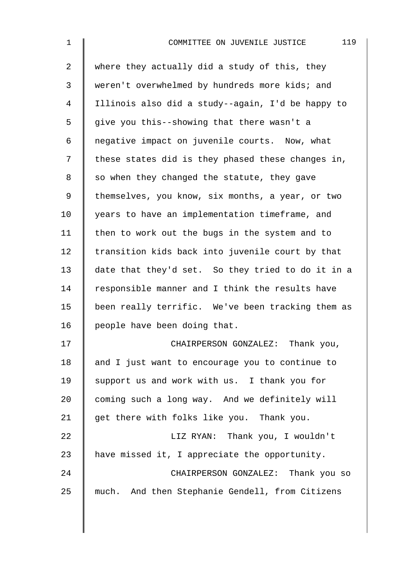| $\mathbf 1$    | 119<br>COMMITTEE ON JUVENILE JUSTICE              |
|----------------|---------------------------------------------------|
| $\overline{2}$ | where they actually did a study of this, they     |
| 3              | weren't overwhelmed by hundreds more kids; and    |
| 4              | Illinois also did a study--again, I'd be happy to |
| 5              | give you this--showing that there wasn't a        |
| 6              | negative impact on juvenile courts. Now, what     |
| 7              | these states did is they phased these changes in, |
| 8              | so when they changed the statute, they gave       |
| $\mathsf 9$    | themselves, you know, six months, a year, or two  |
| 10             | years to have an implementation timeframe, and    |
| 11             | then to work out the bugs in the system and to    |
| 12             | transition kids back into juvenile court by that  |
| 13             | date that they'd set. So they tried to do it in a |
| 14             | responsible manner and I think the results have   |
| 15             | been really terrific. We've been tracking them as |
| 16             | people have been doing that.                      |
| 17             | CHAIRPERSON GONZALEZ: Thank you,                  |
| 18             | and I just want to encourage you to continue to   |
| 19             | support us and work with us. I thank you for      |
| 20             | coming such a long way. And we definitely will    |
| 21             | get there with folks like you. Thank you.         |
| 22             | LIZ RYAN: Thank you, I wouldn't                   |
| 23             | have missed it, I appreciate the opportunity.     |
| 24             | CHAIRPERSON GONZALEZ: Thank you so                |
| 25             | much. And then Stephanie Gendell, from Citizens   |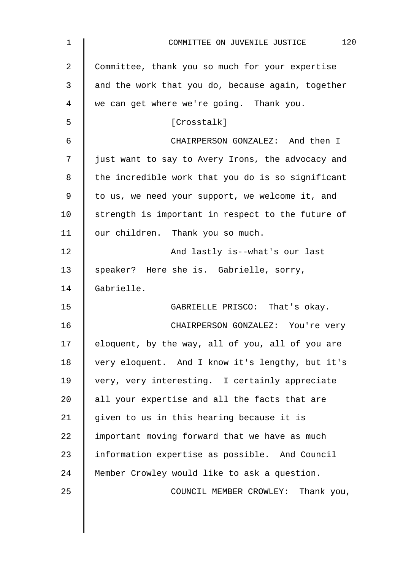| $\mathbf 1$ | 120<br>COMMITTEE ON JUVENILE JUSTICE              |
|-------------|---------------------------------------------------|
| 2           | Committee, thank you so much for your expertise   |
| 3           | and the work that you do, because again, together |
| 4           | we can get where we're going. Thank you.          |
| 5           | [Crosstalk]                                       |
| 6           | CHAIRPERSON GONZALEZ: And then I                  |
| 7           | just want to say to Avery Irons, the advocacy and |
| 8           | the incredible work that you do is so significant |
| 9           | to us, we need your support, we welcome it, and   |
| 10          | strength is important in respect to the future of |
| 11          | our children. Thank you so much.                  |
| 12          | And lastly is--what's our last                    |
| 13          | speaker? Here she is. Gabrielle, sorry,           |
| 14          | Gabrielle.                                        |
| 15          | GABRIELLE PRISCO: That's okay.                    |
| 16          | CHAIRPERSON GONZALEZ: You're very                 |
| 17          | eloquent, by the way, all of you, all of you are  |
| 18          | very eloquent. And I know it's lengthy, but it's  |
| 19          | very, very interesting. I certainly appreciate    |
| 20          | all your expertise and all the facts that are     |
| 21          | given to us in this hearing because it is         |
| 22          | important moving forward that we have as much     |
| 23          | information expertise as possible. And Council    |
| 24          | Member Crowley would like to ask a question.      |
| 25          | COUNCIL MEMBER CROWLEY: Thank you,                |
|             |                                                   |
|             |                                                   |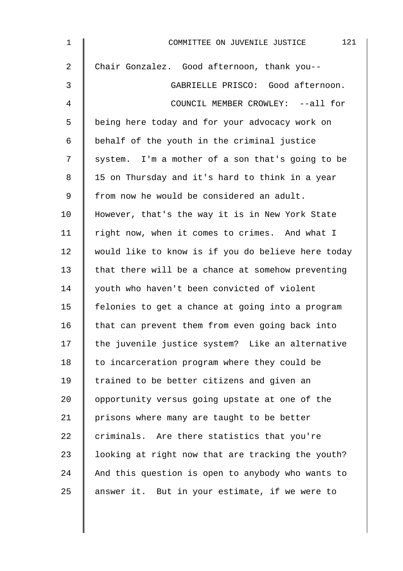| $\mathbf 1$    | 121<br>COMMITTEE ON JUVENILE JUSTICE               |
|----------------|----------------------------------------------------|
| $\overline{2}$ | Chair Gonzalez. Good afternoon, thank you--        |
| $\mathfrak{Z}$ | GABRIELLE PRISCO: Good afternoon.                  |
| 4              | COUNCIL MEMBER CROWLEY: --all for                  |
| 5              | being here today and for your advocacy work on     |
| 6              | behalf of the youth in the criminal justice        |
| 7              | system. I'm a mother of a son that's going to be   |
| 8              | 15 on Thursday and it's hard to think in a year    |
| 9              | from now he would be considered an adult.          |
| 10             | However, that's the way it is in New York State    |
| 11             | right now, when it comes to crimes. And what I     |
| 12             | would like to know is if you do believe here today |
| 13             | that there will be a chance at somehow preventing  |
| 14             | youth who haven't been convicted of violent        |
| 15             | felonies to get a chance at going into a program   |
| 16             | that can prevent them from even going back into    |
| 17             | the juvenile justice system? Like an alternative   |
| 18             | to incarceration program where they could be       |
| 19             | trained to be better citizens and given an         |
| 20             | opportunity versus going upstate at one of the     |
| 21             | prisons where many are taught to be better         |
| 22             | criminals. Are there statistics that you're        |
| 23             | looking at right now that are tracking the youth?  |
| 24             | And this question is open to anybody who wants to  |
| 25             | answer it. But in your estimate, if we were to     |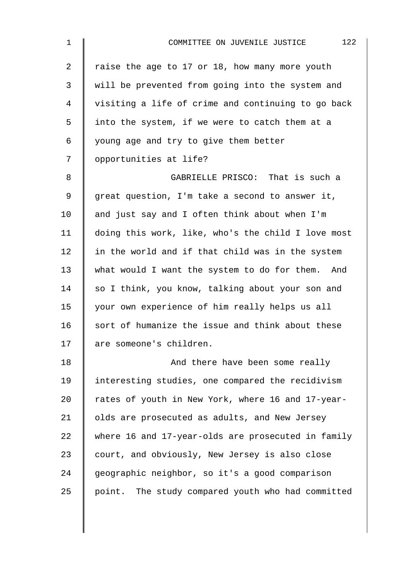| $\mathbf 1$    | 122<br>COMMITTEE ON JUVENILE JUSTICE               |
|----------------|----------------------------------------------------|
| $\overline{a}$ | raise the age to 17 or 18, how many more youth     |
| $\mathbf{3}$   | will be prevented from going into the system and   |
| 4              | visiting a life of crime and continuing to go back |
| 5              | into the system, if we were to catch them at a     |
| 6              | young age and try to give them better              |
| 7              | opportunities at life?                             |
| 8              | GABRIELLE PRISCO: That is such a                   |
| 9              | great question, I'm take a second to answer it,    |
| 10             | and just say and I often think about when I'm      |
| 11             | doing this work, like, who's the child I love most |
| 12             | in the world and if that child was in the system   |
| 13             | what would I want the system to do for them. And   |
| 14             | so I think, you know, talking about your son and   |
| 15             | your own experience of him really helps us all     |
| 16             | sort of humanize the issue and think about these   |
| 17             | are someone's children.                            |
| 18             | And there have been some really                    |
| 19             | interesting studies, one compared the recidivism   |
| 20             | rates of youth in New York, where 16 and 17-year-  |
| 21             | olds are prosecuted as adults, and New Jersey      |
| 22             | where 16 and 17-year-olds are prosecuted in family |
| 23             | court, and obviously, New Jersey is also close     |
| 24             | geographic neighbor, so it's a good comparison     |
| 25             | point. The study compared youth who had committed  |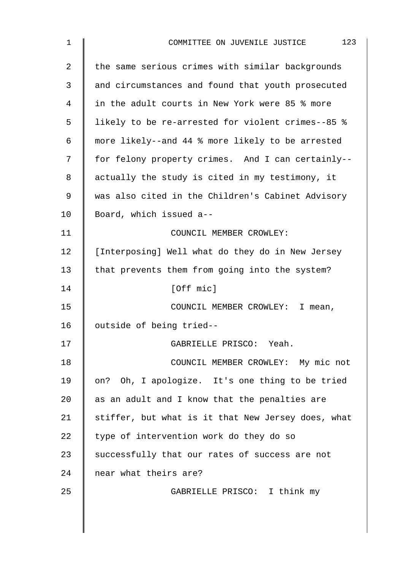| 1  | 123<br>COMMITTEE ON JUVENILE JUSTICE               |
|----|----------------------------------------------------|
| 2  | the same serious crimes with similar backgrounds   |
| 3  | and circumstances and found that youth prosecuted  |
| 4  | in the adult courts in New York were 85 % more     |
| 5  | likely to be re-arrested for violent crimes--85 %  |
| 6  | more likely--and 44 % more likely to be arrested   |
| 7  | for felony property crimes. And I can certainly--  |
| 8  | actually the study is cited in my testimony, it    |
| 9  | was also cited in the Children's Cabinet Advisory  |
| 10 | Board, which issued a--                            |
| 11 | COUNCIL MEMBER CROWLEY:                            |
| 12 | [Interposing] Well what do they do in New Jersey   |
| 13 | that prevents them from going into the system?     |
| 14 | [Off mic]                                          |
| 15 | COUNCIL MEMBER CROWLEY: I mean,                    |
| 16 | outside of being tried--                           |
| 17 | GABRIELLE PRISCO: Yeah.                            |
| 18 | COUNCIL MEMBER CROWLEY: My mic not                 |
| 19 | on? Oh, I apologize. It's one thing to be tried    |
| 20 | as an adult and I know that the penalties are      |
| 21 | stiffer, but what is it that New Jersey does, what |
| 22 | type of intervention work do they do so            |
| 23 | successfully that our rates of success are not     |
| 24 | near what theirs are?                              |
| 25 | GABRIELLE PRISCO: I think my                       |
|    |                                                    |
|    |                                                    |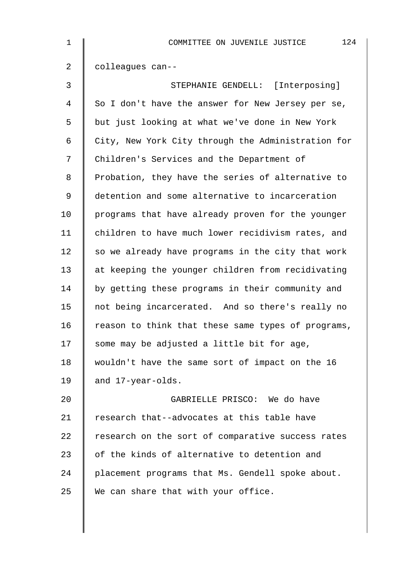| $\mathbf 1$    | 124<br>COMMITTEE ON JUVENILE JUSTICE               |
|----------------|----------------------------------------------------|
| $\overline{2}$ | colleagues can--                                   |
| 3              | STEPHANIE GENDELL: [Interposing]                   |
| 4              | So I don't have the answer for New Jersey per se,  |
| 5              | but just looking at what we've done in New York    |
| 6              | City, New York City through the Administration for |
| 7              | Children's Services and the Department of          |
| 8              | Probation, they have the series of alternative to  |
| 9              | detention and some alternative to incarceration    |
| 10             | programs that have already proven for the younger  |
| 11             | children to have much lower recidivism rates, and  |
| 12             | so we already have programs in the city that work  |
| 13             | at keeping the younger children from recidivating  |
| 14             | by getting these programs in their community and   |
| 15             | not being incarcerated. And so there's really no   |
| 16             | reason to think that these same types of programs, |
| 17             | some may be adjusted a little bit for age,         |
| 18             | wouldn't have the same sort of impact on the 16    |
| 19             | and 17-year-olds.                                  |
| 20             | GABRIELLE PRISCO: We do have                       |
| 21             | research that--advocates at this table have        |
| 22             | research on the sort of comparative success rates  |
| 23             | of the kinds of alternative to detention and       |
| 24             | placement programs that Ms. Gendell spoke about.   |
| 25             | We can share that with your office.                |
|                |                                                    |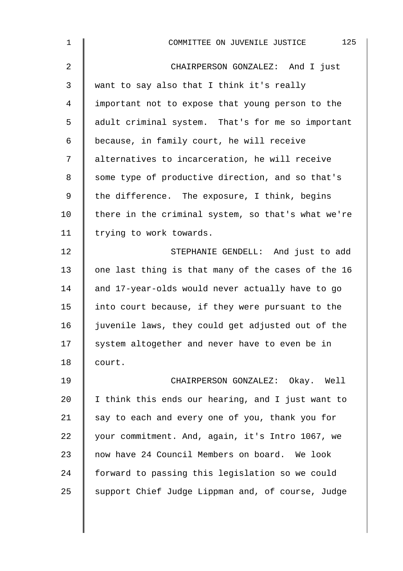| $\mathbf 1$    | 125<br>COMMITTEE ON JUVENILE JUSTICE               |
|----------------|----------------------------------------------------|
| $\overline{2}$ | CHAIRPERSON GONZALEZ: And I just                   |
| $\mathsf{3}$   | want to say also that I think it's really          |
| 4              | important not to expose that young person to the   |
| 5              | adult criminal system. That's for me so important  |
| 6              | because, in family court, he will receive          |
| 7              | alternatives to incarceration, he will receive     |
| 8              | some type of productive direction, and so that's   |
| 9              | the difference. The exposure, I think, begins      |
| 10             | there in the criminal system, so that's what we're |
| 11             | trying to work towards.                            |
| 12             | STEPHANIE GENDELL: And just to add                 |
| 13             | one last thing is that many of the cases of the 16 |
| 14             | and 17-year-olds would never actually have to go   |
| 15             | into court because, if they were pursuant to the   |
| 16             | juvenile laws, they could get adjusted out of the  |
| 17             | system altogether and never have to even be in     |
| 18             | court.                                             |
| 19             | CHAIRPERSON GONZALEZ: Okay. Well                   |
| 20             | I think this ends our hearing, and I just want to  |
| 21             | say to each and every one of you, thank you for    |
| 22             | your commitment. And, again, it's Intro 1067, we   |
| 23             | now have 24 Council Members on board. We look      |
| 24             | forward to passing this legislation so we could    |
| 25             | support Chief Judge Lippman and, of course, Judge  |
|                |                                                    |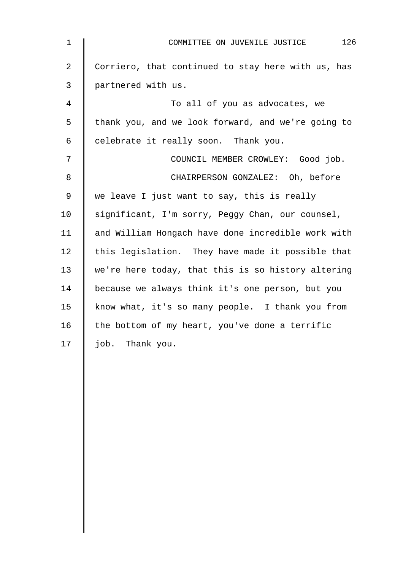| $1\,$          | 126<br>COMMITTEE ON JUVENILE JUSTICE               |
|----------------|----------------------------------------------------|
| $\overline{2}$ | Corriero, that continued to stay here with us, has |
| 3              | partnered with us.                                 |
| 4              | To all of you as advocates, we                     |
| 5              | thank you, and we look forward, and we're going to |
| $\epsilon$     | celebrate it really soon. Thank you.               |
| 7              | COUNCIL MEMBER CROWLEY: Good job.                  |
| 8              | CHAIRPERSON GONZALEZ: Oh, before                   |
| 9              | we leave I just want to say, this is really        |
| 10             | significant, I'm sorry, Peggy Chan, our counsel,   |
| 11             | and William Hongach have done incredible work with |
| 12             | this legislation. They have made it possible that  |
| 13             | we're here today, that this is so history altering |
| 14             | because we always think it's one person, but you   |
| 15             | know what, it's so many people. I thank you from   |
| 16             | the bottom of my heart, you've done a terrific     |
| 17             | job. Thank you.                                    |
|                |                                                    |